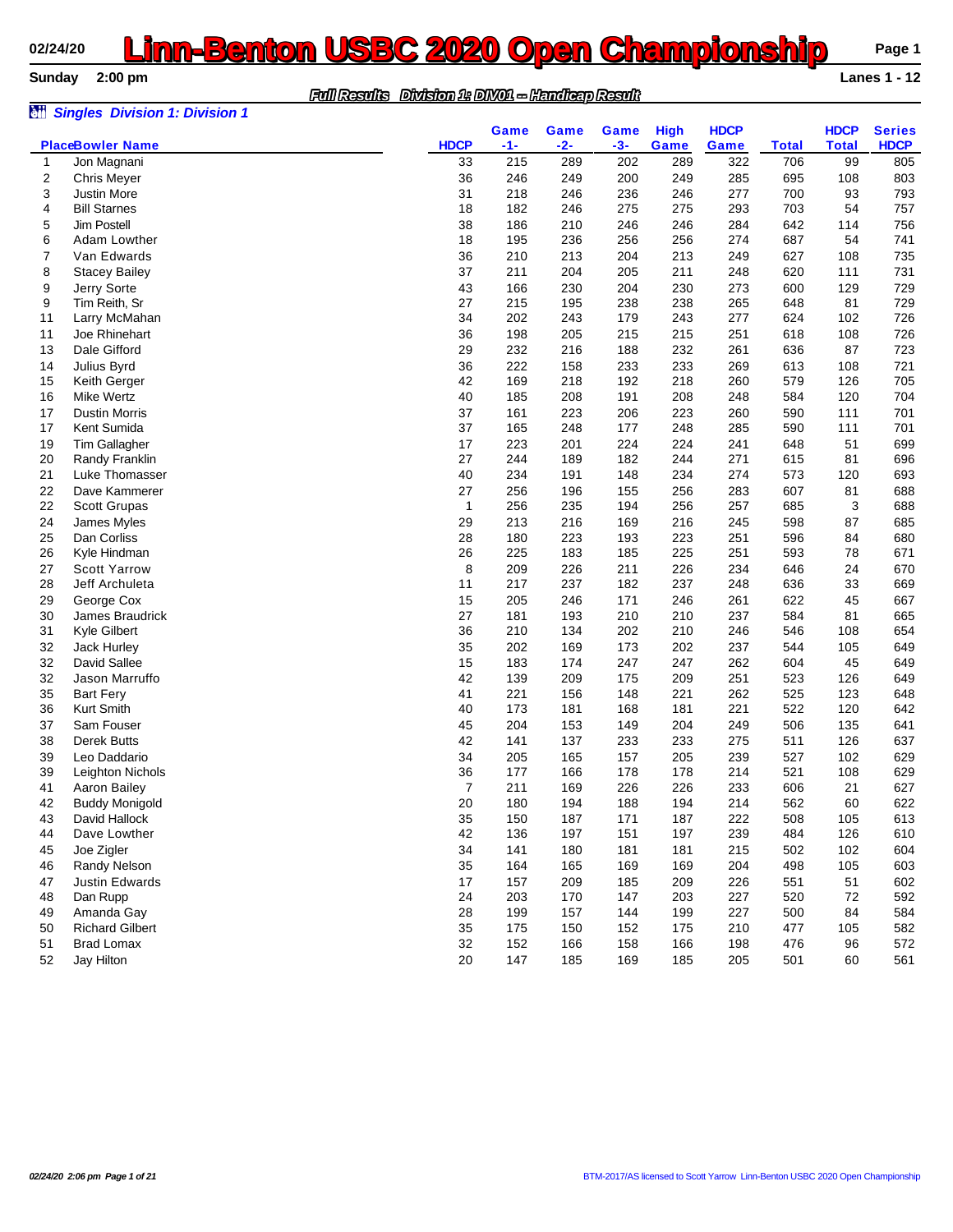# **02/24/20 <b>Linn-Benton USBC 2020 Open Championship** Page 1<br>Sunday 2:00 pm

| <b>Sunday</b> | $2:00$ pm                             |                                                     |       |       |       |             |             |              |              | <b>Lanes 1 - 12</b> |
|---------------|---------------------------------------|-----------------------------------------------------|-------|-------|-------|-------------|-------------|--------------|--------------|---------------------|
|               |                                       | Division 1: DIVO1 - Handleap Result<br>Full Results |       |       |       |             |             |              |              |                     |
| òü            | <b>Singles Division 1: Division 1</b> |                                                     | Game  | Game  | Game  | <b>High</b> | <b>HDCP</b> |              | <b>HDCP</b>  | <b>Series</b>       |
|               | <b>PlaceBowler Name</b>               | <b>HDCP</b>                                         | $-1-$ | $-2-$ | $-3-$ | Game        | Game        | <b>Total</b> | <b>Total</b> | <b>HDCP</b>         |
| 1             | Jon Magnani                           | 33                                                  | 215   | 289   | 202   | 289         | 322         | 706          | 99           | 805                 |
| 2             | <b>Chris Meyer</b>                    | 36                                                  | 246   | 249   | 200   | 249         | 285         | 695          | 108          | 803                 |
| 3             | <b>Justin More</b>                    | 31                                                  | 218   | 246   | 236   | 246         | 277         | 700          | 93           | 793                 |
| 4             | <b>Bill Starnes</b>                   | 18                                                  | 182   | 246   | 275   | 275         | 293         | 703          | 54           | 757                 |
| 5             | Jim Postell                           | 38                                                  | 186   | 210   | 246   | 246         | 284         | 642          | 114          | 756                 |
| 6             | Adam Lowther                          | 18                                                  | 195   | 236   | 256   | 256         | 274         | 687          | 54           | 741                 |
|               | Van Edwards                           | 36                                                  | 210   | 213   | 204   | 213         | 249         | 627          | 108          | 735                 |
| 8             | <b>Stacey Bailey</b>                  | 37                                                  | 211   | 204   | 205   | 211         | 248         | 620          | 111          | 731                 |
| 9             | Jerry Sorte                           | 43                                                  | 166   | 230   | 204   | 230         | 273         | 600          | 129          | 729                 |
| 9             | Tim Reith, Sr                         | 27                                                  | 215   | 195   | 238   | 238         | 265         | 648          | 81           | 729                 |
| 11            | Larry McMahan                         | 34                                                  | 202   | 243   | 179   | 243         | 277         | 624          | 102          | 726                 |
| 11            | Joe Rhinehart                         | 36                                                  | 198   | 205   | 215   | 215         | 251         | 618          | 108          | 726                 |
| 13            | Dale Gifford                          | 29                                                  | 232   | 216   | 188   | 232         | 261         | 636          | 87           | 723                 |
| 14            | Julius Byrd                           | 36                                                  | 222   | 158   | 233   | 233         | 269         | 613          | 108          | 721                 |
| 15            | Keith Gerger                          | 42                                                  | 169   | 218   | 192   | 218         | 260         | 579          | 126          | 705                 |
| 16            | Mike Wertz                            | 40                                                  | 185   | 208   | 191   | 208         | 248         | 584          | 120          | 704                 |
| 17            | <b>Dustin Morris</b>                  | 37                                                  | 161   | 223   | 206   | 223         | 260         | 590          | 111          | 701                 |
| 17            | Kent Sumida                           | 37                                                  | 165   | 248   | 177   | 248         | 285         | 590          | 111          | 701                 |
| 19            | <b>Tim Gallagher</b>                  | 17                                                  | 223   | 201   | 224   | 224         | 241         | 648          | 51           | 699                 |
| 20            | Randy Franklin                        | 27                                                  | 244   | 189   | 182   | 244         | 271         | 615          | 81           | 696                 |
| 21            | Luke Thomasser                        | 40                                                  | 234   | 191   | 148   | 234         | 274         | 573          | 120          | 693                 |
| 22            | Dave Kammerer                         | 27                                                  | 256   | 196   | 155   | 256         | 283         | 607          | 81           | 688                 |

| 13 | Dale Gifford           | 29 | 232 | 216 | 188 | 232 | 261 | 636 | 87  | 723 |
|----|------------------------|----|-----|-----|-----|-----|-----|-----|-----|-----|
| 14 | Julius Byrd            | 36 | 222 | 158 | 233 | 233 | 269 | 613 | 108 | 721 |
| 15 | Keith Gerger           | 42 | 169 | 218 | 192 | 218 | 260 | 579 | 126 | 705 |
| 16 | <b>Mike Wertz</b>      | 40 | 185 | 208 | 191 | 208 | 248 | 584 | 120 | 704 |
| 17 | <b>Dustin Morris</b>   | 37 | 161 | 223 | 206 | 223 | 260 | 590 | 111 | 701 |
| 17 | Kent Sumida            | 37 | 165 | 248 | 177 | 248 | 285 | 590 | 111 | 701 |
| 19 | Tim Gallagher          | 17 | 223 | 201 | 224 | 224 | 241 | 648 | 51  | 699 |
| 20 | Randy Franklin         | 27 | 244 | 189 | 182 | 244 | 271 | 615 | 81  | 696 |
| 21 | Luke Thomasser         | 40 | 234 | 191 | 148 | 234 | 274 | 573 | 120 | 693 |
| 22 | Dave Kammerer          | 27 | 256 | 196 | 155 | 256 | 283 | 607 | 81  | 688 |
| 22 | <b>Scott Grupas</b>    | 1  | 256 | 235 | 194 | 256 | 257 | 685 | 3   | 688 |
| 24 | James Myles            | 29 | 213 | 216 | 169 | 216 | 245 | 598 | 87  | 685 |
| 25 | Dan Corliss            | 28 | 180 | 223 | 193 | 223 | 251 | 596 | 84  | 680 |
| 26 | Kyle Hindman           | 26 | 225 | 183 | 185 | 225 | 251 | 593 | 78  | 671 |
| 27 | <b>Scott Yarrow</b>    | 8  | 209 | 226 | 211 | 226 | 234 | 646 | 24  | 670 |
| 28 | Jeff Archuleta         | 11 | 217 | 237 | 182 | 237 | 248 | 636 | 33  | 669 |
| 29 | George Cox             | 15 | 205 | 246 | 171 | 246 | 261 | 622 | 45  | 667 |
| 30 | James Braudrick        | 27 | 181 | 193 | 210 | 210 | 237 | 584 | 81  | 665 |
| 31 | Kyle Gilbert           | 36 | 210 | 134 | 202 | 210 | 246 | 546 | 108 | 654 |
| 32 | Jack Hurley            | 35 | 202 | 169 | 173 | 202 | 237 | 544 | 105 | 649 |
| 32 | David Sallee           | 15 | 183 | 174 | 247 | 247 | 262 | 604 | 45  | 649 |
| 32 | Jason Marruffo         | 42 | 139 | 209 | 175 | 209 | 251 | 523 | 126 | 649 |
| 35 | <b>Bart Fery</b>       | 41 | 221 | 156 | 148 | 221 | 262 | 525 | 123 | 648 |
| 36 | Kurt Smith             | 40 | 173 | 181 | 168 | 181 | 221 | 522 | 120 | 642 |
| 37 | Sam Fouser             | 45 | 204 | 153 | 149 | 204 | 249 | 506 | 135 | 641 |
| 38 | <b>Derek Butts</b>     | 42 | 141 | 137 | 233 | 233 | 275 | 511 | 126 | 637 |
| 39 | Leo Daddario           | 34 | 205 | 165 | 157 | 205 | 239 | 527 | 102 | 629 |
| 39 | Leighton Nichols       | 36 | 177 | 166 | 178 | 178 | 214 | 521 | 108 | 629 |
| 41 | Aaron Bailey           | 7  | 211 | 169 | 226 | 226 | 233 | 606 | 21  | 627 |
| 42 | <b>Buddy Monigold</b>  | 20 | 180 | 194 | 188 | 194 | 214 | 562 | 60  | 622 |
| 43 | David Hallock          | 35 | 150 | 187 | 171 | 187 | 222 | 508 | 105 | 613 |
| 44 | Dave Lowther           | 42 | 136 | 197 | 151 | 197 | 239 | 484 | 126 | 610 |
| 45 | Joe Zigler             | 34 | 141 | 180 | 181 | 181 | 215 | 502 | 102 | 604 |
| 46 | Randy Nelson           | 35 | 164 | 165 | 169 | 169 | 204 | 498 | 105 | 603 |
| 47 | <b>Justin Edwards</b>  | 17 | 157 | 209 | 185 | 209 | 226 | 551 | 51  | 602 |
| 48 | Dan Rupp               | 24 | 203 | 170 | 147 | 203 | 227 | 520 | 72  | 592 |
| 49 | Amanda Gay             | 28 | 199 | 157 | 144 | 199 | 227 | 500 | 84  | 584 |
| 50 | <b>Richard Gilbert</b> | 35 | 175 | 150 | 152 | 175 | 210 | 477 | 105 | 582 |
| 51 | <b>Brad Lomax</b>      | 32 | 152 | 166 | 158 | 166 | 198 | 476 | 96  | 572 |
| 52 | Jay Hilton             | 20 | 147 | 185 | 169 | 185 | 205 | 501 | 60  | 561 |
|    |                        |    |     |     |     |     |     |     |     |     |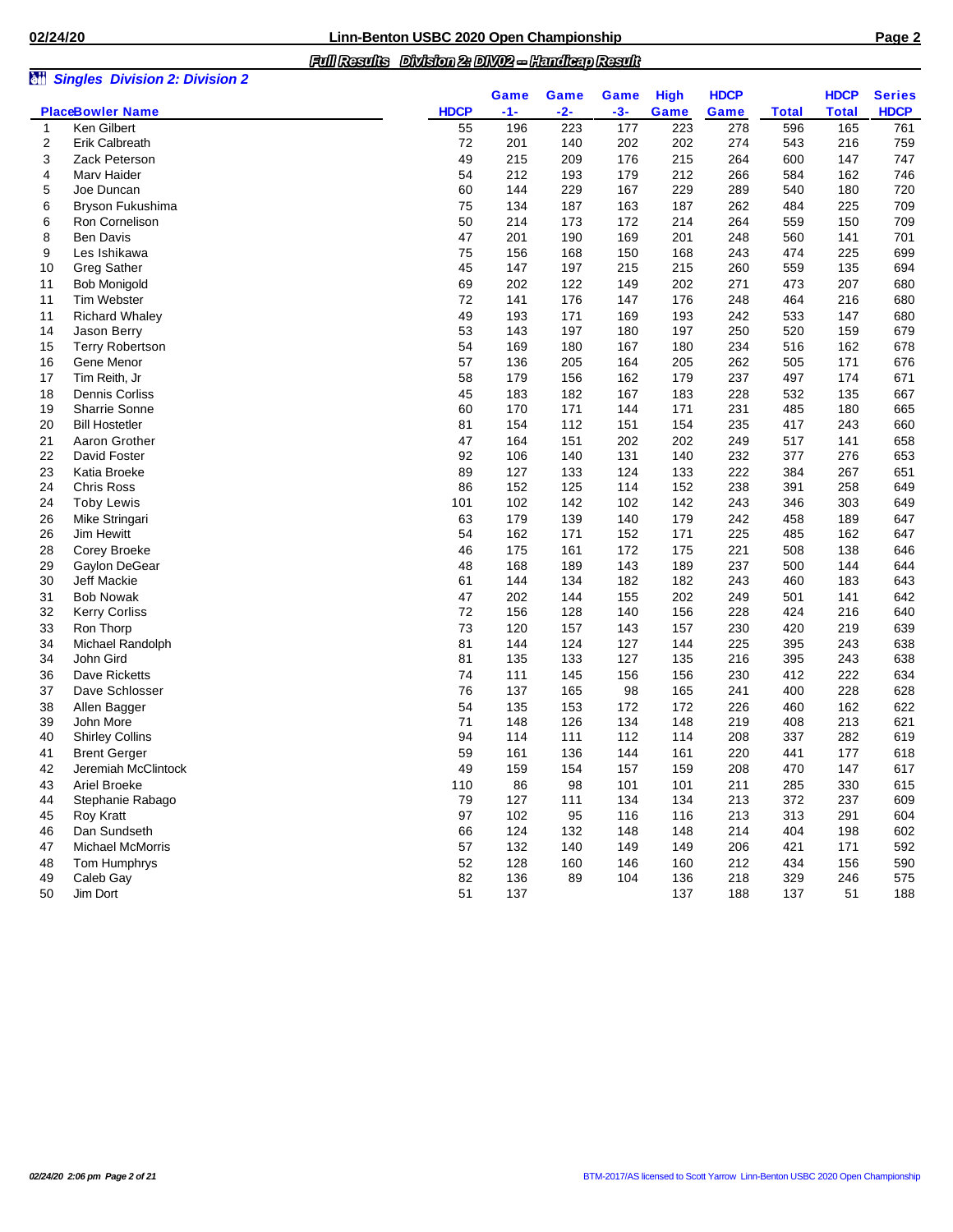## *Full Results Division 2: DIV02 -- Handicap Result*

| àü       | <b>Singles Division 2: Division 2</b> |             |            |            |            |             |             |              |              |               |
|----------|---------------------------------------|-------------|------------|------------|------------|-------------|-------------|--------------|--------------|---------------|
|          |                                       |             | Game       | Game       | Game       | <b>High</b> | <b>HDCP</b> |              | <b>HDCP</b>  | <b>Series</b> |
|          | <b>PlaceBowler Name</b>               | <b>HDCP</b> | $-1-$      | $-2-$      | $-3-$      | Game        | Game        | <b>Total</b> | <b>Total</b> | <b>HDCP</b>   |
| 1        | Ken Gilbert                           | 55          | 196        | 223        | 177        | 223         | 278         | 596          | 165          | 761           |
| 2        | Erik Calbreath                        | 72          | 201        | 140        | 202        | 202         | 274         | 543          | 216          | 759           |
| 3        | Zack Peterson                         | 49          | 215        | 209        | 176        | 215         | 264         | 600          | 147          | 747           |
| 4        | Marv Haider                           | 54          | 212        | 193        | 179        | 212         | 266         | 584          | 162          | 746           |
| 5        | Joe Duncan                            | 60          | 144        | 229        | 167        | 229         | 289         | 540          | 180          | 720           |
| 6        | Bryson Fukushima                      | 75          | 134        | 187        | 163        | 187         | 262         | 484          | 225          | 709           |
| 6        | Ron Cornelison                        | 50          | 214        | 173        | 172        | 214         | 264         | 559          | 150          | 709           |
| 8        | <b>Ben Davis</b>                      | 47          | 201        | 190        | 169        | 201         | 248         | 560          | 141          | 701           |
| 9        | Les Ishikawa                          | 75          | 156        | 168        | 150        | 168         | 243         | 474          | 225          | 699           |
| 10       | <b>Greg Sather</b>                    | 45          | 147        | 197        | 215        | 215         | 260         | 559          | 135          | 694           |
| 11       | <b>Bob Monigold</b>                   | 69          | 202        | 122        | 149        | 202         | 271         | 473          | 207          | 680           |
| 11       | Tim Webster                           | 72          | 141        | 176        | 147        | 176         | 248         | 464          | 216          | 680           |
| 11       | <b>Richard Whaley</b>                 | 49          | 193        | 171        | 169        | 193         | 242         | 533          | 147          | 680           |
| 14       | Jason Berry                           | 53          | 143        | 197        | 180        | 197         | 250         | 520          | 159          | 679           |
| 15       | <b>Terry Robertson</b>                | 54          | 169        | 180        | 167        | 180         | 234         | 516          | 162          | 678           |
| 16       | Gene Menor                            | 57          | 136        | 205        | 164        | 205         | 262         | 505          | 171          | 676           |
| 17       | Tim Reith, Jr                         | 58          | 179        | 156        | 162        | 179         | 237         | 497          | 174          | 671           |
| 18       | Dennis Corliss                        | 45          | 183        | 182        | 167        | 183         | 228         | 532          | 135          | 667           |
| 19       | Sharrie Sonne                         | 60          | 170        | 171        | 144        | 171         | 231         | 485          | 180          | 665           |
| 20       | <b>Bill Hostetler</b>                 | 81          | 154        | 112        | 151        | 154         | 235         | 417          | 243          | 660           |
| 21       | Aaron Grother                         | 47          | 164        | 151        | 202        | 202         | 249         | 517          | 141          | 658           |
| 22       | David Foster                          | 92          | 106        | 140        | 131        | 140         | 232         | 377          | 276          | 653           |
|          |                                       | 89          |            |            |            |             |             |              |              |               |
| 23<br>24 | Katia Broeke<br><b>Chris Ross</b>     | 86          | 127<br>152 | 133        | 124        | 133<br>152  | 222<br>238  | 384          | 267<br>258   | 651<br>649    |
| 24       |                                       | 101         | 102        | 125<br>142 | 114<br>102 | 142         | 243         | 391<br>346   | 303          | 649           |
|          | <b>Toby Lewis</b>                     |             |            |            |            |             |             |              |              |               |
| 26       | Mike Stringari                        | 63          | 179        | 139        | 140        | 179         | 242         | 458          | 189          | 647           |
| 26       | <b>Jim Hewitt</b>                     | 54          | 162        | 171        | 152        | 171         | 225         | 485          | 162          | 647           |
| 28       | Corey Broeke                          | 46          | 175        | 161        | 172        | 175         | 221         | 508          | 138          | 646           |
| 29       | Gaylon DeGear                         | 48          | 168        | 189        | 143        | 189         | 237         | 500          | 144          | 644           |
| 30       | Jeff Mackie                           | 61          | 144        | 134        | 182        | 182         | 243         | 460          | 183          | 643           |
| 31       | <b>Bob Nowak</b>                      | 47          | 202        | 144        | 155        | 202         | 249         | 501          | 141          | 642           |
| 32       | <b>Kerry Corliss</b>                  | 72          | 156        | 128        | 140        | 156         | 228         | 424          | 216          | 640           |
| 33       | Ron Thorp                             | 73          | 120        | 157        | 143        | 157         | 230         | 420          | 219          | 639           |
| 34       | Michael Randolph                      | 81          | 144        | 124        | 127        | 144         | 225         | 395          | 243          | 638           |
| 34       | John Gird                             | 81          | 135        | 133        | 127        | 135         | 216         | 395          | 243          | 638           |
| 36       | Dave Ricketts                         | 74          | 111        | 145        | 156        | 156         | 230         | 412          | 222          | 634           |
| 37       | Dave Schlosser                        | 76          | 137        | 165        | 98         | 165         | 241         | 400          | 228          | 628           |
| 38       | Allen Bagger                          | 54          | 135        | 153        | 172        | 172         | 226         | 460          | 162          | 622           |
| 39       | John More                             | 71          | 148        | 126        | 134        | 148         | 219         | 408          | 213          | 621           |
| 40       | <b>Shirley Collins</b>                | 94          | 114        | 111        | 112        | 114         | 208         | 337          | 282          | 619           |
| 41       | <b>Brent Gerger</b>                   | 59          | 161        | 136        | 144        | 161         | 220         | 441          | 177          | 618           |
| 42       | Jeremiah McClintock                   | 49          | 159        | 154        | 15/        | 159         | 208         | 470          | 147          | 617           |
| 43       | Ariel Broeke                          | 110         | 86         | 98         | 101        | 101         | 211         | 285          | 330          | 615           |
| 44       | Stephanie Rabago                      | 79          | 127        | 111        | 134        | 134         | 213         | 372          | 237          | 609           |
| 45       | Roy Kratt                             | 97          | 102        | 95         | 116        | 116         | 213         | 313          | 291          | 604           |
| 46       | Dan Sundseth                          | 66          | 124        | 132        | 148        | 148         | 214         | 404          | 198          | 602           |
| 47       | <b>Michael McMorris</b>               | 57          | 132        | 140        | 149        | 149         | 206         | 421          | 171          | 592           |
| 48       | Tom Humphrys                          | 52          | 128        | 160        | 146        | 160         | 212         | 434          | 156          | 590           |
| 49       | Caleb Gay                             | 82          | 136        | 89         | 104        | 136         | 218         | 329          | 246          | 575           |
| 50       | Jim Dort                              | 51          | 137        |            |            | 137         | 188         | 137          | 51           | 188           |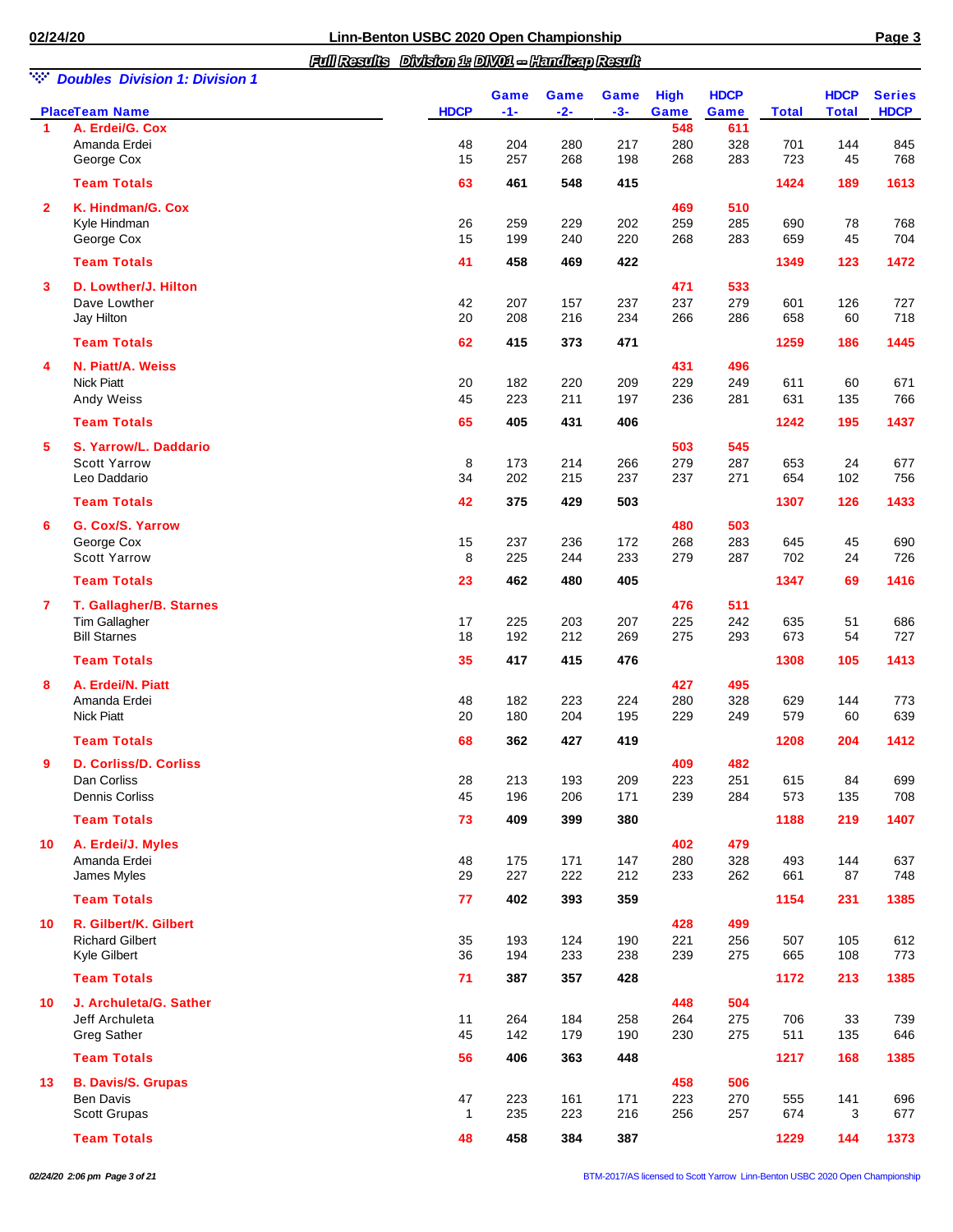| NGC 1          | <b>Doubles Division 1: Division 1</b>         |              |             |                      |               |                     |                     |              |                             |                              |
|----------------|-----------------------------------------------|--------------|-------------|----------------------|---------------|---------------------|---------------------|--------------|-----------------------------|------------------------------|
|                | <b>PlaceTeam Name</b>                         | <b>HDCP</b>  | Game<br>-1- | <b>Game</b><br>$-2-$ | Game<br>$-3-$ | <b>High</b><br>Game | <b>HDCP</b><br>Game | <b>Total</b> | <b>HDCP</b><br><b>Total</b> | <b>Series</b><br><b>HDCP</b> |
| 1              | A. Erdei/G. Cox                               |              |             |                      |               | 548                 | 611                 |              |                             |                              |
|                | Amanda Erdei<br>George Cox                    | 48<br>15     | 204<br>257  | 280<br>268           | 217<br>198    | 280<br>268          | 328<br>283          | 701<br>723   | 144<br>45                   | 845<br>768                   |
|                |                                               |              |             |                      |               |                     |                     |              |                             |                              |
|                | <b>Team Totals</b>                            | 63           | 461         | 548                  | 415           |                     |                     | 1424         | 189                         | 1613                         |
| $\overline{2}$ | K. Hindman/G. Cox                             |              |             |                      |               | 469                 | 510                 |              |                             |                              |
|                | Kyle Hindman                                  | 26           | 259         | 229                  | 202           | 259                 | 285                 | 690          | 78                          | 768                          |
|                | George Cox                                    | 15           | 199         | 240                  | 220           | 268                 | 283                 | 659          | 45                          | 704                          |
|                | <b>Team Totals</b>                            | 41           | 458         | 469                  | 422           |                     |                     | 1349         | 123                         | 1472                         |
| 3              | D. Lowther/J. Hilton                          |              |             |                      |               | 471                 | 533                 |              |                             |                              |
|                | Dave Lowther                                  | 42           | 207         | 157                  | 237           | 237                 | 279                 | 601          | 126                         | 727                          |
|                | Jay Hilton                                    | 20           | 208         | 216                  | 234           | 266                 | 286                 | 658          | 60                          | 718                          |
|                | <b>Team Totals</b>                            | 62           | 415         | 373                  | 471           |                     |                     | 1259         | 186                         | 1445                         |
|                |                                               |              |             |                      |               |                     |                     |              |                             |                              |
| 4              | N. Piatt/A. Weiss                             |              |             |                      |               | 431                 | 496                 |              |                             |                              |
|                | <b>Nick Piatt</b><br>Andy Weiss               | 20<br>45     | 182<br>223  | 220<br>211           | 209<br>197    | 229<br>236          | 249<br>281          | 611<br>631   | 60<br>135                   | 671<br>766                   |
|                |                                               |              |             |                      |               |                     |                     |              |                             |                              |
|                | <b>Team Totals</b>                            | 65           | 405         | 431                  | 406           |                     |                     | 1242         | 195                         | 1437                         |
| 5              | S. Yarrow/L. Daddario                         |              |             |                      |               | 503                 | 545                 |              |                             |                              |
|                | <b>Scott Yarrow</b>                           | 8            | 173         | 214                  | 266           | 279                 | 287                 | 653          | 24                          | 677                          |
|                | Leo Daddario                                  | 34           | 202         | 215                  | 237           | 237                 | 271                 | 654          | 102                         | 756                          |
|                | <b>Team Totals</b>                            | 42           | 375         | 429                  | 503           |                     |                     | 1307         | 126                         | 1433                         |
| 6              | G. Cox/S. Yarrow                              |              |             |                      |               | 480                 | 503                 |              |                             |                              |
|                | George Cox                                    | 15           | 237         | 236                  | 172           | 268                 | 283                 | 645          | 45                          | 690                          |
|                | <b>Scott Yarrow</b>                           | 8            | 225         | 244                  | 233           | 279                 | 287                 | 702          | 24                          | 726                          |
|                | <b>Team Totals</b>                            | 23           | 462         | 480                  | 405           |                     |                     | 1347         | 69                          | 1416                         |
| 7              | T. Gallagher/B. Starnes                       |              |             |                      |               | 476                 | 511                 |              |                             |                              |
|                | Tim Gallagher                                 | 17           | 225         | 203                  | 207           | 225                 | 242                 | 635          | 51                          | 686                          |
|                | <b>Bill Starnes</b>                           | 18           | 192         | 212                  | 269           | 275                 | 293                 | 673          | 54                          | 727                          |
|                | <b>Team Totals</b>                            | 35           | 417         | 415                  | 476           |                     |                     | 1308         | 105                         | 1413                         |
| 8              | A. Erdei/N. Piatt                             |              |             |                      |               | 427                 | 495                 |              |                             |                              |
|                | Amanda Erdei                                  | 48           | 182         | 223                  | 224           | 280                 | 328                 | 629          | 144                         | 773                          |
|                | <b>Nick Piatt</b>                             | 20           | 180         | 204                  | 195           | 229                 | 249                 | 579          | 60                          | 639                          |
|                | <b>Team Totals</b>                            | 68           | 362         | 427                  | 419           |                     |                     | 1208         | 204                         | 1412                         |
|                | D. Corliss/D. Corliss                         |              |             |                      |               | 409                 | 482                 |              |                             |                              |
|                | Dan Corliss                                   | 28           | 213         | 193                  | 209           | 223                 | 251                 | 615          | 84                          | 699                          |
|                | Dennis Corliss                                | 45           | 196         | 206                  | 171           | 239                 | 284                 | 573          | 135                         | 708                          |
|                | <b>Team Totals</b>                            | 73           | 409         | 399                  | 380           |                     |                     | 1188         | 219                         | 1407                         |
|                |                                               |              |             |                      |               |                     |                     |              |                             |                              |
| 10             | A. Erdei/J. Myles                             |              |             |                      |               | 402                 | 479                 |              |                             |                              |
|                | Amanda Erdei                                  | 48           | 175         | 171                  | 147           | 280                 | 328                 | 493          | 144                         | 637                          |
|                | James Myles                                   | 29           | 227         | 222                  | 212           | 233                 | 262                 | 661          | 87                          | 748                          |
|                | <b>Team Totals</b>                            | 77           | 402         | 393                  | 359           |                     |                     | 1154         | 231                         | 1385                         |
| 10             | R. Gilbert/K. Gilbert                         |              |             |                      |               | 428                 | 499                 |              |                             |                              |
|                | <b>Richard Gilbert</b>                        | 35           | 193         | 124                  | 190           | 221                 | 256                 | 507          | 105                         | 612                          |
|                | Kyle Gilbert                                  | 36           | 194         | 233                  | 238           | 239                 | 275                 | 665          | 108                         | 773                          |
|                | <b>Team Totals</b>                            | 71           | 387         | 357                  | 428           |                     |                     | 1172         | 213                         | 1385                         |
| 10             | J. Archuleta/G. Sather                        |              |             |                      |               | 448                 | 504                 |              |                             |                              |
|                | Jeff Archuleta                                | 11           | 264         | 184                  | 258           | 264                 | 275                 | 706          | 33                          | 739                          |
|                | <b>Greg Sather</b>                            | 45           | 142         | 179                  | 190           | 230                 | 275                 | 511          | 135                         | 646                          |
|                | <b>Team Totals</b>                            | 56           | 406         | 363                  | 448           |                     |                     | 1217         | 168                         | 1385                         |
|                |                                               |              |             |                      |               |                     |                     |              |                             |                              |
| 13             | <b>B. Davis/S. Grupas</b><br><b>Ben Davis</b> | 47           | 223         | 161                  | 171           | 458<br>223          | 506<br>270          | 555          | 141                         | 696                          |
|                | Scott Grupas                                  | $\mathbf{1}$ | 235         | 223                  | 216           | 256                 | 257                 | 674          | 3                           | 677                          |
|                |                                               |              |             |                      |               |                     |                     |              |                             |                              |
|                | <b>Team Totals</b>                            | 48           | 458         | 384                  | 387           |                     |                     | 1229         | 144                         | 1373                         |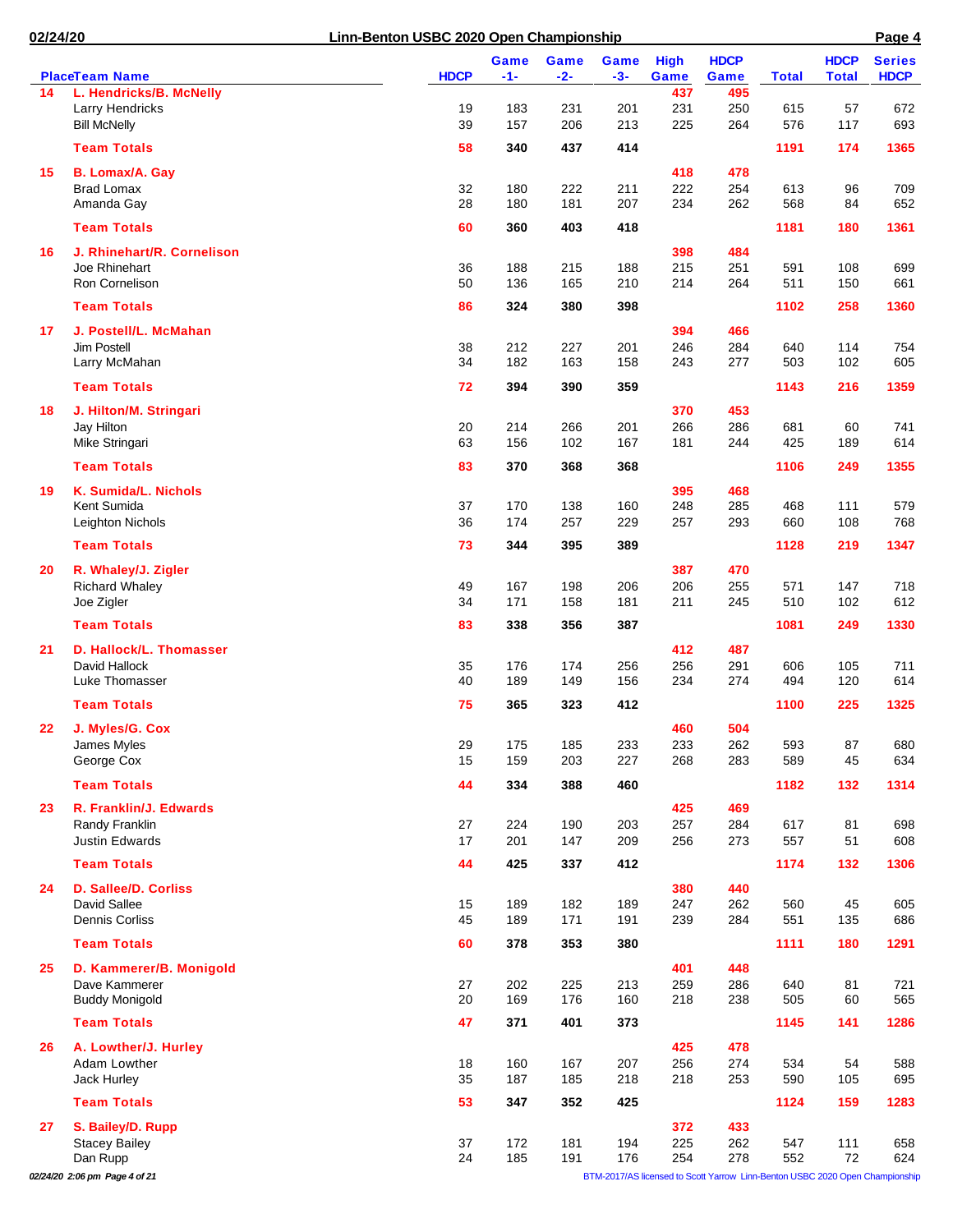| <b>HDCP</b><br>$-1-$<br><b>Total</b><br>$-2-$<br>Game<br>437<br>L. Hendricks/B. McNelly<br>495<br>14<br>183<br>231<br>201<br>231<br>250<br>Larry Hendricks<br>19<br>615<br>57<br>39<br>157<br>206<br>213<br>225<br>264<br>576<br><b>Bill McNelly</b><br>117<br><b>Team Totals</b><br>58<br>340<br>414<br>437<br>1191<br>174<br>418<br>478<br><b>B. Lomax/A. Gay</b><br>15<br>222<br>222<br>254<br><b>Brad Lomax</b><br>32<br>180<br>211<br>613<br>96<br>180<br>262<br>568<br>Amanda Gay<br>28<br>181<br>207<br>234<br>84<br><b>Team Totals</b><br>60<br>403<br>418<br>360<br>1181<br>180<br>J. Rhinehart/R. Cornelison<br>398<br>484<br>16<br>Joe Rhinehart<br>36<br>188<br>215<br>215<br>251<br>591<br>108<br>188<br>264<br><b>Ron Cornelison</b><br>50<br>136<br>165<br>210<br>214<br>511<br>150<br><b>Team Totals</b><br>86<br>324<br>380<br>398<br>1102<br>258<br>J. Postell/L. McMahan<br>394<br>466<br>17<br>Jim Postell<br>246<br>284<br>38<br>212<br>227<br>201<br>640<br>114<br>182<br>277<br>102<br>Larry McMahan<br>34<br>163<br>158<br>243<br>503<br><b>Team Totals</b><br>359<br>72<br>394<br>390<br>1143<br>216<br>453<br>J. Hilton/M. Stringari<br>370<br>18<br>214<br>286<br>Jay Hilton<br>20<br>266<br>201<br>266<br>681<br>60<br>Mike Stringari<br>63<br>156<br>102<br>167<br>181<br>244<br>425<br>189<br><b>Team Totals</b><br>83<br>370<br>368<br>368<br>1106<br>249<br>K. Sumida/L. Nichols<br>395<br>468<br>19<br>285<br>Kent Sumida<br>37<br>170<br>138<br>160<br>248<br>468<br>111<br>36<br>174<br>257<br>660<br>Leighton Nichols<br>229<br>257<br>293<br>108<br><b>Team Totals</b><br>73<br>344<br>395<br>389<br>1128<br>219<br>R. Whaley/J. Zigler<br>387<br>470<br>20 | 672<br>693<br>1365<br>709<br>652 |
|--------------------------------------------------------------------------------------------------------------------------------------------------------------------------------------------------------------------------------------------------------------------------------------------------------------------------------------------------------------------------------------------------------------------------------------------------------------------------------------------------------------------------------------------------------------------------------------------------------------------------------------------------------------------------------------------------------------------------------------------------------------------------------------------------------------------------------------------------------------------------------------------------------------------------------------------------------------------------------------------------------------------------------------------------------------------------------------------------------------------------------------------------------------------------------------------------------------------------------------------------------------------------------------------------------------------------------------------------------------------------------------------------------------------------------------------------------------------------------------------------------------------------------------------------------------------------------------------------------------------------------------------------------------------------------------------------|----------------------------------|
|                                                                                                                                                                                                                                                                                                                                                                                                                                                                                                                                                                                                                                                                                                                                                                                                                                                                                                                                                                                                                                                                                                                                                                                                                                                                                                                                                                                                                                                                                                                                                                                                                                                                                                  |                                  |
|                                                                                                                                                                                                                                                                                                                                                                                                                                                                                                                                                                                                                                                                                                                                                                                                                                                                                                                                                                                                                                                                                                                                                                                                                                                                                                                                                                                                                                                                                                                                                                                                                                                                                                  |                                  |
|                                                                                                                                                                                                                                                                                                                                                                                                                                                                                                                                                                                                                                                                                                                                                                                                                                                                                                                                                                                                                                                                                                                                                                                                                                                                                                                                                                                                                                                                                                                                                                                                                                                                                                  |                                  |
|                                                                                                                                                                                                                                                                                                                                                                                                                                                                                                                                                                                                                                                                                                                                                                                                                                                                                                                                                                                                                                                                                                                                                                                                                                                                                                                                                                                                                                                                                                                                                                                                                                                                                                  |                                  |
|                                                                                                                                                                                                                                                                                                                                                                                                                                                                                                                                                                                                                                                                                                                                                                                                                                                                                                                                                                                                                                                                                                                                                                                                                                                                                                                                                                                                                                                                                                                                                                                                                                                                                                  |                                  |
|                                                                                                                                                                                                                                                                                                                                                                                                                                                                                                                                                                                                                                                                                                                                                                                                                                                                                                                                                                                                                                                                                                                                                                                                                                                                                                                                                                                                                                                                                                                                                                                                                                                                                                  |                                  |
|                                                                                                                                                                                                                                                                                                                                                                                                                                                                                                                                                                                                                                                                                                                                                                                                                                                                                                                                                                                                                                                                                                                                                                                                                                                                                                                                                                                                                                                                                                                                                                                                                                                                                                  |                                  |
|                                                                                                                                                                                                                                                                                                                                                                                                                                                                                                                                                                                                                                                                                                                                                                                                                                                                                                                                                                                                                                                                                                                                                                                                                                                                                                                                                                                                                                                                                                                                                                                                                                                                                                  | 1361                             |
|                                                                                                                                                                                                                                                                                                                                                                                                                                                                                                                                                                                                                                                                                                                                                                                                                                                                                                                                                                                                                                                                                                                                                                                                                                                                                                                                                                                                                                                                                                                                                                                                                                                                                                  |                                  |
|                                                                                                                                                                                                                                                                                                                                                                                                                                                                                                                                                                                                                                                                                                                                                                                                                                                                                                                                                                                                                                                                                                                                                                                                                                                                                                                                                                                                                                                                                                                                                                                                                                                                                                  | 699                              |
|                                                                                                                                                                                                                                                                                                                                                                                                                                                                                                                                                                                                                                                                                                                                                                                                                                                                                                                                                                                                                                                                                                                                                                                                                                                                                                                                                                                                                                                                                                                                                                                                                                                                                                  | 661                              |
|                                                                                                                                                                                                                                                                                                                                                                                                                                                                                                                                                                                                                                                                                                                                                                                                                                                                                                                                                                                                                                                                                                                                                                                                                                                                                                                                                                                                                                                                                                                                                                                                                                                                                                  | 1360                             |
|                                                                                                                                                                                                                                                                                                                                                                                                                                                                                                                                                                                                                                                                                                                                                                                                                                                                                                                                                                                                                                                                                                                                                                                                                                                                                                                                                                                                                                                                                                                                                                                                                                                                                                  |                                  |
|                                                                                                                                                                                                                                                                                                                                                                                                                                                                                                                                                                                                                                                                                                                                                                                                                                                                                                                                                                                                                                                                                                                                                                                                                                                                                                                                                                                                                                                                                                                                                                                                                                                                                                  | 754<br>605                       |
|                                                                                                                                                                                                                                                                                                                                                                                                                                                                                                                                                                                                                                                                                                                                                                                                                                                                                                                                                                                                                                                                                                                                                                                                                                                                                                                                                                                                                                                                                                                                                                                                                                                                                                  |                                  |
|                                                                                                                                                                                                                                                                                                                                                                                                                                                                                                                                                                                                                                                                                                                                                                                                                                                                                                                                                                                                                                                                                                                                                                                                                                                                                                                                                                                                                                                                                                                                                                                                                                                                                                  | 1359                             |
|                                                                                                                                                                                                                                                                                                                                                                                                                                                                                                                                                                                                                                                                                                                                                                                                                                                                                                                                                                                                                                                                                                                                                                                                                                                                                                                                                                                                                                                                                                                                                                                                                                                                                                  |                                  |
|                                                                                                                                                                                                                                                                                                                                                                                                                                                                                                                                                                                                                                                                                                                                                                                                                                                                                                                                                                                                                                                                                                                                                                                                                                                                                                                                                                                                                                                                                                                                                                                                                                                                                                  | 741                              |
|                                                                                                                                                                                                                                                                                                                                                                                                                                                                                                                                                                                                                                                                                                                                                                                                                                                                                                                                                                                                                                                                                                                                                                                                                                                                                                                                                                                                                                                                                                                                                                                                                                                                                                  | 614                              |
|                                                                                                                                                                                                                                                                                                                                                                                                                                                                                                                                                                                                                                                                                                                                                                                                                                                                                                                                                                                                                                                                                                                                                                                                                                                                                                                                                                                                                                                                                                                                                                                                                                                                                                  | 1355                             |
|                                                                                                                                                                                                                                                                                                                                                                                                                                                                                                                                                                                                                                                                                                                                                                                                                                                                                                                                                                                                                                                                                                                                                                                                                                                                                                                                                                                                                                                                                                                                                                                                                                                                                                  |                                  |
|                                                                                                                                                                                                                                                                                                                                                                                                                                                                                                                                                                                                                                                                                                                                                                                                                                                                                                                                                                                                                                                                                                                                                                                                                                                                                                                                                                                                                                                                                                                                                                                                                                                                                                  | 579                              |
|                                                                                                                                                                                                                                                                                                                                                                                                                                                                                                                                                                                                                                                                                                                                                                                                                                                                                                                                                                                                                                                                                                                                                                                                                                                                                                                                                                                                                                                                                                                                                                                                                                                                                                  | 768                              |
|                                                                                                                                                                                                                                                                                                                                                                                                                                                                                                                                                                                                                                                                                                                                                                                                                                                                                                                                                                                                                                                                                                                                                                                                                                                                                                                                                                                                                                                                                                                                                                                                                                                                                                  | 1347                             |
|                                                                                                                                                                                                                                                                                                                                                                                                                                                                                                                                                                                                                                                                                                                                                                                                                                                                                                                                                                                                                                                                                                                                                                                                                                                                                                                                                                                                                                                                                                                                                                                                                                                                                                  |                                  |
| <b>Richard Whaley</b><br>206<br>255<br>49<br>167<br>198<br>206<br>571<br>147                                                                                                                                                                                                                                                                                                                                                                                                                                                                                                                                                                                                                                                                                                                                                                                                                                                                                                                                                                                                                                                                                                                                                                                                                                                                                                                                                                                                                                                                                                                                                                                                                     | 718                              |
| Joe Zigler<br>34<br>171<br>158<br>181<br>211<br>245<br>510<br>102                                                                                                                                                                                                                                                                                                                                                                                                                                                                                                                                                                                                                                                                                                                                                                                                                                                                                                                                                                                                                                                                                                                                                                                                                                                                                                                                                                                                                                                                                                                                                                                                                                | 612                              |
| <b>Team Totals</b><br>83<br>338<br>356<br>387<br>1081<br>249                                                                                                                                                                                                                                                                                                                                                                                                                                                                                                                                                                                                                                                                                                                                                                                                                                                                                                                                                                                                                                                                                                                                                                                                                                                                                                                                                                                                                                                                                                                                                                                                                                     | 1330                             |
| D. Hallock/L. Thomasser<br>412<br>487<br>21                                                                                                                                                                                                                                                                                                                                                                                                                                                                                                                                                                                                                                                                                                                                                                                                                                                                                                                                                                                                                                                                                                                                                                                                                                                                                                                                                                                                                                                                                                                                                                                                                                                      |                                  |
| David Hallock<br>35<br>176<br>174<br>256<br>291<br>105<br>256<br>606                                                                                                                                                                                                                                                                                                                                                                                                                                                                                                                                                                                                                                                                                                                                                                                                                                                                                                                                                                                                                                                                                                                                                                                                                                                                                                                                                                                                                                                                                                                                                                                                                             | 711                              |
| Luke Thomasser<br>40<br>189<br>149<br>156<br>274<br>494<br>234<br>120                                                                                                                                                                                                                                                                                                                                                                                                                                                                                                                                                                                                                                                                                                                                                                                                                                                                                                                                                                                                                                                                                                                                                                                                                                                                                                                                                                                                                                                                                                                                                                                                                            | 614                              |
| <b>Team Totals</b><br>75<br>365<br>323<br>412<br>1100<br>225                                                                                                                                                                                                                                                                                                                                                                                                                                                                                                                                                                                                                                                                                                                                                                                                                                                                                                                                                                                                                                                                                                                                                                                                                                                                                                                                                                                                                                                                                                                                                                                                                                     | 1325                             |
| 504<br>J. Myles/G. Cox<br>460<br>22                                                                                                                                                                                                                                                                                                                                                                                                                                                                                                                                                                                                                                                                                                                                                                                                                                                                                                                                                                                                                                                                                                                                                                                                                                                                                                                                                                                                                                                                                                                                                                                                                                                              |                                  |
| James Myles<br>185<br>233<br>233<br>262<br>593<br>29<br>175<br>87                                                                                                                                                                                                                                                                                                                                                                                                                                                                                                                                                                                                                                                                                                                                                                                                                                                                                                                                                                                                                                                                                                                                                                                                                                                                                                                                                                                                                                                                                                                                                                                                                                | 680                              |
| George Cox<br>227<br>589<br>15<br>159<br>203<br>268<br>283<br>45                                                                                                                                                                                                                                                                                                                                                                                                                                                                                                                                                                                                                                                                                                                                                                                                                                                                                                                                                                                                                                                                                                                                                                                                                                                                                                                                                                                                                                                                                                                                                                                                                                 | 634                              |
| <b>Team Totals</b><br>44<br>388<br>460<br>1182<br>334<br>132                                                                                                                                                                                                                                                                                                                                                                                                                                                                                                                                                                                                                                                                                                                                                                                                                                                                                                                                                                                                                                                                                                                                                                                                                                                                                                                                                                                                                                                                                                                                                                                                                                     | 1314                             |
| R. Franklin/J. Edwards<br>425<br>469<br>23                                                                                                                                                                                                                                                                                                                                                                                                                                                                                                                                                                                                                                                                                                                                                                                                                                                                                                                                                                                                                                                                                                                                                                                                                                                                                                                                                                                                                                                                                                                                                                                                                                                       |                                  |
| Randy Franklin<br>27<br>224<br>257<br>284<br>617<br>190<br>203<br>81                                                                                                                                                                                                                                                                                                                                                                                                                                                                                                                                                                                                                                                                                                                                                                                                                                                                                                                                                                                                                                                                                                                                                                                                                                                                                                                                                                                                                                                                                                                                                                                                                             | 698                              |
| <b>Justin Edwards</b><br>17<br>201<br>147<br>209<br>256<br>273<br>557<br>51                                                                                                                                                                                                                                                                                                                                                                                                                                                                                                                                                                                                                                                                                                                                                                                                                                                                                                                                                                                                                                                                                                                                                                                                                                                                                                                                                                                                                                                                                                                                                                                                                      | 608                              |
| <b>Team Totals</b><br>44<br>425<br>412<br>1174<br>337<br>132                                                                                                                                                                                                                                                                                                                                                                                                                                                                                                                                                                                                                                                                                                                                                                                                                                                                                                                                                                                                                                                                                                                                                                                                                                                                                                                                                                                                                                                                                                                                                                                                                                     | 1306                             |
| D. Sallee/D. Corliss<br>380<br>440<br>24                                                                                                                                                                                                                                                                                                                                                                                                                                                                                                                                                                                                                                                                                                                                                                                                                                                                                                                                                                                                                                                                                                                                                                                                                                                                                                                                                                                                                                                                                                                                                                                                                                                         |                                  |
| David Sallee<br>262<br>15<br>189<br>182<br>189<br>247<br>560<br>45<br><b>Dennis Corliss</b><br>45                                                                                                                                                                                                                                                                                                                                                                                                                                                                                                                                                                                                                                                                                                                                                                                                                                                                                                                                                                                                                                                                                                                                                                                                                                                                                                                                                                                                                                                                                                                                                                                                | 605                              |
| 189<br>171<br>191<br>239<br>284<br>551<br>135                                                                                                                                                                                                                                                                                                                                                                                                                                                                                                                                                                                                                                                                                                                                                                                                                                                                                                                                                                                                                                                                                                                                                                                                                                                                                                                                                                                                                                                                                                                                                                                                                                                    | 686                              |
| <b>Team Totals</b><br>380<br>1111<br>60<br>378<br>353<br>180                                                                                                                                                                                                                                                                                                                                                                                                                                                                                                                                                                                                                                                                                                                                                                                                                                                                                                                                                                                                                                                                                                                                                                                                                                                                                                                                                                                                                                                                                                                                                                                                                                     | 1291                             |
| 401<br>25<br>D. Kammerer/B. Monigold<br>448                                                                                                                                                                                                                                                                                                                                                                                                                                                                                                                                                                                                                                                                                                                                                                                                                                                                                                                                                                                                                                                                                                                                                                                                                                                                                                                                                                                                                                                                                                                                                                                                                                                      |                                  |
| 27<br>Dave Kammerer<br>202<br>225<br>213<br>259<br>286<br>640<br>81<br>20<br>169<br>160<br>505<br>60<br><b>Buddy Monigold</b><br>176<br>218<br>238                                                                                                                                                                                                                                                                                                                                                                                                                                                                                                                                                                                                                                                                                                                                                                                                                                                                                                                                                                                                                                                                                                                                                                                                                                                                                                                                                                                                                                                                                                                                               | 721<br>565                       |
| <b>Team Totals</b><br>47<br>371<br>1145<br>401<br>373<br>141                                                                                                                                                                                                                                                                                                                                                                                                                                                                                                                                                                                                                                                                                                                                                                                                                                                                                                                                                                                                                                                                                                                                                                                                                                                                                                                                                                                                                                                                                                                                                                                                                                     | 1286                             |
|                                                                                                                                                                                                                                                                                                                                                                                                                                                                                                                                                                                                                                                                                                                                                                                                                                                                                                                                                                                                                                                                                                                                                                                                                                                                                                                                                                                                                                                                                                                                                                                                                                                                                                  |                                  |
| A. Lowther/J. Hurley<br>425<br>478<br>26                                                                                                                                                                                                                                                                                                                                                                                                                                                                                                                                                                                                                                                                                                                                                                                                                                                                                                                                                                                                                                                                                                                                                                                                                                                                                                                                                                                                                                                                                                                                                                                                                                                         |                                  |
| Adam Lowther<br>256<br>274<br>18<br>160<br>167<br>207<br>534<br>54<br>35<br>Jack Hurley<br>187<br>185<br>218<br>218<br>253<br>590<br>105                                                                                                                                                                                                                                                                                                                                                                                                                                                                                                                                                                                                                                                                                                                                                                                                                                                                                                                                                                                                                                                                                                                                                                                                                                                                                                                                                                                                                                                                                                                                                         | 588<br>695                       |
|                                                                                                                                                                                                                                                                                                                                                                                                                                                                                                                                                                                                                                                                                                                                                                                                                                                                                                                                                                                                                                                                                                                                                                                                                                                                                                                                                                                                                                                                                                                                                                                                                                                                                                  |                                  |
| <b>Team Totals</b><br>425<br>53<br>347<br>352<br>1124<br>159                                                                                                                                                                                                                                                                                                                                                                                                                                                                                                                                                                                                                                                                                                                                                                                                                                                                                                                                                                                                                                                                                                                                                                                                                                                                                                                                                                                                                                                                                                                                                                                                                                     | 1283                             |
| 372<br>433<br>S. Bailey/D. Rupp<br>27<br><b>Stacey Bailey</b><br>37<br>172<br>181<br>194<br>225<br>262<br>547<br>111                                                                                                                                                                                                                                                                                                                                                                                                                                                                                                                                                                                                                                                                                                                                                                                                                                                                                                                                                                                                                                                                                                                                                                                                                                                                                                                                                                                                                                                                                                                                                                             | 658                              |
| 185<br>191<br>176<br>278<br>552<br>72<br>Dan Rupp<br>24<br>254                                                                                                                                                                                                                                                                                                                                                                                                                                                                                                                                                                                                                                                                                                                                                                                                                                                                                                                                                                                                                                                                                                                                                                                                                                                                                                                                                                                                                                                                                                                                                                                                                                   | 624                              |

*02/24/20 2:06 pm Page 4 of 21* BTM-2017/AS licensed to Scott Yarrow Linn-Benton USBC 2020 Open Championship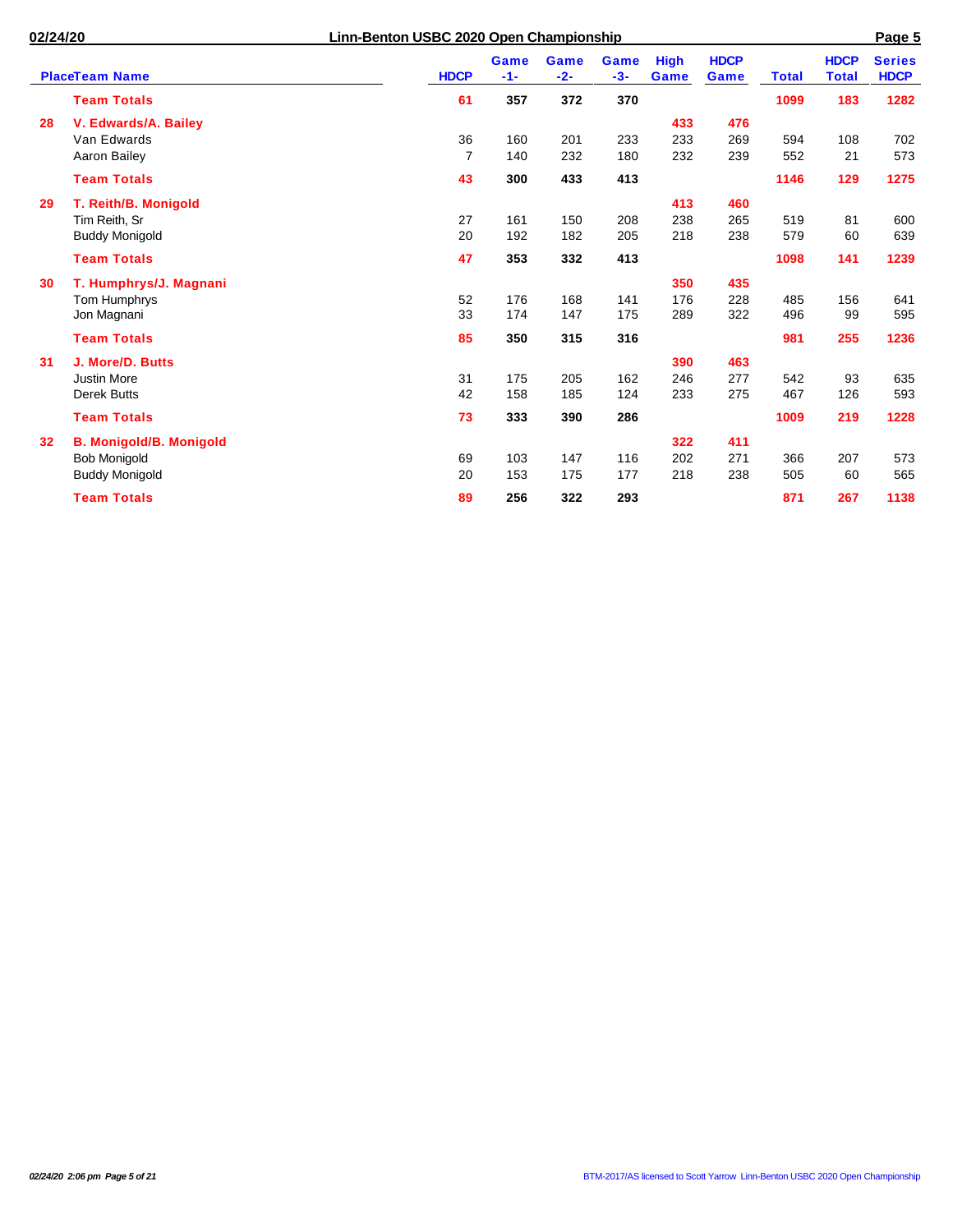|                 | <b>PlaceTeam Name</b>          | <b>HDCP</b>    | <b>Game</b><br>$-1-$ | <b>Game</b><br>$-2-$ | <b>Game</b><br>$-3-$ | <b>High</b><br><b>Game</b> | <b>HDCP</b><br>Game | <b>Total</b> | <b>HDCP</b><br><b>Total</b> | <b>Series</b><br><b>HDCP</b> |
|-----------------|--------------------------------|----------------|----------------------|----------------------|----------------------|----------------------------|---------------------|--------------|-----------------------------|------------------------------|
|                 | <b>Team Totals</b>             | 61             | 357                  | 372                  | 370                  |                            |                     | 1099         | 183                         | 1282                         |
| 28              | V. Edwards/A. Bailey           |                |                      |                      |                      | 433                        | 476                 |              |                             |                              |
|                 | Van Edwards                    | 36             | 160                  | 201                  | 233                  | 233                        | 269                 | 594          | 108                         | 702                          |
|                 | Aaron Bailey                   | $\overline{7}$ | 140                  | 232                  | 180                  | 232                        | 239                 | 552          | 21                          | 573                          |
|                 | <b>Team Totals</b>             | 43             | 300                  | 433                  | 413                  |                            |                     | 1146         | 129                         | 1275                         |
| 29              | T. Reith/B. Monigold           |                |                      |                      |                      | 413                        | 460                 |              |                             |                              |
|                 | Tim Reith, Sr                  | 27             | 161                  | 150                  | 208                  | 238                        | 265                 | 519          | 81                          | 600                          |
|                 | <b>Buddy Monigold</b>          | 20             | 192                  | 182                  | 205                  | 218                        | 238                 | 579          | 60                          | 639                          |
|                 | <b>Team Totals</b>             | 47             | 353                  | 332                  | 413                  |                            |                     | 1098         | 141                         | 1239                         |
| 30              | T. Humphrys/J. Magnani         |                |                      |                      |                      | 350                        | 435                 |              |                             |                              |
|                 | Tom Humphrys                   | 52             | 176                  | 168                  | 141                  | 176                        | 228                 | 485          | 156                         | 641                          |
|                 | Jon Magnani                    | 33             | 174                  | 147                  | 175                  | 289                        | 322                 | 496          | 99                          | 595                          |
|                 | <b>Team Totals</b>             | 85             | 350                  | 315                  | 316                  |                            |                     | 981          | 255                         | 1236                         |
| 31              | J. More/D. Butts               |                |                      |                      |                      | 390                        | 463                 |              |                             |                              |
|                 | <b>Justin More</b>             | 31             | 175                  | 205                  | 162                  | 246                        | 277                 | 542          | 93                          | 635                          |
|                 | <b>Derek Butts</b>             | 42             | 158                  | 185                  | 124                  | 233                        | 275                 | 467          | 126                         | 593                          |
|                 | <b>Team Totals</b>             | 73             | 333                  | 390                  | 286                  |                            |                     | 1009         | 219                         | 1228                         |
| 32 <sub>2</sub> | <b>B. Monigold/B. Monigold</b> |                |                      |                      |                      | 322                        | 411                 |              |                             |                              |
|                 | <b>Bob Monigold</b>            | 69             | 103                  | 147                  | 116                  | 202                        | 271                 | 366          | 207                         | 573                          |
|                 | <b>Buddy Monigold</b>          | 20             | 153                  | 175                  | 177                  | 218                        | 238                 | 505          | 60                          | 565                          |
|                 | <b>Team Totals</b>             | 89             | 256                  | 322                  | 293                  |                            |                     | 871          | 267                         | 1138                         |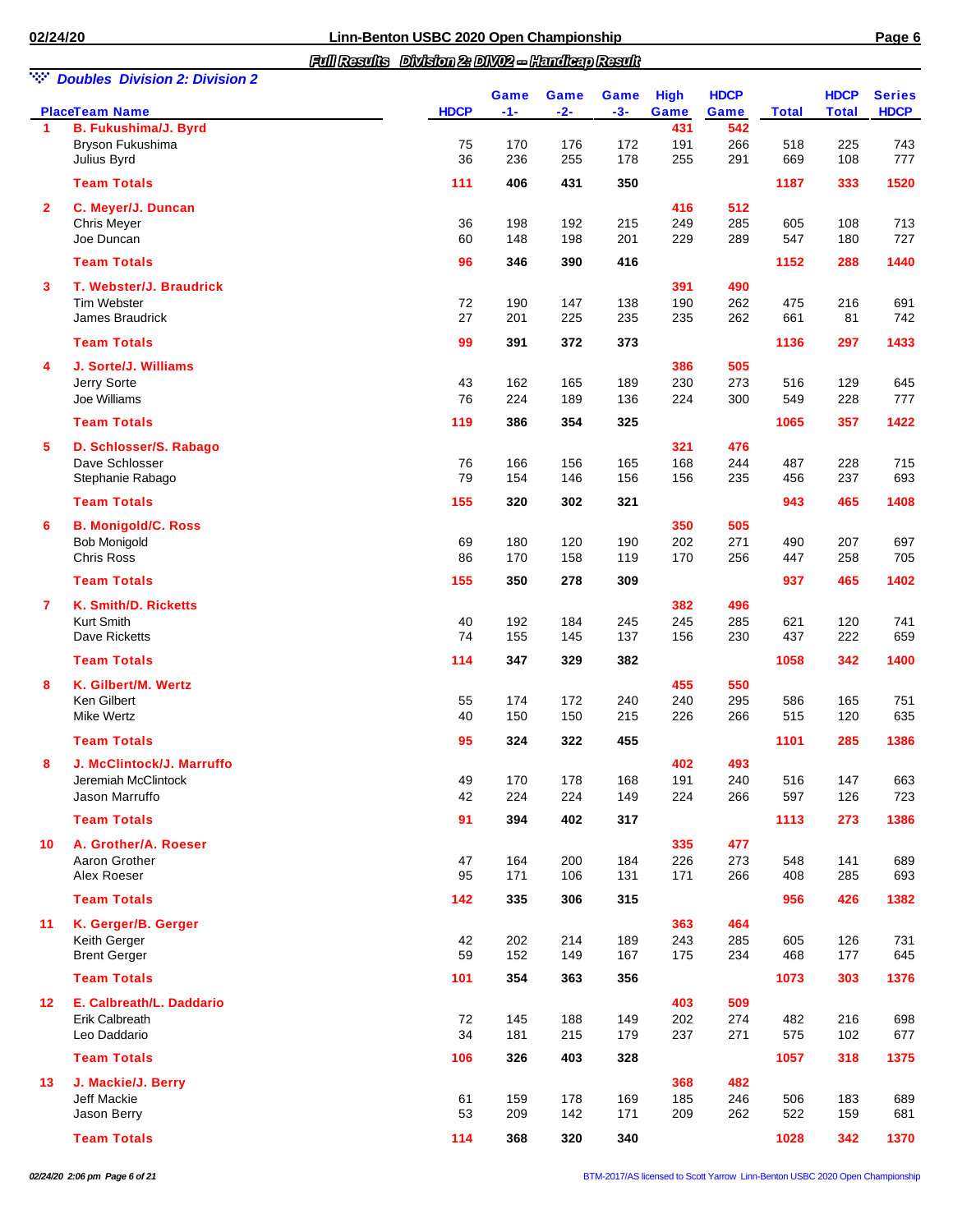*Full Results Division 2: DIV02 -- Handicap Result*

|--|--|

| w.              | <b>Doubles Division 2: Division 2</b><br><b>PlaceTeam Name</b> | <b>HDCP</b> | Game<br>$-1-$ | Game<br>$-2-$ | Game<br>$-3-$ | <b>High</b><br>Game | <b>HDCP</b><br>Game | <b>Total</b> | <b>HDCP</b><br><b>Total</b> | <b>Series</b><br><b>HDCP</b> |
|-----------------|----------------------------------------------------------------|-------------|---------------|---------------|---------------|---------------------|---------------------|--------------|-----------------------------|------------------------------|
| 1               | <b>B. Fukushima/J. Byrd</b>                                    |             |               |               |               | 431                 | 542                 |              |                             |                              |
|                 | Bryson Fukushima                                               | 75          | 170           | 176           | 172           | 191                 | 266                 | 518          | 225                         | 743                          |
|                 | Julius Byrd                                                    | 36          | 236           | 255           | 178           | 255                 | 291                 | 669          | 108                         | 777                          |
|                 | <b>Team Totals</b>                                             | 111         | 406           | 431           | 350           |                     |                     | 1187         | 333                         | 1520                         |
| $\overline{2}$  | C. Meyer/J. Duncan                                             |             |               |               |               | 416                 | 512                 |              |                             |                              |
|                 | Chris Meyer                                                    | 36          | 198           | 192           | 215           | 249                 | 285                 | 605          | 108                         | 713                          |
|                 | Joe Duncan                                                     | 60          | 148           | 198           | 201           | 229                 | 289                 | 547          | 180                         | 727                          |
|                 | <b>Team Totals</b>                                             | 96          | 346           | 390           | 416           |                     |                     | 1152         | 288                         | 1440                         |
| 3               | T. Webster/J. Braudrick                                        |             |               |               |               | 391                 | 490                 |              |                             |                              |
|                 | Tim Webster<br>James Braudrick                                 | 72<br>27    | 190<br>201    | 147<br>225    | 138<br>235    | 190                 | 262<br>262          | 475<br>661   | 216<br>81                   | 691<br>742                   |
|                 |                                                                |             |               |               |               | 235                 |                     |              |                             |                              |
|                 | <b>Team Totals</b>                                             | 99          | 391           | 372           | 373           |                     |                     | 1136         | 297                         | 1433                         |
| 4               | J. Sorte/J. Williams                                           |             |               |               |               | 386                 | 505                 |              |                             |                              |
|                 | Jerry Sorte                                                    | 43          | 162           | 165           | 189           | 230                 | 273                 | 516          | 129                         | 645                          |
|                 | Joe Williams                                                   | 76          | 224           | 189           | 136           | 224                 | 300                 | 549          | 228                         | 777                          |
|                 | <b>Team Totals</b>                                             | 119         | 386           | 354           | 325           |                     |                     | 1065         | 357                         | 1422                         |
| 5               | D. Schlosser/S. Rabago                                         |             |               |               |               | 321                 | 476                 |              |                             |                              |
|                 | Dave Schlosser                                                 | 76          | 166           | 156           | 165           | 168                 | 244                 | 487          | 228                         | 715                          |
|                 | Stephanie Rabago                                               | 79          | 154           | 146           | 156           | 156                 | 235                 | 456          | 237                         | 693                          |
|                 | <b>Team Totals</b>                                             | 155         | 320           | 302           | 321           |                     |                     | 943          | 465                         | 1408                         |
| 6               | <b>B. Monigold/C. Ross</b>                                     |             |               |               |               | 350                 | 505                 |              |                             |                              |
|                 | <b>Bob Monigold</b>                                            | 69          | 180           | 120           | 190           | 202                 | 271                 | 490          | 207                         | 697                          |
|                 | <b>Chris Ross</b>                                              | 86          | 170           | 158           | 119           | 170                 | 256                 | 447          | 258                         | 705                          |
|                 | <b>Team Totals</b>                                             | 155         | 350           | 278           | 309           |                     |                     | 937          | 465                         | 1402                         |
| 7               | K. Smith/D. Ricketts                                           |             |               |               |               | 382                 | 496                 |              |                             |                              |
|                 | Kurt Smith<br>Dave Ricketts                                    | 40<br>74    | 192<br>155    | 184<br>145    | 245<br>137    | 245<br>156          | 285<br>230          | 621<br>437   | 120<br>222                  | 741<br>659                   |
|                 |                                                                |             |               |               |               |                     |                     |              |                             |                              |
|                 | <b>Team Totals</b>                                             | 114         | 347           | 329           | 382           |                     |                     | 1058         | 342                         | 1400                         |
| 8               | K. Gilbert/M. Wertz<br>Ken Gilbert                             |             | 174           | 172           |               | 455                 | 550<br>295          |              |                             |                              |
|                 | <b>Mike Wertz</b>                                              | 55<br>40    | 150           | 150           | 240<br>215    | 240<br>226          | 266                 | 586<br>515   | 165<br>120                  | 751<br>635                   |
|                 | <b>Team Totals</b>                                             | 95          | 324           | 322           | 455           |                     |                     | 1101         | 285                         | 1386                         |
|                 |                                                                |             |               |               |               |                     |                     |              |                             |                              |
| 8               | J. McClintock/J. Marruffo<br>Jeremiah McClintock               | 49          | 170           | 178           | 168           | 402<br>191          | 493<br>240          | 516          | 147                         | 663                          |
|                 | Jason Marruffo                                                 | 42          | 224           | 224           | 149           | 224                 | 266                 | 597          | 126                         | 723                          |
|                 | <b>Team Totals</b>                                             | 91          | 394           | 402           | 317           |                     |                     | 1113         | 273                         | 1386                         |
|                 |                                                                |             |               |               |               |                     |                     |              |                             |                              |
| 10              | A. Grother/A. Roeser<br>Aaron Grother                          | 47          | 164           | 200           | 184           | 335<br>226          | 477<br>273          | 548          | 141                         | 689                          |
|                 | Alex Roeser                                                    | 95          | 171           | 106           | 131           | 171                 | 266                 | 408          | 285                         | 693                          |
|                 | <b>Team Totals</b>                                             | 142         | 335           | 306           | 315           |                     |                     | 956          | 426                         | 1382                         |
| 11              | K. Gerger/B. Gerger                                            |             |               |               |               | 363                 | 464                 |              |                             |                              |
|                 | Keith Gerger                                                   | 42          | 202           | 214           | 189           | 243                 | 285                 | 605          | 126                         | 731                          |
|                 | <b>Brent Gerger</b>                                            | 59          | 152           | 149           | 167           | 175                 | 234                 | 468          | 177                         | 645                          |
|                 | <b>Team Totals</b>                                             | 101         | 354           | 363           | 356           |                     |                     | 1073         | 303                         | 1376                         |
| 12 <sup>°</sup> | E. Calbreath/L. Daddario                                       |             |               |               |               | 403                 | 509                 |              |                             |                              |
|                 | <b>Erik Calbreath</b>                                          | 72          | 145           | 188           | 149           | 202                 | 274                 | 482          | 216                         | 698                          |
|                 | Leo Daddario                                                   | 34          | 181           | 215           | 179           | 237                 | 271                 | 575          | 102                         | 677                          |
|                 | <b>Team Totals</b>                                             | 106         | 326           | 403           | 328           |                     |                     | 1057         | 318                         | 1375                         |
| 13              | J. Mackie/J. Berry                                             |             |               |               |               | 368                 | 482                 |              |                             |                              |
|                 | Jeff Mackie                                                    | 61          | 159           | 178           | 169           | 185                 | 246                 | 506          | 183                         | 689                          |
|                 | Jason Berry                                                    | 53          | 209           | 142           | 171           | 209                 | 262                 | 522          | 159                         | 681                          |
|                 | <b>Team Totals</b>                                             | 114         | 368           | 320           | 340           |                     |                     | 1028         | 342                         | 1370                         |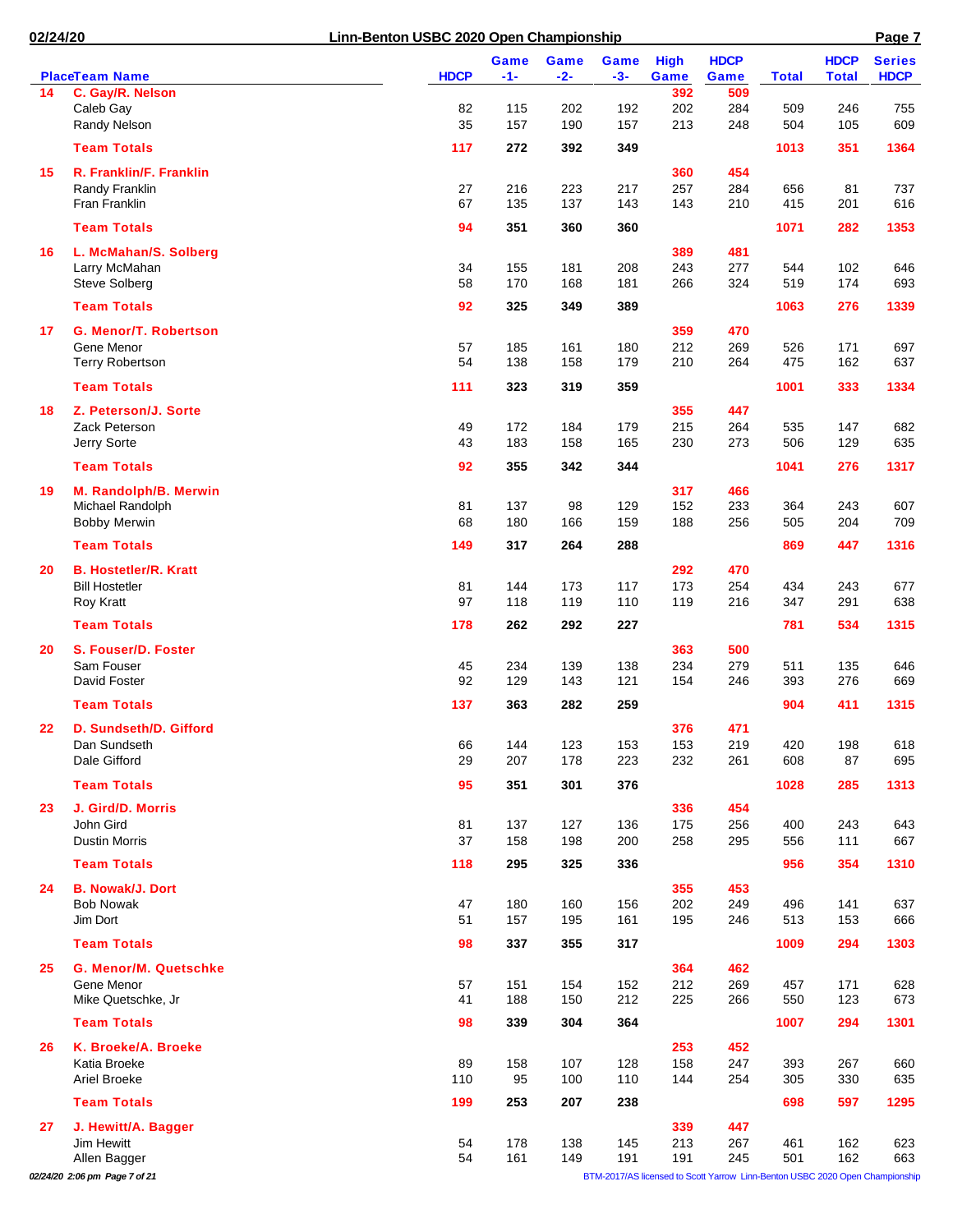|    | <b>PlaceTeam Name</b>         | <b>HDCP</b> | Game<br>$-1-$ | Game<br>$-2-$ | <b>Game</b><br>$-3-$ | <b>High</b><br>Game | <b>HDCP</b><br>Game                                                          | <b>Total</b> | <b>HDCP</b><br><b>Total</b> | <b>Series</b><br><b>HDCP</b> |
|----|-------------------------------|-------------|---------------|---------------|----------------------|---------------------|------------------------------------------------------------------------------|--------------|-----------------------------|------------------------------|
| 14 | C. Gay/R. Nelson              |             |               |               |                      | 392                 | 509                                                                          |              |                             |                              |
|    | Caleb Gay                     | 82          | 115           | 202           | 192                  | 202                 | 284                                                                          | 509          | 246                         | 755                          |
|    | Randy Nelson                  | 35          | 157           | 190           | 157                  | 213                 | 248                                                                          | 504          | 105                         | 609                          |
|    | <b>Team Totals</b>            | 117         | 272           | 392           | 349                  |                     |                                                                              | 1013         | 351                         | 1364                         |
| 15 | R. Franklin/F. Franklin       |             |               |               |                      | 360                 | 454                                                                          |              |                             |                              |
|    | Randy Franklin                | 27          | 216           | 223           | 217                  | 257                 | 284                                                                          | 656          | 81                          | 737                          |
|    | Fran Franklin                 | 67          | 135           | 137           | 143                  | 143                 | 210                                                                          | 415          | 201                         | 616                          |
|    | <b>Team Totals</b>            | 94          | 351           | 360           | 360                  |                     |                                                                              | 1071         | 282                         | 1353                         |
| 16 | L. McMahan/S. Solberg         |             |               |               |                      | 389                 | 481                                                                          |              |                             |                              |
|    | Larry McMahan                 | 34          | 155           | 181           | 208                  | 243                 | 277                                                                          | 544          | 102                         | 646                          |
|    | Steve Solberg                 | 58          | 170           | 168           | 181                  | 266                 | 324                                                                          | 519          | 174                         | 693                          |
|    | <b>Team Totals</b>            | 92          | 325           | 349           | 389                  |                     |                                                                              | 1063         | 276                         | 1339                         |
| 17 | <b>G. Menor/T. Robertson</b>  |             |               |               |                      | 359                 | 470                                                                          |              |                             |                              |
|    | Gene Menor                    | 57          | 185           | 161           | 180                  | 212                 | 269                                                                          | 526          | 171                         | 697                          |
|    | <b>Terry Robertson</b>        | 54          | 138           | 158           | 179                  | 210                 | 264                                                                          | 475          | 162                         | 637                          |
|    |                               |             |               |               |                      |                     |                                                                              |              |                             |                              |
|    | <b>Team Totals</b>            | 111         | 323           | 319           | 359                  |                     |                                                                              | 1001         | 333                         | 1334                         |
| 18 | Z. Peterson/J. Sorte          |             |               |               |                      | 355                 | 447                                                                          |              |                             |                              |
|    | Zack Peterson                 | 49          | 172           | 184           | 179                  | 215                 | 264                                                                          | 535          | 147                         | 682                          |
|    | Jerry Sorte                   | 43          | 183           | 158           | 165                  | 230                 | 273                                                                          | 506          | 129                         | 635                          |
|    | <b>Team Totals</b>            | 92          | 355           | 342           | 344                  |                     |                                                                              | 1041         | 276                         | 1317                         |
| 19 | M. Randolph/B. Merwin         |             |               |               |                      | 317                 | 466                                                                          |              |                             |                              |
|    | Michael Randolph              | 81          | 137           | 98            | 129                  | 152                 | 233                                                                          | 364          | 243                         | 607                          |
|    | <b>Bobby Merwin</b>           | 68          | 180           | 166           | 159                  | 188                 | 256                                                                          | 505          | 204                         | 709                          |
|    | <b>Team Totals</b>            | 149         | 317           | 264           | 288                  |                     |                                                                              | 869          | 447                         | 1316                         |
| 20 | <b>B. Hostetler/R. Kratt</b>  |             |               |               |                      | 292                 | 470                                                                          |              |                             |                              |
|    | <b>Bill Hostetler</b>         | 81          | 144           | 173           | 117                  | 173                 | 254                                                                          | 434          | 243                         | 677                          |
|    | Roy Kratt                     | 97          | 118           | 119           | 110                  | 119                 | 216                                                                          | 347          | 291                         | 638                          |
|    | <b>Team Totals</b>            | 178         | 262           | 292           | 227                  |                     |                                                                              | 781          | 534                         | 1315                         |
| 20 | S. Fouser/D. Foster           |             |               |               |                      | 363                 | 500                                                                          |              |                             |                              |
|    | Sam Fouser                    | 45          | 234           | 139           | 138                  | 234                 | 279                                                                          | 511          | 135                         | 646                          |
|    | David Foster                  | 92          | 129           | 143           | 121                  | 154                 | 246                                                                          | 393          | 276                         | 669                          |
|    | <b>Team Totals</b>            | 137         | 363           | 282           | 259                  |                     |                                                                              | 904          | 411                         | 1315                         |
| 22 | D. Sundseth/D. Gifford        |             |               |               |                      | 376                 | 471                                                                          |              |                             |                              |
|    | Dan Sundseth                  | 66          | 144           | 123           | 153                  | 153                 | 219                                                                          | 420          | 198                         | 618                          |
|    | Dale Gifford                  | 29          | 207           | 178           | 223                  | 232                 | 261                                                                          | 608          | 87                          | 695                          |
|    | <b>Team Totals</b>            | 95          | 351           | 301           | 376                  |                     |                                                                              | 1028         | 285                         | 1313                         |
| 23 | J. Gird/D. Morris             |             |               |               |                      | 336                 | 454                                                                          |              |                             |                              |
|    | John Gird                     | 81          | 137           | 127           | 136                  | 175                 | 256                                                                          | 400          | 243                         | 643                          |
|    | <b>Dustin Morris</b>          | 37          | 158           | 198           | 200                  | 258                 | 295                                                                          | 556          | 111                         | 667                          |
|    | <b>Team Totals</b>            | 118         | 295           | 325           | 336                  |                     |                                                                              | 956          | 354                         | 1310                         |
| 24 | <b>B. Nowak/J. Dort</b>       |             |               |               |                      | 355                 | 453                                                                          |              |                             |                              |
|    | <b>Bob Nowak</b>              | 47          | 180           | 160           | 156                  | 202                 | 249                                                                          | 496          | 141                         | 637                          |
|    | Jim Dort                      | 51          | 157           | 195           | 161                  | 195                 | 246                                                                          | 513          | 153                         | 666                          |
|    | <b>Team Totals</b>            | 98          | 337           | 355           | 317                  |                     |                                                                              | 1009         | 294                         | 1303                         |
| 25 | G. Menor/M. Quetschke         |             |               |               |                      |                     |                                                                              |              |                             |                              |
|    | Gene Menor                    | 57          | 151           | 154           | 152                  | 364<br>212          | 462<br>269                                                                   | 457          | 171                         | 628                          |
|    | Mike Quetschke, Jr            | 41          | 188           | 150           | 212                  | 225                 | 266                                                                          | 550          | 123                         | 673                          |
|    | <b>Team Totals</b>            |             |               |               |                      |                     |                                                                              |              |                             |                              |
|    |                               | 98          | 339           | 304           | 364                  |                     |                                                                              | 1007         | 294                         | 1301                         |
| 26 | K. Broeke/A. Broeke           |             |               |               |                      | 253                 | 452                                                                          |              |                             |                              |
|    | Katia Broeke                  | 89          | 158           | 107           | 128                  | 158                 | 247                                                                          | 393          | 267                         | 660                          |
|    | Ariel Broeke                  | 110         | 95            | 100           | 110                  | 144                 | 254                                                                          | 305          | 330                         | 635                          |
|    | <b>Team Totals</b>            | 199         | 253           | 207           | 238                  |                     |                                                                              | 698          | 597                         | 1295                         |
| 27 | J. Hewitt/A. Bagger           |             |               |               |                      | 339                 | 447                                                                          |              |                             |                              |
|    | Jim Hewitt                    | 54          | 178           | 138           | 145                  | 213                 | 267                                                                          | 461          | 162                         | 623                          |
|    | Allen Bagger                  | 54          | 161           | 149           | 191                  | 191                 | 245                                                                          | 501          | 162                         | 663                          |
|    | 02/24/20 2:06 pm Page 7 of 21 |             |               |               |                      |                     | BTM-2017/AS licensed to Scott Yarrow Linn-Benton USBC 2020 Open Championship |              |                             |                              |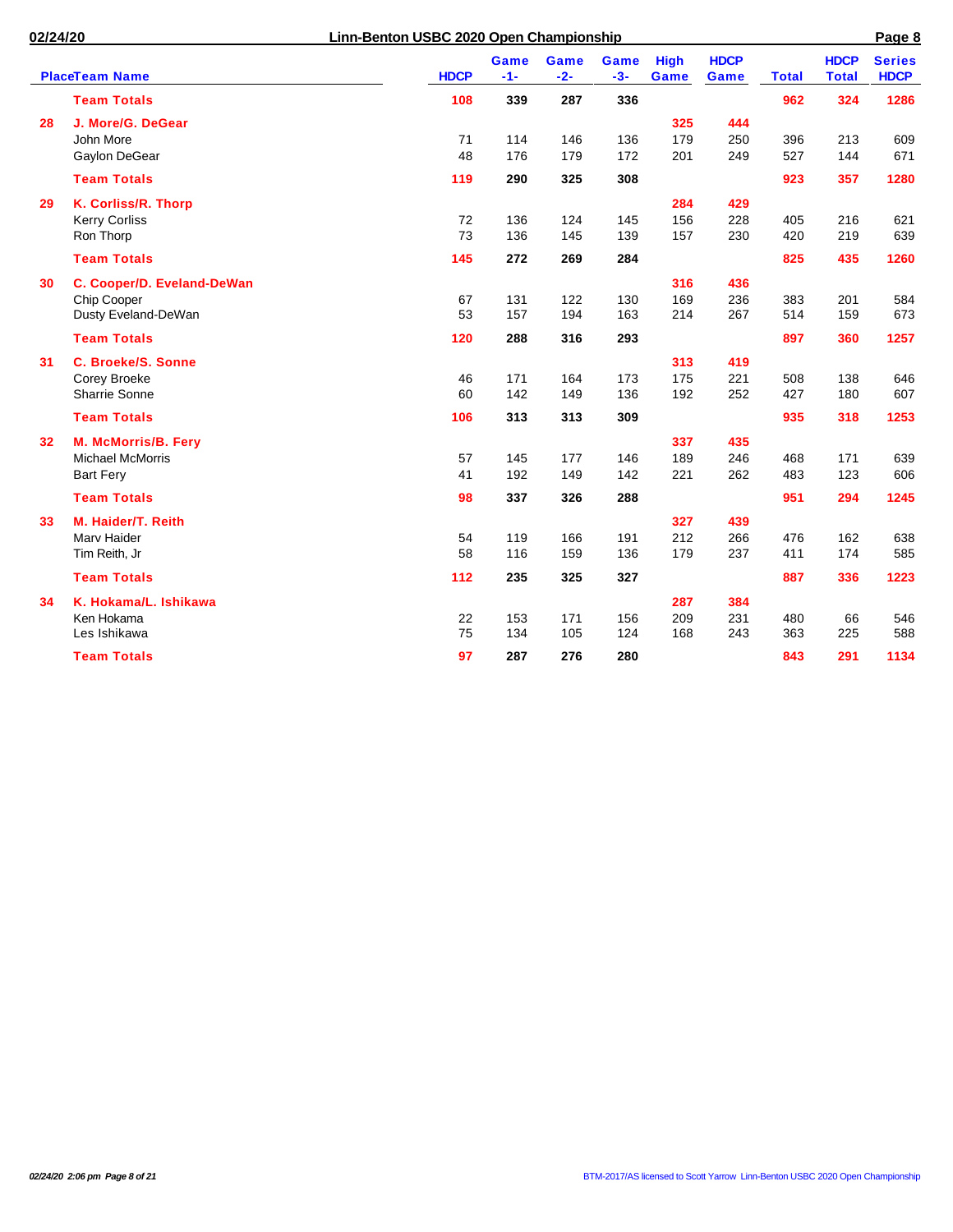$\overline{a}$ 

|    |                            |             | <b>Game</b> | <b>Game</b> | <b>Game</b> | <b>High</b> | <b>HDCP</b> |              | <b>HDCP</b>  | <b>Series</b> |
|----|----------------------------|-------------|-------------|-------------|-------------|-------------|-------------|--------------|--------------|---------------|
|    | <b>PlaceTeam Name</b>      | <b>HDCP</b> | $-1-$       | $-2-$       | $-3-$       | Game        | Game        | <b>Total</b> | <b>Total</b> | <b>HDCP</b>   |
|    | <b>Team Totals</b>         | 108         | 339         | 287         | 336         |             |             | 962          | 324          | 1286          |
| 28 | J. More/G. DeGear          |             |             |             |             | 325         | 444         |              |              |               |
|    | John More                  | 71          | 114         | 146         | 136         | 179         | 250         | 396          | 213          | 609           |
|    | Gaylon DeGear              | 48          | 176         | 179         | 172         | 201         | 249         | 527          | 144          | 671           |
|    | <b>Team Totals</b>         | 119         | 290         | 325         | 308         |             |             | 923          | 357          | 1280          |
| 29 | K. Corliss/R. Thorp        |             |             |             |             | 284         | 429         |              |              |               |
|    | <b>Kerry Corliss</b>       | 72          | 136         | 124         | 145         | 156         | 228         | 405          | 216          | 621           |
|    | Ron Thorp                  | 73          | 136         | 145         | 139         | 157         | 230         | 420          | 219          | 639           |
|    | <b>Team Totals</b>         | 145         | 272         | 269         | 284         |             |             | 825          | 435          | 1260          |
| 30 | C. Cooper/D. Eveland-DeWan |             |             |             |             | 316         | 436         |              |              |               |
|    | Chip Cooper                | 67          | 131         | 122         | 130         | 169         | 236         | 383          | 201          | 584           |
|    | Dusty Eveland-DeWan        | 53          | 157         | 194         | 163         | 214         | 267         | 514          | 159          | 673           |
|    | <b>Team Totals</b>         | 120         | 288         | 316         | 293         |             |             | 897          | 360          | 1257          |
| 31 | <b>C. Broeke/S. Sonne</b>  |             |             |             |             | 313         | 419         |              |              |               |
|    | Corey Broeke               | 46          | 171         | 164         | 173         | 175         | 221         | 508          | 138          | 646           |
|    | <b>Sharrie Sonne</b>       | 60          | 142         | 149         | 136         | 192         | 252         | 427          | 180          | 607           |
|    | <b>Team Totals</b>         | 106         | 313         | 313         | 309         |             |             | 935          | 318          | 1253          |
| 32 | <b>M. McMorris/B. Fery</b> |             |             |             |             | 337         | 435         |              |              |               |
|    | <b>Michael McMorris</b>    | 57          | 145         | 177         | 146         | 189         | 246         | 468          | 171          | 639           |
|    | <b>Bart Fery</b>           | 41          | 192         | 149         | 142         | 221         | 262         | 483          | 123          | 606           |
|    | <b>Team Totals</b>         | 98          | 337         | 326         | 288         |             |             | 951          | 294          | 1245          |
| 33 | M. Haider/T. Reith         |             |             |             |             | 327         | 439         |              |              |               |
|    | Marv Haider                | 54          | 119         | 166         | 191         | 212         | 266         | 476          | 162          | 638           |
|    | Tim Reith, Jr              | 58          | 116         | 159         | 136         | 179         | 237         | 411          | 174          | 585           |
|    | <b>Team Totals</b>         | 112         | 235         | 325         | 327         |             |             | 887          | 336          | 1223          |
| 34 | K. Hokama/L. Ishikawa      |             |             |             |             | 287         | 384         |              |              |               |
|    | Ken Hokama                 | 22          | 153         | 171         | 156         | 209         | 231         | 480          | 66           | 546           |
|    | Les Ishikawa               | 75          | 134         | 105         | 124         | 168         | 243         | 363          | 225          | 588           |
|    | <b>Team Totals</b>         | 97          | 287         | 276         | 280         |             |             | 843          | 291          | 1134          |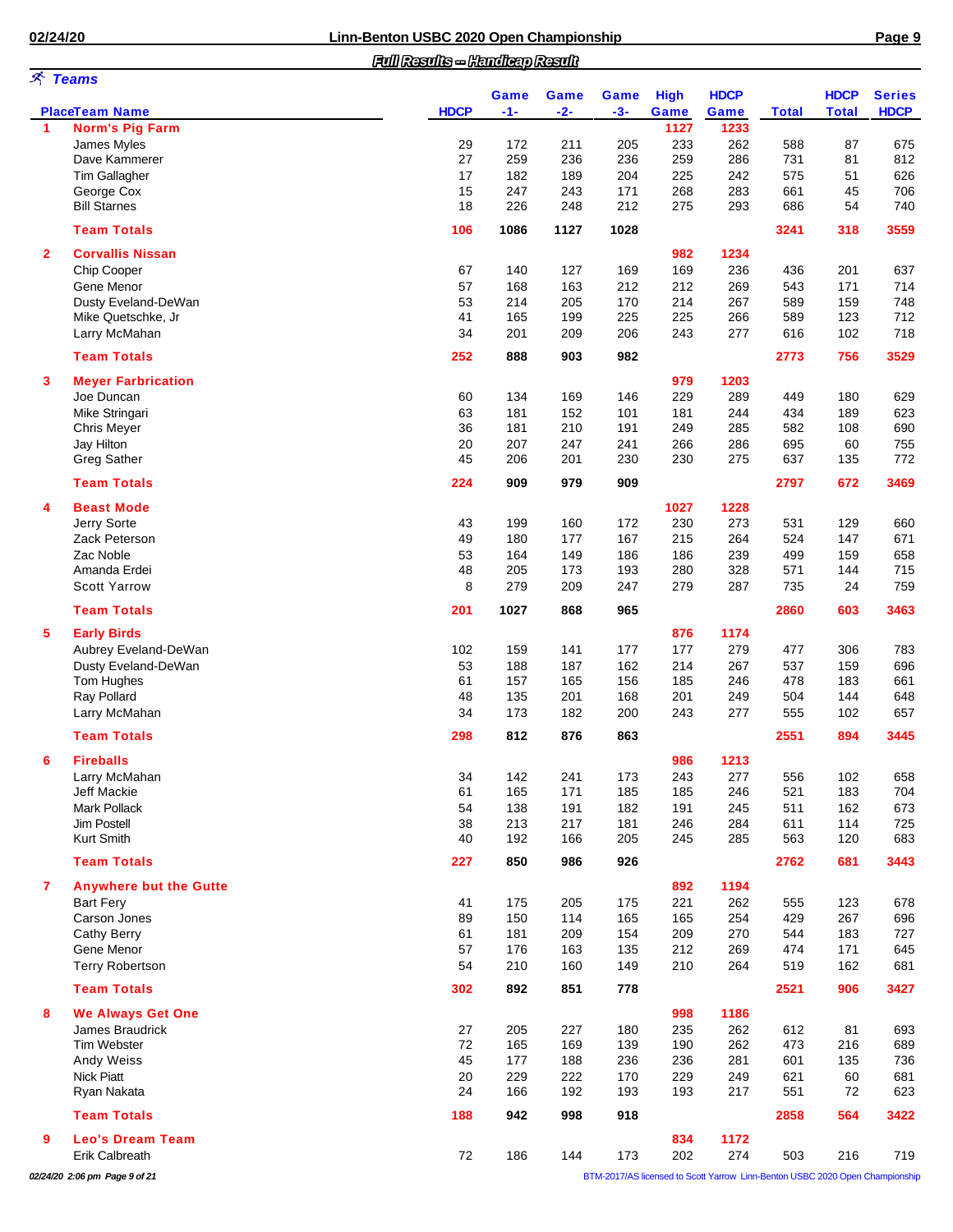|--|--|--|

|              |                                     | Full Results - Handleap Result |            |            |            |             |             |              |              |               |
|--------------|-------------------------------------|--------------------------------|------------|------------|------------|-------------|-------------|--------------|--------------|---------------|
|              | <b>ズ Teams</b>                      |                                | Game       | Game       | Game       | <b>High</b> | <b>HDCP</b> |              | <b>HDCP</b>  | <b>Series</b> |
|              | <b>PlaceTeam Name</b>               | <b>HDCP</b>                    | $-1-$      | $-2-$      | $-3-$      | Game        | Game        | <b>Total</b> | <b>Total</b> | <b>HDCP</b>   |
| 1            | <b>Norm's Pig Farm</b>              |                                |            |            |            | 1127        | 1233        |              |              |               |
|              | James Myles                         | 29                             | 172        | 211        | 205        | 233         | 262         | 588          | 87           | 675           |
|              | Dave Kammerer                       | 27                             | 259        | 236        | 236        | 259         | 286         | 731          | 81           | 812           |
|              | <b>Tim Gallagher</b>                | 17                             | 182        | 189        | 204        | 225         | 242         | 575          | 51           | 626           |
|              | George Cox                          | 15                             | 247        | 243        | 171        | 268         | 283         | 661          | 45           | 706           |
|              | <b>Bill Starnes</b>                 | 18                             | 226        | 248        | 212        | 275         | 293         | 686          | 54           | 740           |
|              | <b>Team Totals</b>                  | 106                            | 1086       | 1127       | 1028       |             |             | 3241         | 318          | 3559          |
| $\mathbf{2}$ | <b>Corvallis Nissan</b>             |                                |            |            |            | 982         | 1234        |              |              |               |
|              | Chip Cooper                         | 67                             | 140        | 127        | 169        | 169         | 236         | 436          | 201          | 637           |
|              | Gene Menor                          | 57                             | 168        | 163        | 212        | 212         | 269         | 543          | 171          | 714           |
|              | Dusty Eveland-DeWan                 | 53                             | 214        | 205        | 170        | 214         | 267         | 589          | 159          | 748           |
|              | Mike Quetschke, Jr                  | 41                             | 165        | 199        | 225        | 225         | 266         | 589          | 123          | 712           |
|              | Larry McMahan                       | 34                             | 201        | 209        | 206        | 243         | 277         | 616          | 102          | 718           |
|              | <b>Team Totals</b>                  | 252                            | 888        | 903        | 982        |             |             | 2773         | 756          | 3529          |
| 3            | <b>Meyer Farbrication</b>           |                                |            |            |            | 979         | 1203        |              |              |               |
|              | Joe Duncan                          | 60                             | 134        | 169        | 146        | 229         | 289         | 449          | 180          | 629           |
|              | Mike Stringari                      | 63                             | 181        | 152        | 101        | 181         | 244         | 434          | 189          | 623           |
|              | Chris Meyer                         | 36                             | 181        | 210        | 191        | 249         | 285         | 582          | 108          | 690           |
|              | Jay Hilton                          | 20                             | 207        | 247        | 241        | 266         | 286         | 695          | 60           | 755           |
|              | <b>Greg Sather</b>                  | 45                             | 206        | 201        | 230        | 230         | 275         | 637          | 135          | 772           |
|              | <b>Team Totals</b>                  | 224                            | 909        | 979        | 909        |             |             | 2797         | 672          | 3469          |
| 4            | <b>Beast Mode</b>                   |                                |            |            |            | 1027        | 1228        |              |              |               |
|              | Jerry Sorte                         | 43                             | 199        | 160        | 172        | 230         | 273         | 531          | 129          | 660           |
|              | Zack Peterson                       | 49                             | 180        | 177        | 167        | 215         | 264         | 524          | 147          | 671           |
|              | Zac Noble                           | 53                             | 164        | 149        | 186        | 186         | 239         | 499          | 159          | 658           |
|              | Amanda Erdei                        | 48                             | 205        | 173        | 193        | 280         | 328         | 571          | 144          | 715           |
|              | <b>Scott Yarrow</b>                 | 8                              | 279        | 209        | 247        | 279         | 287         | 735          | 24           | 759           |
|              | <b>Team Totals</b>                  | 201                            | 1027       | 868        | 965        |             |             | 2860         | 603          | 3463          |
| 5            | <b>Early Birds</b>                  |                                |            |            |            | 876         | 1174        |              |              |               |
|              | Aubrey Eveland-DeWan                | 102                            | 159        | 141        | 177        | 177         | 279         | 477          | 306          | 783           |
|              | Dusty Eveland-DeWan                 | 53                             | 188        | 187        | 162        | 214         | 267         | 537          | 159          | 696           |
|              | Tom Hughes                          | 61                             | 157        | 165        | 156        | 185         | 246         | 478          | 183          | 661           |
|              | Ray Pollard                         | 48                             | 135        | 201        | 168        | 201         | 249         | 504          | 144          | 648           |
|              | Larry McMahan                       | 34                             | 173        | 182        | 200        | 243         | 277         | 555          | 102          | 657           |
|              | <b>Team Totals</b>                  | 298                            | 812        | 876        | 863        |             |             | 2551         | 894          | 3445          |
| 6            | <b>Fireballs</b>                    |                                |            |            |            |             |             |              |              |               |
|              |                                     |                                |            |            |            | 986         | 1213        |              |              |               |
|              | Larry McMahan<br><b>Jeff Mackie</b> | 34                             | 142        | 241        | 173        | 243         | 277         | 556          | 102<br>183   | 658<br>704    |
|              |                                     | 61                             | 165        | 171        | 185        | 185         | 246         | 521          |              |               |
|              | <b>Mark Pollack</b>                 | 54                             | 138<br>213 | 191        | 182        | 191         | 245         | 511          | 162          | 673           |
|              | Jim Postell<br>Kurt Smith           | 38<br>40                       | 192        | 217<br>166 | 181<br>205 | 246<br>245  | 284<br>285  | 611<br>563   | 114<br>120   | 725<br>683    |
|              | <b>Team Totals</b>                  | 227                            | 850        | 986        | 926        |             |             | 2762         | 681          | 3443          |
| 7            | <b>Anywhere but the Gutte</b>       |                                |            |            |            | 892         | 1194        |              |              |               |
|              | <b>Bart Fery</b>                    | 41                             | 175        |            |            | 221         | 262         |              | 123          | 678           |
|              | Carson Jones                        | 89                             | 150        | 205<br>114 | 175<br>165 | 165         | 254         | 555<br>429   | 267          | 696           |
|              |                                     | 61                             | 181        |            |            |             |             |              |              |               |
|              | <b>Cathy Berry</b><br>Gene Menor    | 57                             | 176        | 209<br>163 | 154<br>135 | 209<br>212  | 270<br>269  | 544<br>474   | 183<br>171   | 727<br>645    |
|              | <b>Terry Robertson</b>              | 54                             | 210        | 160        | 149        | 210         | 264         | 519          | 162          | 681           |
|              | <b>Team Totals</b>                  | 302                            | 892        | 851        | 778        |             |             | 2521         | 906          | 3427          |
| 8            | <b>We Always Get One</b>            |                                |            |            |            | 998         | 1186        |              |              |               |
|              | James Braudrick                     |                                | 205        |            |            | 235         | 262         |              |              |               |
|              |                                     | 27<br>72                       |            | 227        | 180        |             | 262         | 612          | 81           | 693           |
|              | Tim Webster                         |                                | 165        | 169        | 139        | 190         |             | 473          | 216          | 689           |
|              | Andy Weiss                          | 45                             | 177        | 188        | 236        | 236         | 281         | 601          | 135          | 736           |
|              | <b>Nick Piatt</b>                   | 20                             | 229        | 222        | 170        | 229         | 249         | 621          | 60           | 681           |
|              | Ryan Nakata                         | 24                             | 166        | 192        | 193        | 193         | 217         | 551          | 72           | 623           |
|              | <b>Team Totals</b>                  | 188                            | 942        | 998        | 918        |             |             | 2858         | 564          | 3422          |
| 9            | <b>Leo's Dream Team</b>             |                                |            |            |            | 834         | 1172        |              |              |               |
|              | Erik Calbreath                      | 72                             | 186        | 144        | 173        | 202         | 274         | 503          | 216          | 719           |

*02/24/20 2:06 pm Page 9 of 21* BTM-2017/AS licensed to Scott Yarrow Linn-Benton USBC 2020 Open Championship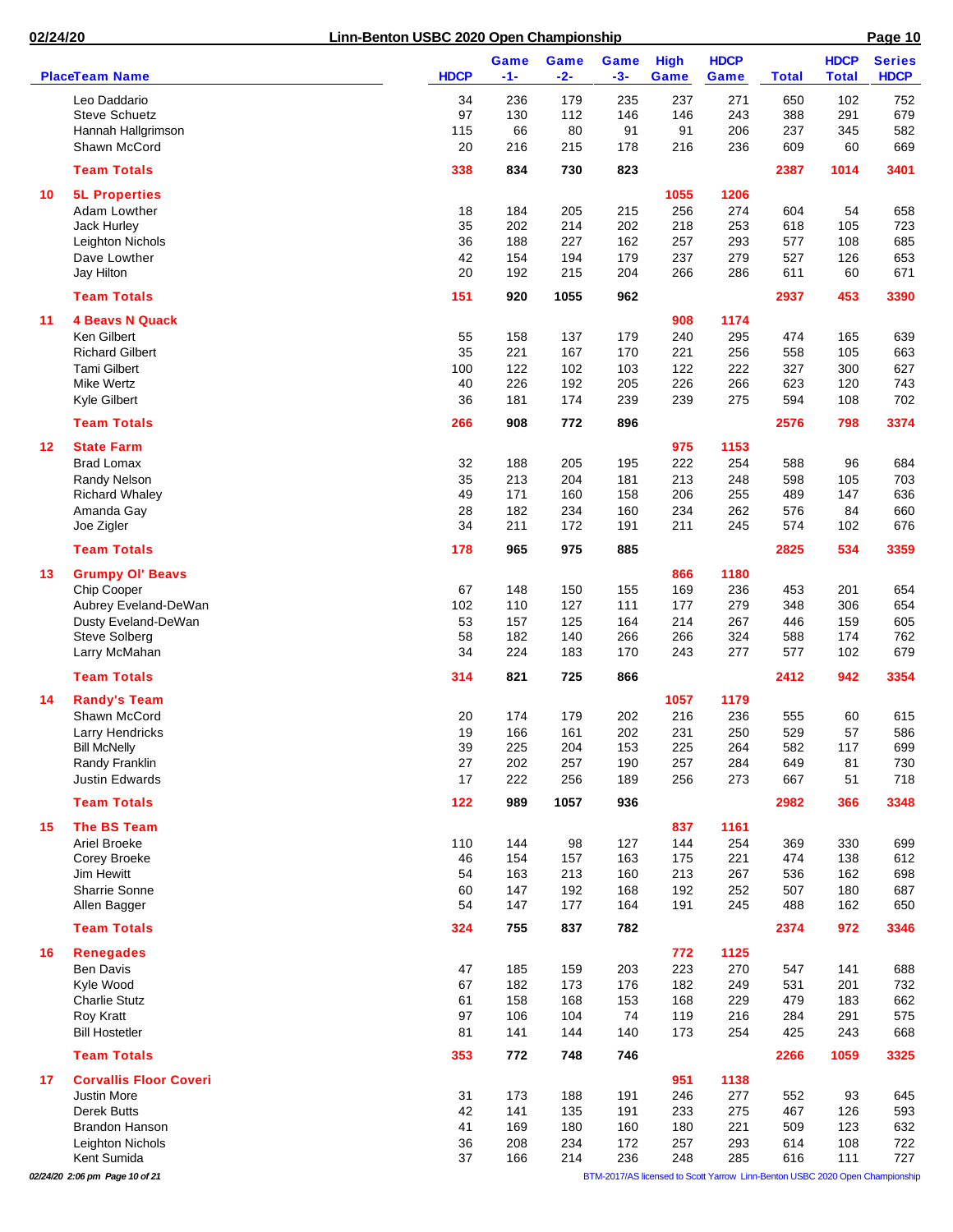|                   |                               |             | Game       | Game       | <b>Game</b> | <b>High</b> | <b>HDCP</b> |              | <b>HDCP</b>  | <b>Series</b> |
|-------------------|-------------------------------|-------------|------------|------------|-------------|-------------|-------------|--------------|--------------|---------------|
|                   | <b>PlaceTeam Name</b>         | <b>HDCP</b> | $-1-$      | $-2-$      | $-3-$       | Game        | Game        | <b>Total</b> | <b>Total</b> | <b>HDCP</b>   |
|                   | Leo Daddario                  | 34          | 236        | 179        | 235         | 237         | 271         | 650          | 102          | 752           |
|                   | <b>Steve Schuetz</b>          | 97          | 130        | 112        | 146         | 146         | 243         | 388          | 291          | 679           |
|                   | Hannah Hallgrimson            | 115         | 66         | 80         | 91          | 91          | 206         | 237          | 345          | 582           |
|                   | Shawn McCord                  | 20          | 216        | 215        | 178         | 216         | 236         | 609          | 60           | 669           |
|                   | <b>Team Totals</b>            | 338         | 834        | 730        | 823         |             |             | 2387         | 1014         | 3401          |
| 10                | <b>5L Properties</b>          |             |            |            |             | 1055        | 1206        |              |              |               |
|                   | Adam Lowther                  | 18          | 184        | 205        | 215         | 256         | 274         | 604          | 54           | 658           |
|                   | Jack Hurley                   | 35          | 202        | 214        | 202         | 218         | 253         | 618          | 105          | 723           |
|                   | Leighton Nichols              | 36          | 188        | 227        | 162         | 257         | 293         | 577          | 108          | 685           |
|                   | Dave Lowther                  | 42          | 154        | 194        | 179         | 237         | 279         | 527          | 126          | 653           |
|                   | Jay Hilton                    | 20          | 192        | 215        | 204         | 266         | 286         | 611          | 60           | 671           |
|                   | <b>Team Totals</b>            | 151         | 920        | 1055       | 962         |             |             | 2937         | 453          | 3390          |
| 11                | <b>4 Beavs N Quack</b>        |             |            |            |             | 908         | 1174        |              |              |               |
|                   | Ken Gilbert                   | 55          | 158        | 137        | 179         | 240         | 295         | 474          | 165          | 639           |
|                   | <b>Richard Gilbert</b>        | 35          | 221        | 167        | 170         | 221         | 256         | 558          | 105          | 663           |
|                   | <b>Tami Gilbert</b>           | 100         | 122        | 102        | 103         | 122         | 222         | 327          | 300          | 627           |
|                   | <b>Mike Wertz</b>             | 40          | 226        | 192        | 205         | 226         | 266         | 623          | 120          | 743           |
|                   | Kyle Gilbert                  | 36          | 181        | 174        | 239         | 239         | 275         | 594          | 108          | 702           |
|                   | <b>Team Totals</b>            | 266         | 908        | 772        | 896         |             |             | 2576         | 798          | 3374          |
| $12 \overline{ }$ | <b>State Farm</b>             |             |            |            |             | 975         | 1153        |              |              |               |
|                   | <b>Brad Lomax</b>             | 32          | 188        | 205        | 195         | 222         | 254         | 588          | 96           | 684           |
|                   | Randy Nelson                  | 35          | 213        | 204        | 181         | 213         | 248         | 598          | 105          | 703           |
|                   | <b>Richard Whaley</b>         | 49          | 171        | 160        | 158         | 206         | 255         | 489          | 147          | 636           |
|                   | Amanda Gay                    | 28          | 182        | 234        | 160         | 234         | 262         | 576          | 84           | 660           |
|                   | Joe Zigler                    | 34          | 211        | 172        | 191         | 211         | 245         | 574          | 102          | 676           |
|                   | <b>Team Totals</b>            | 178         | 965        | 975        | 885         |             |             | 2825         | 534          | 3359          |
| 13                | <b>Grumpy OI' Beavs</b>       |             |            |            |             | 866         | 1180        |              |              |               |
|                   | Chip Cooper                   | 67          | 148        | 150        | 155         | 169         | 236         | 453          | 201          | 654           |
|                   | Aubrey Eveland-DeWan          | 102         | 110        | 127        | 111         | 177         | 279         | 348          | 306          | 654           |
|                   | Dusty Eveland-DeWan           | 53          | 157        | 125        | 164         | 214         | 267         | 446          | 159          | 605           |
|                   | <b>Steve Solberg</b>          | 58          | 182        | 140        | 266         | 266         | 324         | 588          | 174          | 762           |
|                   | Larry McMahan                 | 34          | 224        | 183        | 170         | 243         | 277         | 577          | 102          | 679           |
|                   | <b>Team Totals</b>            | 314         | 821        | 725        | 866         |             |             | 2412         | 942          | 3354          |
| 14                | <b>Randy's Team</b>           |             |            |            |             | 1057        | 1179        |              |              |               |
|                   | Shawn McCord                  | 20          | 174        | 179        | 202         | 216         | 236         | 555          | 60           | 615           |
|                   | Larry Hendricks               | 19          | 166        | 161        | 202         | 231         | 250         | 529          | 57           | 586           |
|                   | <b>Bill McNelly</b>           | 39          | 225        | 204        | 153         | 225         | 264         | 582          | 117          | 699           |
|                   | Randy Franklin                | 27          | 202        | 257        | 190         | 257         | 284         | 649          | 81           | 730           |
|                   | <b>Justin Edwards</b>         | 17          | 222        | 256        | 189         | 256         | 273         | 667          | 51           | 718           |
|                   | <b>Team Totals</b>            | 122         | 989        | 1057       | 936         |             |             | 2982         | 366          | 3348          |
|                   |                               |             |            |            |             |             |             |              |              |               |
| 15                | The BS Team                   |             |            |            |             | 837         | 1161        |              |              |               |
|                   | Ariel Broeke                  | 110         | 144        | 98         | 127         | 144         | 254         | 369          | 330          | 699           |
|                   | Corey Broeke<br>Jim Hewitt    | 46<br>54    | 154<br>163 | 157<br>213 | 163<br>160  | 175<br>213  | 221<br>267  | 474<br>536   | 138<br>162   | 612<br>698    |
|                   | Sharrie Sonne                 | 60          | 147        | 192        | 168         | 192         | 252         | 507          | 180          | 687           |
|                   | Allen Bagger                  | 54          | 147        | 177        | 164         | 191         | 245         | 488          | 162          | 650           |
|                   | <b>Team Totals</b>            | 324         | 755        | 837        | 782         |             |             | 2374         | 972          | 3346          |
| 16                | <b>Renegades</b>              |             |            |            |             | 772         | 1125        |              |              |               |
|                   | <b>Ben Davis</b>              | 47          | 185        | 159        | 203         | 223         | 270         | 547          | 141          | 688           |
|                   | Kyle Wood                     | 67          | 182        | 173        | 176         | 182         | 249         | 531          | 201          | 732           |
|                   | <b>Charlie Stutz</b>          | 61          | 158        | 168        | 153         | 168         | 229         | 479          | 183          | 662           |
|                   | Roy Kratt                     | 97          | 106        | 104        | 74          | 119         | 216         | 284          | 291          | 575           |
|                   | <b>Bill Hostetler</b>         | 81          | 141        | 144        | 140         | 173         | 254         | 425          | 243          | 668           |
|                   | <b>Team Totals</b>            | 353         | 772        | 748        | 746         |             |             | 2266         | 1059         | 3325          |
| 17                | <b>Corvallis Floor Coveri</b> |             |            |            |             | 951         | 1138        |              |              |               |
|                   | <b>Justin More</b>            | 31          | 173        | 188        | 191         | 246         | 277         | 552          | 93           | 645           |
|                   | <b>Derek Butts</b>            | 42          | 141        | 135        | 191         | 233         | 275         | 467          | 126          | 593           |
|                   | <b>Brandon Hanson</b>         | 41          | 169        | 180        | 160         | 180         | 221         | 509          | 123          | 632           |
|                   | Leighton Nichols              | 36          | 208        | 234        | 172         | 257         | 293         | 614          | 108          | 722           |
|                   | Kent Sumida                   | 37          | 166        | 214        | 236         | 248         | 285         | 616          | 111          | 727           |

*02/24/20 2:06 pm Page 10 of 21* BTM-2017/AS licensed to Scott Yarrow Linn-Benton USBC 2020 Open Championship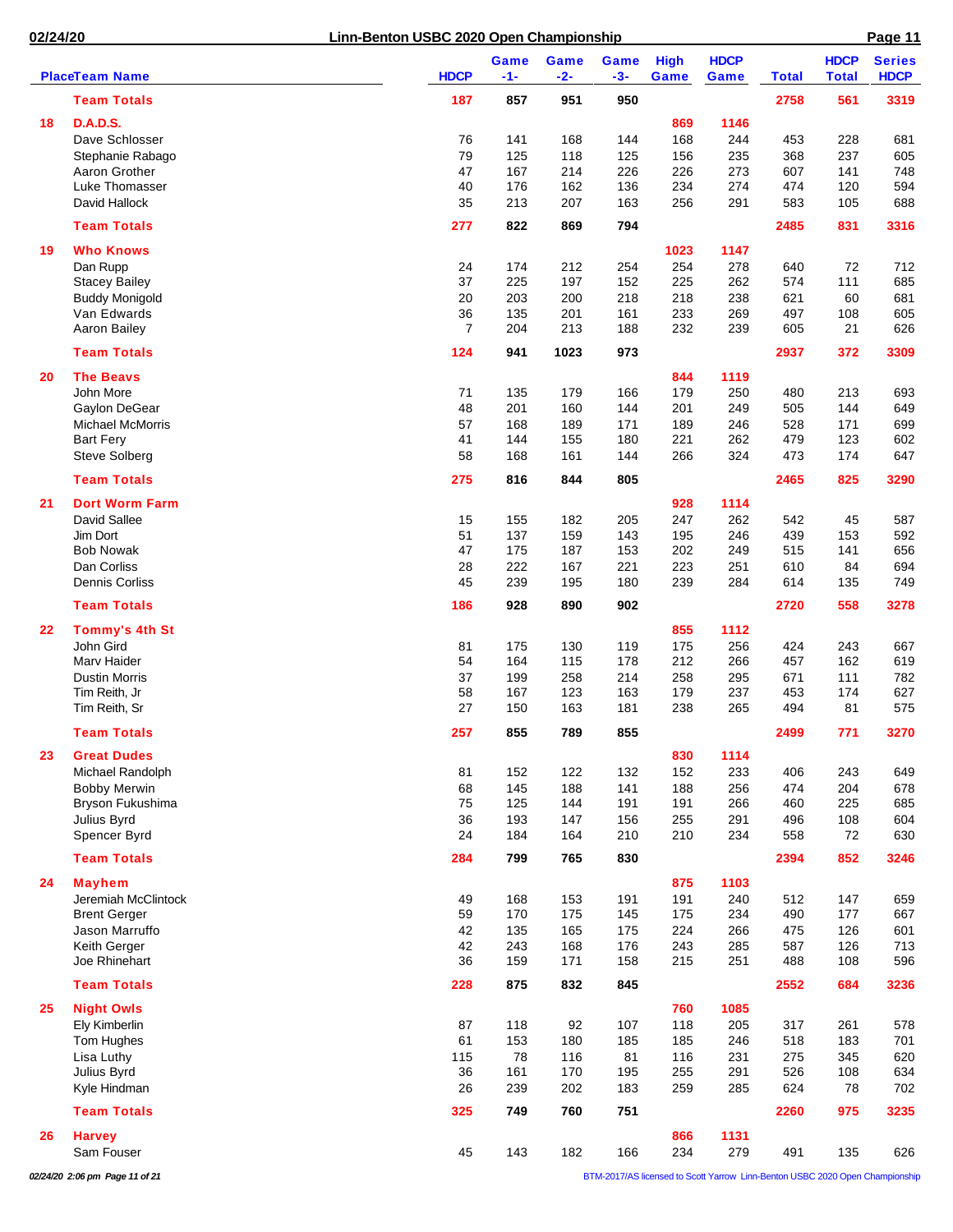|    | <b>PlaceTeam Name</b>             | <b>HDCP</b>    | Game<br>$-1-$ | Game<br>-2- | Game<br>$-3-$ | <b>High</b><br>Game | <b>HDCP</b><br>Game | <b>Total</b> | <b>HDCP</b><br><b>Total</b> | <b>Series</b><br><b>HDCP</b> |
|----|-----------------------------------|----------------|---------------|-------------|---------------|---------------------|---------------------|--------------|-----------------------------|------------------------------|
|    | <b>Team Totals</b>                | 187            | 857           | 951         | 950           |                     |                     | 2758         | 561                         | 3319                         |
|    |                                   |                |               |             |               |                     |                     |              |                             |                              |
| 18 | <b>D.A.D.S.</b>                   |                |               |             |               | 869                 | 1146                |              |                             |                              |
|    | Dave Schlosser                    | 76             | 141           | 168         | 144           | 168                 | 244                 | 453          | 228                         | 681                          |
|    | Stephanie Rabago<br>Aaron Grother | 79<br>47       | 125<br>167    | 118<br>214  | 125<br>226    | 156<br>226          | 235<br>273          | 368<br>607   | 237<br>141                  | 605<br>748                   |
|    | Luke Thomasser                    | 40             | 176           | 162         | 136           | 234                 | 274                 | 474          | 120                         | 594                          |
|    | David Hallock                     | 35             | 213           | 207         | 163           | 256                 | 291                 | 583          | 105                         | 688                          |
|    |                                   |                |               |             |               |                     |                     |              |                             |                              |
|    | <b>Team Totals</b>                | 277            | 822           | 869         | 794           |                     |                     | 2485         | 831                         | 3316                         |
| 19 | <b>Who Knows</b>                  |                |               |             |               | 1023                | 1147                |              |                             |                              |
|    | Dan Rupp<br><b>Stacey Bailey</b>  | 24<br>37       | 174<br>225    | 212<br>197  | 254<br>152    | 254<br>225          | 278<br>262          | 640<br>574   | 72<br>111                   | 712<br>685                   |
|    | <b>Buddy Monigold</b>             | 20             | 203           | 200         | 218           | 218                 | 238                 | 621          | 60                          | 681                          |
|    | Van Edwards                       | 36             | 135           | 201         | 161           | 233                 | 269                 | 497          | 108                         | 605                          |
|    | Aaron Bailey                      | $\overline{7}$ | 204           | 213         | 188           | 232                 | 239                 | 605          | 21                          | 626                          |
|    | <b>Team Totals</b>                | 124            | 941           | 1023        | 973           |                     |                     | 2937         | 372                         | 3309                         |
|    |                                   |                |               |             |               | 844                 | 1119                |              |                             |                              |
| 20 | <b>The Beavs</b><br>John More     | 71             | 135           | 179         | 166           | 179                 | 250                 | 480          | 213                         | 693                          |
|    | Gaylon DeGear                     | 48             | 201           | 160         | 144           | 201                 | 249                 | 505          | 144                         | 649                          |
|    | <b>Michael McMorris</b>           | 57             | 168           | 189         | 171           | 189                 | 246                 | 528          | 171                         | 699                          |
|    | <b>Bart Fery</b>                  | 41             | 144           | 155         | 180           | 221                 | 262                 | 479          | 123                         | 602                          |
|    | <b>Steve Solberg</b>              | 58             | 168           | 161         | 144           | 266                 | 324                 | 473          | 174                         | 647                          |
|    | <b>Team Totals</b>                | 275            | 816           | 844         | 805           |                     |                     | 2465         | 825                         | 3290                         |
| 21 | <b>Dort Worm Farm</b>             |                |               |             |               | 928                 | 1114                |              |                             |                              |
|    | David Sallee                      | 15             | 155           | 182         | 205           | 247                 | 262                 | 542          | 45                          | 587                          |
|    | Jim Dort                          | 51             | 137           | 159         | 143           | 195                 | 246                 | 439          | 153                         | 592                          |
|    | <b>Bob Nowak</b>                  | 47             | 175           | 187         | 153           | 202                 | 249                 | 515          | 141                         | 656                          |
|    | Dan Corliss                       | 28             | 222           | 167         | 221           | 223                 | 251                 | 610          | 84                          | 694                          |
|    | Dennis Corliss                    | 45             | 239           | 195         | 180           | 239                 | 284                 | 614          | 135                         | 749                          |
|    | <b>Team Totals</b>                | 186            | 928           | 890         | 902           |                     |                     | 2720         | 558                         | 3278                         |
| 22 | <b>Tommy's 4th St</b>             |                |               |             |               | 855                 | 1112                |              |                             |                              |
|    | John Gird                         | 81             | 175           | 130         | 119           | 175                 | 256                 | 424          | 243                         | 667                          |
|    | Marv Haider                       | 54             | 164           | 115         | 178           | 212                 | 266                 | 457          | 162                         | 619                          |
|    | <b>Dustin Morris</b>              | 37             | 199           | 258         | 214           | 258                 | 295                 | 671          | 111                         | 782                          |
|    | Tim Reith, Jr                     | 58             | 167           | 123         | 163           | 179                 | 237                 | 453          | 174                         | 627                          |
|    | Tim Reith, Sr                     | 27             | 150           | 163         | 181           | 238                 | 265                 | 494          | 81                          | 575                          |
|    | <b>Team Totals</b>                | 257            | 855           | 789         | 855           |                     |                     | 2499         | 771                         | 3270                         |
| 23 | <b>Great Dudes</b>                |                |               |             |               | 830                 | 1114                |              |                             |                              |
|    | Michael Randolph                  | 81             | 152           | 122         | 132           | 152                 | 233                 | 406          | 243                         | 649                          |
|    | <b>Bobby Merwin</b>               | 68             | 145           | 188         | 141           | 188                 | 256                 | 474          | 204                         | 678                          |
|    | Bryson Fukushima                  | 75             | 125           | 144         | 191           | 191                 | 266                 | 460          | 225                         | 685                          |
|    | Julius Byrd                       | 36             | 193           | 147         | 156           | 255                 | 291                 | 496          | 108                         | 604                          |
|    | Spencer Byrd                      | 24             | 184           | 164         | 210           | 210                 | 234                 | 558          | 72                          | 630                          |
|    | <b>Team Totals</b>                | 284            | 799           | 765         | 830           |                     |                     | 2394         | 852                         | 3246                         |
| 24 | <b>Mayhem</b>                     |                |               |             |               | 875                 | 1103                |              |                             |                              |
|    | Jeremiah McClintock               | 49             | 168           | 153         | 191           | 191                 | 240                 | 512          | 147                         | 659                          |
|    | <b>Brent Gerger</b>               | 59             | 170           | 175         | 145           | 175                 | 234                 | 490          | 177                         | 667                          |
|    | Jason Marruffo                    | 42             | 135           | 165         | 175           | 224                 | 266                 | 475          | 126                         | 601                          |
|    | Keith Gerger                      | 42             | 243           | 168         | 176           | 243                 | 285                 | 587          | 126                         | 713                          |
|    | Joe Rhinehart                     | 36             | 159           | 171         | 158           | 215                 | 251                 | 488          | 108                         | 596                          |
|    | <b>Team Totals</b>                | 228            | 875           | 832         | 845           |                     |                     | 2552         | 684                         | 3236                         |
| 25 | <b>Night Owls</b>                 |                |               |             |               | 760                 | 1085                |              |                             |                              |
|    | Ely Kimberlin                     | 87             | 118           | 92          | 107           | 118                 | 205                 | 317          | 261                         | 578                          |
|    | Tom Hughes                        | 61             | 153           | 180         | 185           | 185                 | 246                 | 518          | 183                         | 701                          |
|    | Lisa Luthy                        | 115            | 78            | 116         | 81            | 116                 | 231                 | 275          | 345                         | 620                          |
|    | Julius Byrd<br>Kyle Hindman       | 36<br>26       | 161<br>239    | 170<br>202  | 195<br>183    | 255<br>259          | 291<br>285          | 526<br>624   | 108<br>78                   | 634<br>702                   |
|    |                                   |                |               |             |               |                     |                     |              |                             |                              |
|    | <b>Team Totals</b>                | 325            | 749           | 760         | 751           |                     |                     | 2260         | 975                         | 3235                         |
| 26 | <b>Harvey</b>                     |                |               |             |               | 866                 | 1131                |              |                             |                              |
|    | Sam Fouser                        | 45             | 143           | 182         | 166           | 234                 | 279                 | 491          | 135                         | 626                          |

*02/24/20 2:06 pm Page 11 of 21* BTM-2017/AS licensed to Scott Yarrow Linn-Benton USBC 2020 Open Championship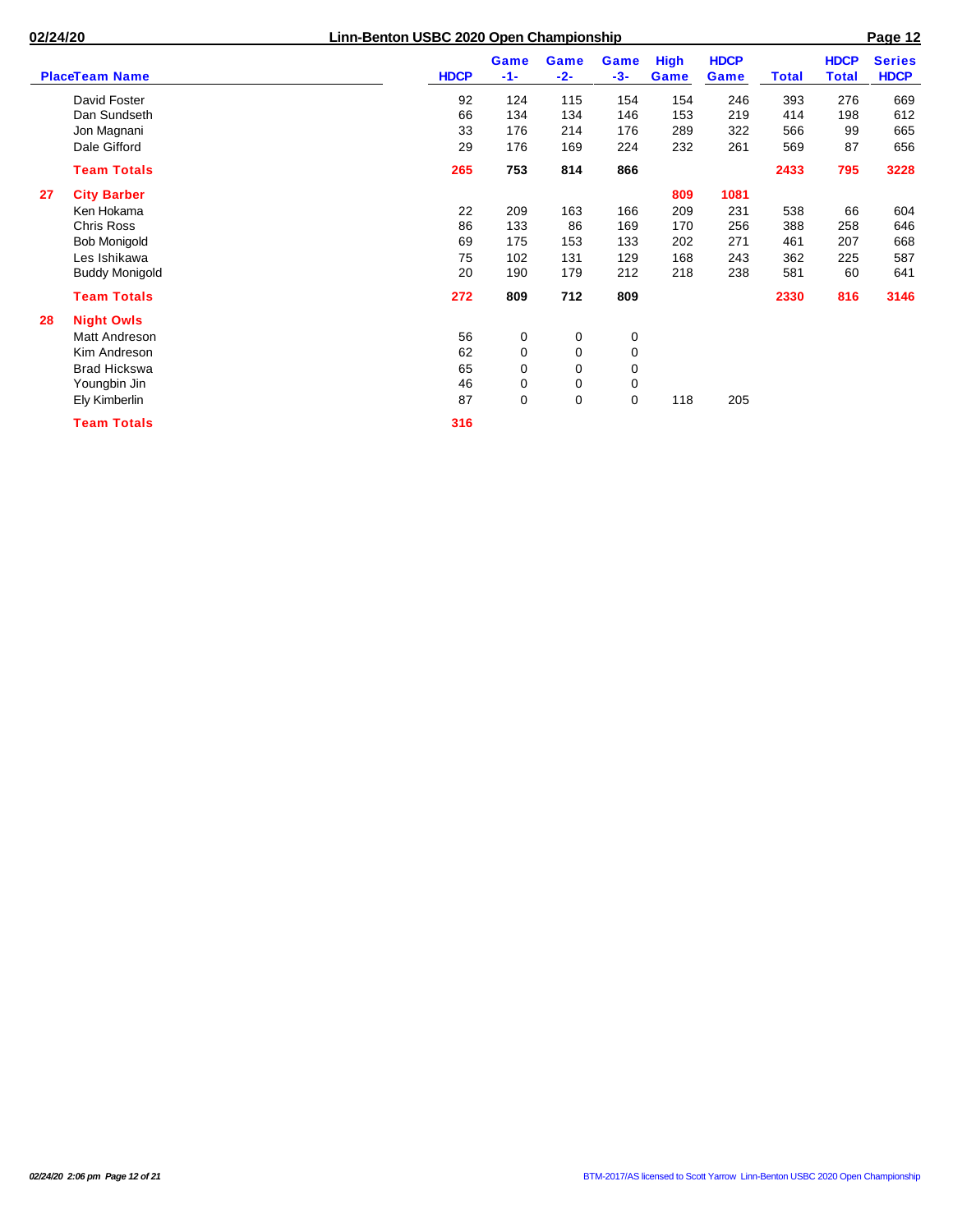į.

| <b>PlaceTeam Name</b>    | <b>HDCP</b> | Game<br>$-1-$ | Game<br>$-2-$ | Game<br>$-3-$ | <b>High</b><br>Game | <b>HDCP</b><br>Game | <b>Total</b> | <b>HDCP</b><br><b>Total</b> | <b>Series</b><br><b>HDCP</b> |
|--------------------------|-------------|---------------|---------------|---------------|---------------------|---------------------|--------------|-----------------------------|------------------------------|
| David Foster             | 92          | 124           | 115           | 154           | 154                 | 246                 | 393          | 276                         | 669                          |
| Dan Sundseth             | 66          | 134           | 134           | 146           | 153                 | 219                 | 414          | 198                         | 612                          |
| Jon Magnani              | 33          | 176           | 214           | 176           | 289                 | 322                 | 566          | 99                          | 665                          |
| Dale Gifford             | 29          | 176           | 169           | 224           | 232                 | 261                 | 569          | 87                          | 656                          |
| <b>Team Totals</b>       | 265         | 753           | 814           | 866           |                     |                     | 2433         | 795                         | 3228                         |
| <b>City Barber</b><br>27 |             |               |               |               | 809                 | 1081                |              |                             |                              |
| Ken Hokama               | 22          | 209           | 163           | 166           | 209                 | 231                 | 538          | 66                          | 604                          |
| Chris Ross               | 86          | 133           | 86            | 169           | 170                 | 256                 | 388          | 258                         | 646                          |
| <b>Bob Monigold</b>      | 69          | 175           | 153           | 133           | 202                 | 271                 | 461          | 207                         | 668                          |
| Les Ishikawa             | 75          | 102           | 131           | 129           | 168                 | 243                 | 362          | 225                         | 587                          |
| <b>Buddy Monigold</b>    | 20          | 190           | 179           | 212           | 218                 | 238                 | 581          | 60                          | 641                          |
| <b>Team Totals</b>       | 272         | 809           | 712           | 809           |                     |                     | 2330         | 816                         | 3146                         |
| <b>Night Owls</b><br>28  |             |               |               |               |                     |                     |              |                             |                              |
| <b>Matt Andreson</b>     | 56          | 0             | 0             | 0             |                     |                     |              |                             |                              |
| Kim Andreson             | 62          | 0             | 0             | $\mathbf 0$   |                     |                     |              |                             |                              |
| <b>Brad Hickswa</b>      | 65          | 0             | 0             | 0             |                     |                     |              |                             |                              |
| Youngbin Jin             | 46          | 0             | 0             | 0             |                     |                     |              |                             |                              |
| Ely Kimberlin            | 87          | $\mathbf 0$   | 0             | 0             | 118                 | 205                 |              |                             |                              |
| <b>Team Totals</b>       | 316         |               |               |               |                     |                     |              |                             |                              |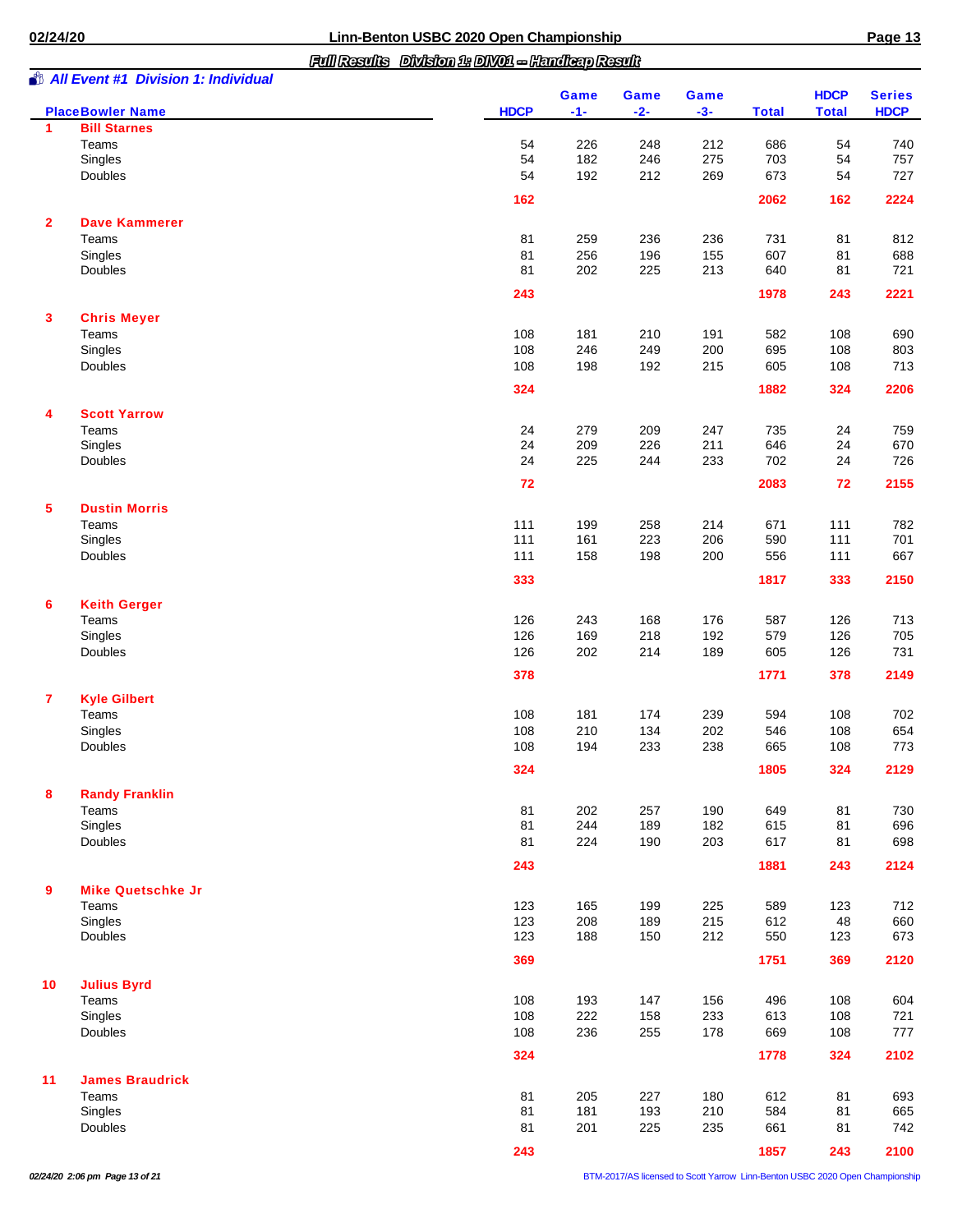*Full Results Division 1: DIV01 -- Handicap Result*

|--|

|                         | <b><i>S</i></b> All Event #1 Division 1: Individual<br><b>PlaceBowler Name</b> | <b>HDCP</b> | Game<br>$-1-$ | Game<br>$-2-$ | Game<br>$-3-$ | <b>Total</b> | <b>HDCP</b><br><b>Total</b> | <b>Series</b><br><b>HDCP</b> |
|-------------------------|--------------------------------------------------------------------------------|-------------|---------------|---------------|---------------|--------------|-----------------------------|------------------------------|
| 1                       | <b>Bill Starnes</b>                                                            |             |               |               |               |              |                             |                              |
|                         | Teams                                                                          | 54          | 226           | 248           | 212           | 686          | 54                          | 740                          |
|                         | Singles                                                                        | 54          | 182           | 246           | 275           | 703          | 54                          | 757                          |
|                         | Doubles                                                                        | 54          | 192           | 212           | 269           | 673          | 54                          | 727                          |
|                         |                                                                                | 162         |               |               |               | 2062         | 162                         | 2224                         |
| $\mathbf{2}$            | <b>Dave Kammerer</b>                                                           |             |               |               |               |              |                             |                              |
|                         | Teams                                                                          | 81          | 259           | 236           | 236           | 731          | 81                          | 812                          |
|                         | Singles                                                                        | 81          | 256           | 196           | 155           | 607          | 81                          | 688                          |
|                         | Doubles                                                                        | 81          | 202           | 225           | 213           | 640          | 81                          | 721                          |
|                         |                                                                                | 243         |               |               |               | 1978         | 243                         | 2221                         |
| 3                       | <b>Chris Meyer</b><br>Teams                                                    |             |               |               |               |              |                             |                              |
|                         | Singles                                                                        | 108<br>108  | 181<br>246    | 210<br>249    | 191<br>200    | 582<br>695   | 108<br>108                  | 690<br>803                   |
|                         | Doubles                                                                        | 108         | 198           | 192           | 215           | 605          | 108                         | 713                          |
|                         |                                                                                | 324         |               |               |               | 1882         | 324                         | 2206                         |
| 4                       | <b>Scott Yarrow</b>                                                            |             |               |               |               |              |                             |                              |
|                         | Teams                                                                          | 24          | 279           | 209           | 247           | 735          | 24                          | 759                          |
|                         | Singles                                                                        | 24          | 209           | 226           | 211           | 646          | 24                          | 670                          |
|                         | Doubles                                                                        | 24          | 225           | 244           | 233           | 702          | 24                          | 726                          |
|                         |                                                                                | 72          |               |               |               | 2083         | 72                          | 2155                         |
| 5                       | <b>Dustin Morris</b>                                                           |             |               |               |               |              |                             |                              |
|                         | Teams                                                                          | 111         | 199           | 258           | 214           | 671          | 111                         | 782                          |
|                         | Singles                                                                        | 111         | 161           | 223           | 206           | 590          | 111                         | 701                          |
|                         | Doubles                                                                        | 111         | 158           | 198           | 200           | 556          | 111                         | 667                          |
|                         |                                                                                | 333         |               |               |               | 1817         | 333                         | 2150                         |
| 6                       | <b>Keith Gerger</b>                                                            |             |               |               |               |              |                             |                              |
|                         | Teams                                                                          | 126         | 243           | 168           | 176           | 587          | 126                         | 713                          |
|                         | Singles                                                                        | 126         | 169           | 218           | 192           | 579          | 126                         | 705                          |
|                         | Doubles                                                                        | 126         | 202           | 214           | 189           | 605          | 126                         | 731                          |
|                         |                                                                                | 378         |               |               |               | 1771         | 378                         | 2149                         |
| $\overline{\mathbf{r}}$ | <b>Kyle Gilbert</b>                                                            |             |               |               |               |              |                             |                              |
|                         | Teams                                                                          | 108         | 181           | 174           | 239           | 594          | 108                         | 702                          |
|                         | Singles<br>Doubles                                                             | 108<br>108  | 210<br>194    | 134<br>233    | 202<br>238    | 546<br>665   | 108<br>108                  | 654<br>773                   |
|                         |                                                                                | 324         |               |               |               | 1805         | 324                         | 2129                         |
| 8                       | <b>Randy Franklin</b>                                                          |             |               |               |               |              |                             |                              |
|                         | Teams                                                                          | 81          | 202           | 257           | 190           | 649          | 81                          | 730                          |
|                         | Singles                                                                        | 81          | 244           | 189           | 182           | 615          | 81                          | 696                          |
|                         | Doubles                                                                        | 81          | 224           | 190           | 203           | 617          | 81                          | 698                          |
|                         |                                                                                | 243         |               |               |               | 1881         | 243                         | 2124                         |
| 9                       | <b>Mike Quetschke Jr</b>                                                       |             |               |               |               |              |                             |                              |
|                         | Teams                                                                          | 123         | 165           | 199           | 225           | 589          | 123                         | 712                          |
|                         | Singles                                                                        | 123         | 208           | 189           | 215           | 612          | 48                          | 660                          |
|                         | Doubles                                                                        | 123         | 188           | 150           | 212           | 550          | 123                         | 673                          |
|                         |                                                                                | 369         |               |               |               | 1751         | 369                         | 2120                         |
| 10 <sup>°</sup>         | <b>Julius Byrd</b>                                                             |             |               |               |               |              |                             |                              |
|                         | Teams                                                                          | 108         | 193           | 147           | 156           | 496          | 108                         | 604                          |
|                         | Singles                                                                        | 108         | 222           | 158           | 233           | 613          | 108                         | 721                          |
|                         | Doubles                                                                        | 108         | 236           | 255           | 178           | 669          | 108                         | 777                          |
|                         |                                                                                | 324         |               |               |               | 1778         | 324                         | 2102                         |
| 11                      | <b>James Braudrick</b>                                                         |             |               |               |               |              |                             |                              |
|                         | Teams<br>Singles                                                               | 81<br>81    | 205<br>181    | 227<br>193    | 180<br>210    | 612<br>584   | 81<br>81                    | 693<br>665                   |
|                         | Doubles                                                                        | 81          | 201           | 225           | 235           | 661          | 81                          | 742                          |
|                         |                                                                                |             |               |               |               |              |                             |                              |
|                         |                                                                                | 243         |               |               |               | 1857         | 243                         | 2100                         |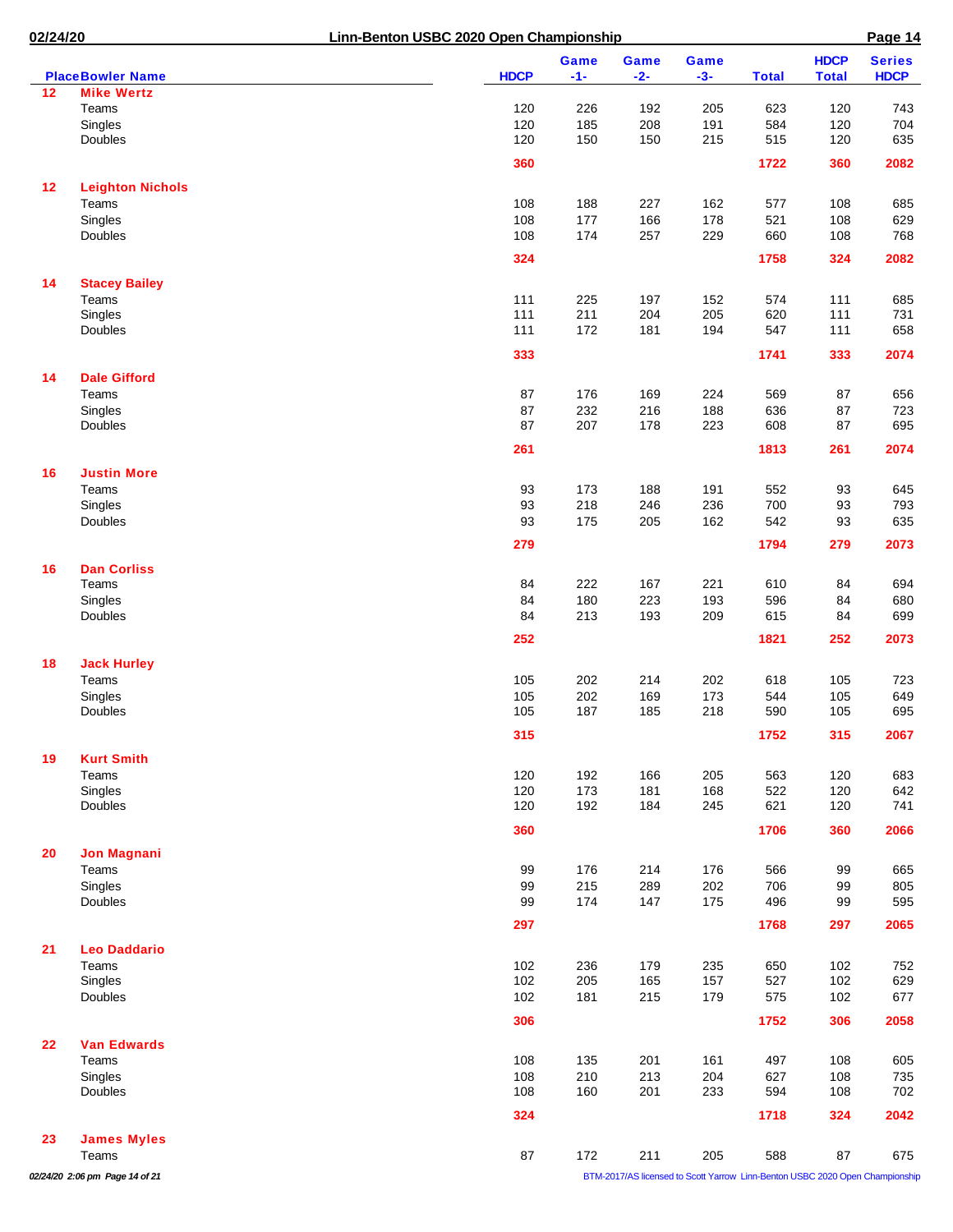| 02/24/20 |                                         | Linn-Benton USBC 2020 Open Championship |               |               |                                                                                     |              |                             | Page 14                      |
|----------|-----------------------------------------|-----------------------------------------|---------------|---------------|-------------------------------------------------------------------------------------|--------------|-----------------------------|------------------------------|
|          | <b>PlaceBowler Name</b>                 | <b>HDCP</b>                             | Game<br>$-1-$ | Game<br>$-2-$ | Game<br>$-3-$                                                                       | <b>Total</b> | <b>HDCP</b><br><b>Total</b> | <b>Series</b><br><b>HDCP</b> |
| 12       | <b>Mike Wertz</b>                       |                                         |               |               |                                                                                     |              |                             |                              |
|          | Teams                                   | 120                                     | 226           | 192           | 205                                                                                 | 623          | 120                         | 743                          |
|          | Singles                                 | 120                                     | 185           | 208           | 191                                                                                 | 584          | 120                         | 704                          |
|          | Doubles                                 | 120                                     | 150           | 150           | 215                                                                                 | 515          | 120                         | 635                          |
|          |                                         | 360                                     |               |               |                                                                                     | 1722         | 360                         | 2082                         |
| 12       | <b>Leighton Nichols</b>                 |                                         |               |               |                                                                                     |              |                             |                              |
|          | Teams                                   | 108                                     | 188           | 227           | 162                                                                                 | 577          | 108                         | 685                          |
|          | Singles                                 | 108                                     | 177           | 166           | 178                                                                                 | 521          | 108                         | 629                          |
|          | <b>Doubles</b>                          | 108                                     | 174           | 257           | 229                                                                                 | 660          | 108                         | 768                          |
|          |                                         | 324                                     |               |               |                                                                                     | 1758         | 324                         | 2082                         |
| 14       | <b>Stacey Bailey</b>                    |                                         |               |               |                                                                                     |              |                             |                              |
|          | Teams                                   | 111                                     | 225           | 197           | 152                                                                                 | 574          | 111                         | 685                          |
|          | Singles<br>Doubles                      | 111<br>111                              | 211<br>172    | 204<br>181    | 205<br>194                                                                          | 620<br>547   | 111<br>111                  | 731<br>658                   |
|          |                                         |                                         |               |               |                                                                                     |              |                             |                              |
|          |                                         | 333                                     |               |               |                                                                                     | 1741         | 333                         | 2074                         |
| 14       | <b>Dale Gifford</b>                     |                                         |               |               |                                                                                     |              |                             |                              |
|          | Teams                                   | 87                                      | 176           | 169           | 224                                                                                 | 569          | 87                          | 656                          |
|          | Singles                                 | 87                                      | 232           | 216           | 188                                                                                 | 636          | 87                          | 723                          |
|          | Doubles                                 | 87                                      | 207           | 178           | 223                                                                                 | 608          | 87                          | 695                          |
|          |                                         | 261                                     |               |               |                                                                                     | 1813         | 261                         | 2074                         |
| 16       | <b>Justin More</b>                      |                                         |               |               |                                                                                     |              |                             |                              |
|          | Teams                                   | 93                                      | 173           | 188           | 191                                                                                 | 552          | 93                          | 645                          |
|          | Singles                                 | 93                                      | 218           | 246           | 236                                                                                 | 700          | 93                          | 793                          |
|          | Doubles                                 | 93                                      | 175           | 205           | 162                                                                                 | 542          | 93                          | 635                          |
|          |                                         | 279                                     |               |               |                                                                                     | 1794         | 279                         | 2073                         |
| 16       | <b>Dan Corliss</b>                      |                                         |               |               |                                                                                     |              |                             |                              |
|          | Teams                                   | 84                                      | 222           | 167           | 221                                                                                 | 610          | 84                          | 694                          |
|          | Singles                                 | 84                                      | 180           | 223           | 193                                                                                 | 596          | 84                          | 680                          |
|          | Doubles                                 | 84                                      | 213           | 193           | 209                                                                                 | 615          | 84                          | 699                          |
|          |                                         | 252                                     |               |               |                                                                                     | 1821         | 252                         | 2073                         |
| 18       | <b>Jack Hurley</b>                      |                                         |               |               |                                                                                     |              |                             |                              |
|          | Teams                                   | 105                                     | 202           | 214           | 202                                                                                 | 618          | 105                         | 723                          |
|          | Singles                                 | 105                                     | 202           | 169           | 173                                                                                 | 544          | 105                         | 649                          |
|          | Doubles                                 | 105                                     | 187           | 185           | 218                                                                                 | 590          | 105                         | 695                          |
|          |                                         | 315                                     |               |               |                                                                                     | 1752         | 315                         | 2067                         |
| 19       | <b>Kurt Smith</b>                       |                                         |               |               |                                                                                     |              |                             |                              |
|          | Teams                                   | 120                                     | 192           | 166           | 205                                                                                 | 563          | 120                         | 683                          |
|          | Singles                                 | 120                                     | 173           | 181           | 168                                                                                 | 522          | 120                         | 642                          |
|          | Doubles                                 | 120                                     | 192           | 184           | 245                                                                                 | 621          | 120                         | 741                          |
|          |                                         | 360                                     |               |               |                                                                                     | 1706         | 360                         | 2066                         |
| 20       | <b>Jon Magnani</b>                      |                                         |               |               |                                                                                     |              |                             |                              |
|          | Teams                                   | 99                                      | 176           | 214           | 176                                                                                 | 566          | 99                          | 665                          |
|          | Singles                                 | 99                                      | 215           | 289           | 202                                                                                 | 706          | 99                          | 805                          |
|          | Doubles                                 | 99                                      | 174           | 147           | 175                                                                                 | 496          | 99                          | 595                          |
|          |                                         | 297                                     |               |               |                                                                                     | 1768         | 297                         | 2065                         |
| 21       | <b>Leo Daddario</b>                     |                                         |               |               |                                                                                     |              |                             |                              |
|          | Teams                                   | 102                                     | 236           | 179           | 235                                                                                 | 650          | 102                         | 752                          |
|          | Singles                                 | 102                                     | 205           | 165           | 157                                                                                 | 527          | 102                         | 629                          |
|          | Doubles                                 | 102                                     | 181           | 215           | 179                                                                                 | 575          | 102                         | 677                          |
|          |                                         | 306                                     |               |               |                                                                                     | 1752         | 306                         | 2058                         |
| 22       | <b>Van Edwards</b>                      |                                         |               |               |                                                                                     |              |                             |                              |
|          | Teams                                   | 108                                     | 135           | 201           | 161                                                                                 | 497          | 108                         | 605                          |
|          | Singles                                 | 108                                     | 210           | 213           | 204                                                                                 | 627          | 108                         | 735                          |
|          | Doubles                                 | 108                                     | 160           | 201           | 233                                                                                 | 594          | 108                         | 702                          |
|          |                                         | 324                                     |               |               |                                                                                     | 1718         | 324                         | 2042                         |
| 23       | <b>James Myles</b>                      |                                         |               |               |                                                                                     | 588          |                             | 675                          |
|          | Teams<br>02/24/20 2:06 pm Page 14 of 21 | 87                                      | 172           | 211           | 205<br>BTM-2017/AS licensed to Scott Yarrow Linn-Benton USBC 2020 Open Championship |              | 87                          |                              |
|          |                                         |                                         |               |               |                                                                                     |              |                             |                              |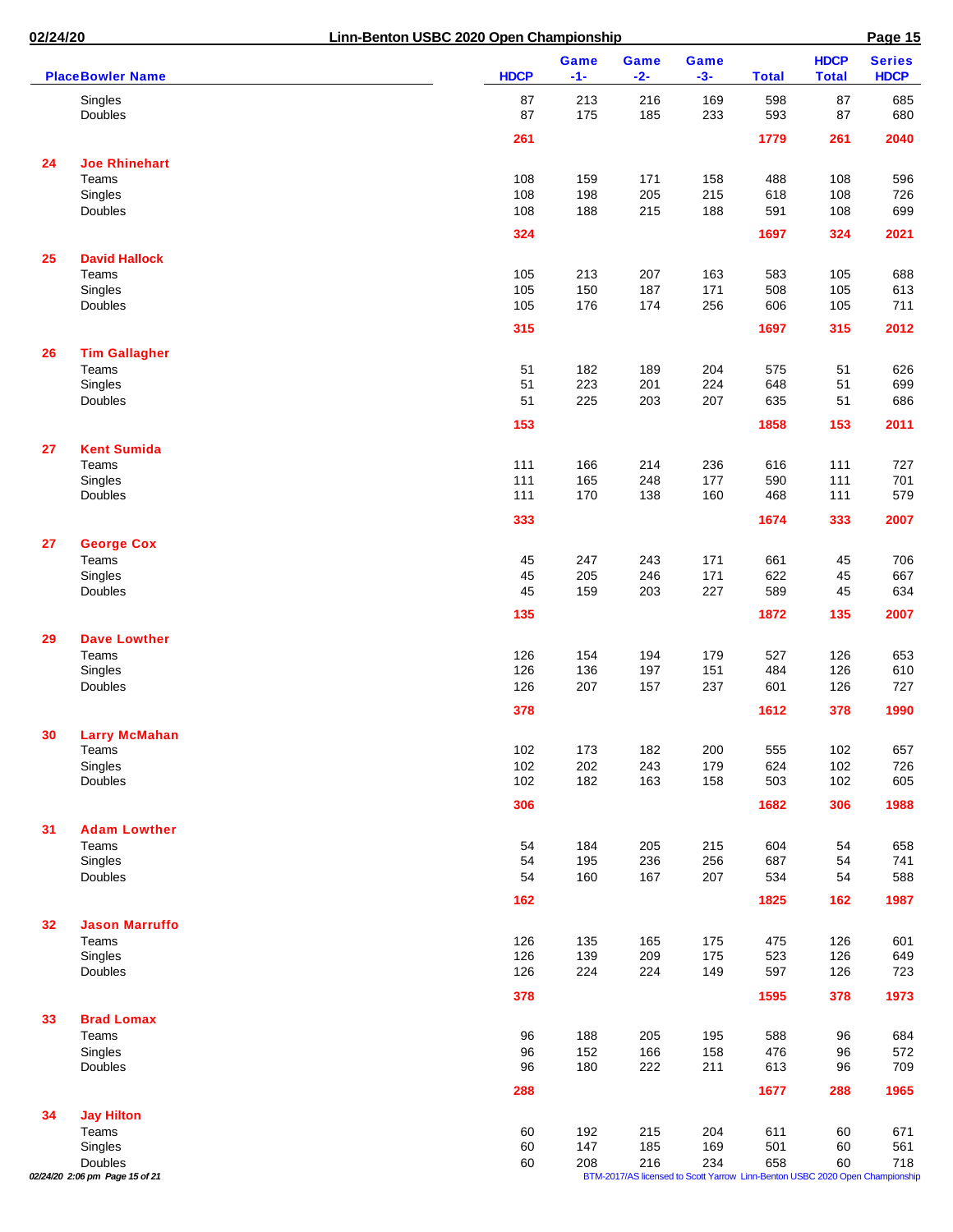| 02/24/20 |                                | Linn-Benton USBC 2020 Open Championship |                      |                                                                              |               |              |                             | Page 15                      |
|----------|--------------------------------|-----------------------------------------|----------------------|------------------------------------------------------------------------------|---------------|--------------|-----------------------------|------------------------------|
|          | <b>PlaceBowler Name</b>        | <b>HDCP</b>                             | <b>Game</b><br>$-1-$ | Game<br>$-2-$                                                                | Game<br>$-3-$ | <b>Total</b> | <b>HDCP</b><br><b>Total</b> | <b>Series</b><br><b>HDCP</b> |
|          | Singles<br>Doubles             | 87<br>87                                | 213<br>175           | 216<br>185                                                                   | 169<br>233    | 598<br>593   | 87<br>87                    | 685<br>680                   |
|          |                                | 261                                     |                      |                                                                              |               | 1779         | 261                         | 2040                         |
| 24       | <b>Joe Rhinehart</b>           |                                         |                      |                                                                              |               |              |                             |                              |
|          | Teams                          | 108                                     | 159                  | 171                                                                          | 158           | 488          | 108                         | 596                          |
|          | Singles                        | 108                                     | 198                  | 205                                                                          | 215           | 618          | 108                         | 726                          |
|          | Doubles                        | 108                                     | 188                  | 215                                                                          | 188           | 591          | 108                         | 699                          |
|          |                                | 324                                     |                      |                                                                              |               | 1697         | 324                         | 2021                         |
| 25       | <b>David Hallock</b><br>Teams  | 105                                     | 213                  | 207                                                                          | 163           | 583          | 105                         | 688                          |
|          | Singles                        | 105                                     | 150                  | 187                                                                          | 171           | 508          | 105                         | 613                          |
|          | Doubles                        | 105                                     | 176                  | 174                                                                          | 256           | 606          | 105                         | 711                          |
|          |                                | 315                                     |                      |                                                                              |               | 1697         | 315                         | 2012                         |
| 26       | <b>Tim Gallagher</b>           |                                         |                      |                                                                              |               |              |                             |                              |
|          | Teams                          | 51                                      | 182                  | 189                                                                          | 204           | 575          | 51                          | 626                          |
|          | Singles                        | 51                                      | 223                  | 201                                                                          | 224           | 648          | 51                          | 699                          |
|          | Doubles                        | 51                                      | 225                  | 203                                                                          | 207           | 635          | 51                          | 686                          |
|          |                                | 153                                     |                      |                                                                              |               | 1858         | 153                         | 2011                         |
| 27       | <b>Kent Sumida</b>             |                                         |                      |                                                                              |               |              |                             |                              |
|          | Teams                          | 111                                     | 166                  | 214                                                                          | 236           | 616          | 111                         | 727                          |
|          | Singles<br>Doubles             | 111<br>111                              | 165<br>170           | 248<br>138                                                                   | 177<br>160    | 590<br>468   | 111<br>111                  | 701<br>579                   |
|          |                                | 333                                     |                      |                                                                              |               | 1674         | 333                         | 2007                         |
| 27       | <b>George Cox</b>              |                                         |                      |                                                                              |               |              |                             |                              |
|          | Teams                          | 45                                      | 247                  | 243                                                                          | 171           | 661          | 45                          | 706                          |
|          | Singles                        | 45                                      | 205                  | 246                                                                          | 171           | 622          | 45                          | 667                          |
|          | Doubles                        | 45                                      | 159                  | 203                                                                          | 227           | 589          | 45                          | 634                          |
|          |                                | 135                                     |                      |                                                                              |               | 1872         | 135                         | 2007                         |
| 29       | <b>Dave Lowther</b>            |                                         |                      |                                                                              |               |              |                             |                              |
|          | Teams                          | 126                                     | 154                  | 194                                                                          | 179           | 527          | 126                         | 653                          |
|          | Singles                        | 126                                     | 136                  | 197                                                                          | 151           | 484          | 126                         | 610                          |
|          | Doubles                        | 126                                     | 207                  | 157                                                                          | 237           | 601          | 126                         | 727                          |
|          |                                | 378                                     |                      |                                                                              |               | 1612         | 378                         | 1990                         |
| 30       | <b>Larry McMahan</b>           |                                         |                      |                                                                              |               |              |                             |                              |
|          | Teams<br>Singles               | 102<br>102                              | 173<br>202           | 182<br>243                                                                   | 200<br>179    | 555<br>624   | 102<br>102                  | 657<br>726                   |
|          | Doubles                        | 102                                     | 182                  | 163                                                                          | 158           | 503          | 102                         | 605                          |
|          |                                | 306                                     |                      |                                                                              |               | 1682         | 306                         | 1988                         |
| 31       | <b>Adam Lowther</b>            |                                         |                      |                                                                              |               |              |                             |                              |
|          | Teams                          | 54                                      | 184                  | 205                                                                          | 215           | 604          | 54                          | 658                          |
|          | Singles                        | 54                                      | 195                  | 236                                                                          | 256           | 687          | 54                          | 741                          |
|          | Doubles                        | 54                                      | 160                  | 167                                                                          | 207           | 534          | 54                          | 588                          |
|          |                                | 162                                     |                      |                                                                              |               | 1825         | 162                         | 1987                         |
| 32       | <b>Jason Marruffo</b>          |                                         |                      |                                                                              |               |              |                             |                              |
|          | Teams<br>Singles               | 126<br>126                              | 135<br>139           | 165<br>209                                                                   | 175<br>175    | 475<br>523   | 126<br>126                  | 601<br>649                   |
|          | Doubles                        | 126                                     | 224                  | 224                                                                          | 149           | 597          | 126                         | 723                          |
|          |                                | 378                                     |                      |                                                                              |               | 1595         | 378                         | 1973                         |
| 33       | <b>Brad Lomax</b>              |                                         |                      |                                                                              |               |              |                             |                              |
|          | Teams                          | 96                                      | 188                  | 205                                                                          | 195           | 588          | 96                          | 684                          |
|          | Singles                        | 96                                      | 152                  | 166                                                                          | 158           | 476          | 96                          | 572                          |
|          | Doubles                        | 96                                      | 180                  | 222                                                                          | 211           | 613          | 96                          | 709                          |
|          |                                | 288                                     |                      |                                                                              |               | 1677         | 288                         | 1965                         |
| 34       | <b>Jay Hilton</b>              |                                         |                      |                                                                              |               |              |                             |                              |
|          | Teams<br>Singles               | 60<br>60                                | 192<br>147           | 215<br>185                                                                   | 204<br>169    | 611<br>501   | 60<br>60                    | 671<br>561                   |
|          | Doubles                        | 60                                      | 208                  | 216                                                                          | 234           | 658          | 60                          | 718                          |
|          | 02/24/20 2:06 pm Page 15 of 21 |                                         |                      | BTM-2017/AS licensed to Scott Yarrow Linn-Benton USBC 2020 Open Championship |               |              |                             |                              |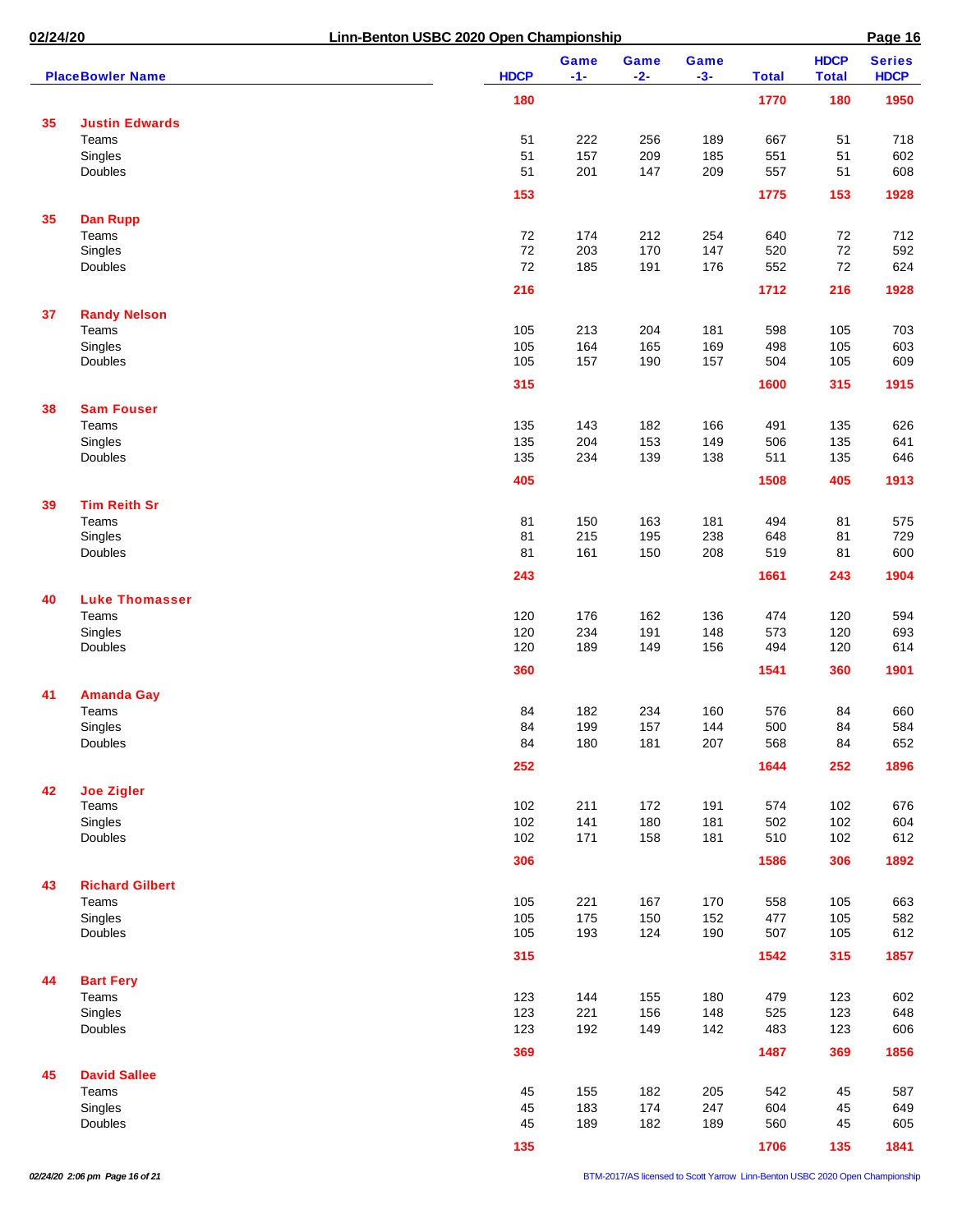| 02/24/20 |                              | Linn-Benton USBC 2020 Open Championship |               |               |               |              |                             | Page 16                      |
|----------|------------------------------|-----------------------------------------|---------------|---------------|---------------|--------------|-----------------------------|------------------------------|
|          | <b>PlaceBowler Name</b>      | <b>HDCP</b>                             | Game<br>$-1-$ | Game<br>$-2-$ | Game<br>$-3-$ | <b>Total</b> | <b>HDCP</b><br><b>Total</b> | <b>Series</b><br><b>HDCP</b> |
|          |                              | 180                                     |               |               |               | 1770         | 180                         | 1950                         |
| 35       | <b>Justin Edwards</b>        |                                         |               |               |               |              |                             |                              |
|          | Teams                        | 51                                      | 222           | 256           | 189           | 667          | 51                          | 718                          |
|          | Singles                      | 51                                      | 157           | 209           | 185           | 551          | 51                          | 602                          |
|          | Doubles                      | 51                                      | 201           | 147           | 209           | 557          | 51                          | 608                          |
|          |                              | 153                                     |               |               |               | 1775         | 153                         | 1928                         |
|          |                              |                                         |               |               |               |              |                             |                              |
| 35       | <b>Dan Rupp</b><br>Teams     | 72                                      | 174           | 212           | 254           | 640          | 72                          | 712                          |
|          | Singles                      | 72                                      | 203           | 170           | 147           | 520          | $72\,$                      | 592                          |
|          | Doubles                      | 72                                      | 185           | 191           | 176           | 552          | 72                          | 624                          |
|          |                              | 216                                     |               |               |               | 1712         | 216                         | 1928                         |
|          |                              |                                         |               |               |               |              |                             |                              |
| 37       | <b>Randy Nelson</b><br>Teams | 105                                     | 213           | 204           | 181           | 598          | 105                         | 703                          |
|          | Singles                      | 105                                     | 164           | 165           | 169           | 498          | 105                         | 603                          |
|          | Doubles                      | 105                                     | 157           | 190           | 157           | 504          | 105                         | 609                          |
|          |                              | 315                                     |               |               |               | 1600         | 315                         | 1915                         |
| 38       | <b>Sam Fouser</b>            |                                         |               |               |               |              |                             |                              |
|          | Teams                        |                                         |               | 182           |               |              |                             |                              |
|          |                              | 135                                     | 143           |               | 166           | 491          | 135                         | 626                          |
|          | Singles<br>Doubles           | 135                                     | 204           | 153           | 149           | 506          | 135                         | 641                          |
|          |                              | 135                                     | 234           | 139           | 138           | 511          | 135                         | 646                          |
|          |                              | 405                                     |               |               |               | 1508         | 405                         | 1913                         |
| 39       | <b>Tim Reith Sr</b>          |                                         |               |               |               |              |                             |                              |
|          | Teams                        | 81                                      | 150           | 163           | 181           | 494          | 81                          | 575                          |
|          | Singles                      | 81                                      | 215           | 195           | 238           | 648          | 81                          | 729                          |
|          | Doubles                      | 81                                      | 161           | 150           | 208           | 519          | 81                          | 600                          |
|          |                              | 243                                     |               |               |               | 1661         | 243                         | 1904                         |
| 40       | <b>Luke Thomasser</b>        |                                         |               |               |               |              |                             |                              |
|          | Teams                        | 120                                     | 176           | 162           | 136           | 474          | 120                         | 594                          |
|          | Singles                      | 120                                     | 234           | 191           | 148           | 573          | 120                         | 693                          |
|          | Doubles                      | 120                                     | 189           | 149           | 156           | 494          | 120                         | 614                          |
|          |                              | 360                                     |               |               |               | 1541         | 360                         | 1901                         |
| 41       | <b>Amanda Gay</b>            |                                         |               |               |               |              |                             |                              |
|          | Teams                        | 84                                      | 182           | 234           | 160           | 576          | 84                          | 660                          |
|          | Singles                      | 84                                      | 199           | 157           | 144           | 500          | 84                          | 584                          |
|          | Doubles                      | 84                                      | 180           | 181           | 207           | 568          | 84                          | 652                          |
|          |                              | 252                                     |               |               |               | 1644         | 252                         | 1896                         |
| 42       | <b>Joe Zigler</b>            |                                         |               |               |               |              |                             |                              |
|          | Teams                        | 102                                     | 211           | 172           | 191           | 574          | 102                         | 676                          |
|          | Singles                      | 102                                     | 141           | 180           | 181           | 502          | 102                         | 604                          |
|          | Doubles                      | 102                                     | 171           | 158           | 181           | 510          | 102                         | 612                          |
|          |                              | 306                                     |               |               |               | 1586         | 306                         | 1892                         |
|          |                              |                                         |               |               |               |              |                             |                              |
| 43       | <b>Richard Gilbert</b>       |                                         |               |               |               |              |                             |                              |
|          | Teams                        | 105                                     | 221           | 167           | 170           | 558          | 105                         | 663                          |
|          | Singles                      | 105                                     | 175           | 150           | 152           | 477          | 105                         | 582                          |
|          | Doubles                      | 105                                     | 193           | 124           | 190           | 507          | 105                         | 612                          |
|          |                              | 315                                     |               |               |               | 1542         | 315                         | 1857                         |
| 44       | <b>Bart Fery</b><br>Teams    |                                         |               |               |               |              |                             |                              |
|          |                              | 123                                     | 144           | 155           | 180           | 479          | 123                         | 602                          |
|          | Singles<br>Doubles           | 123<br>123                              | 221<br>192    | 156<br>149    | 148<br>142    | 525<br>483   | 123<br>123                  | 648<br>606                   |
|          |                              |                                         |               |               |               |              |                             |                              |
|          |                              | 369                                     |               |               |               | 1487         | 369                         | 1856                         |
| 45       | <b>David Sallee</b><br>Teams | 45                                      | 155           | 182           | 205           | 542          | 45                          | 587                          |
|          | Singles                      | 45                                      | 183           | 174           | 247           | 604          | 45                          | 649                          |
|          | Doubles                      | 45                                      | 189           | 182           | 189           | 560          | 45                          | 605                          |
|          |                              |                                         |               |               |               |              |                             |                              |
|          |                              | 135                                     |               |               |               | 1706         | 135                         | 1841                         |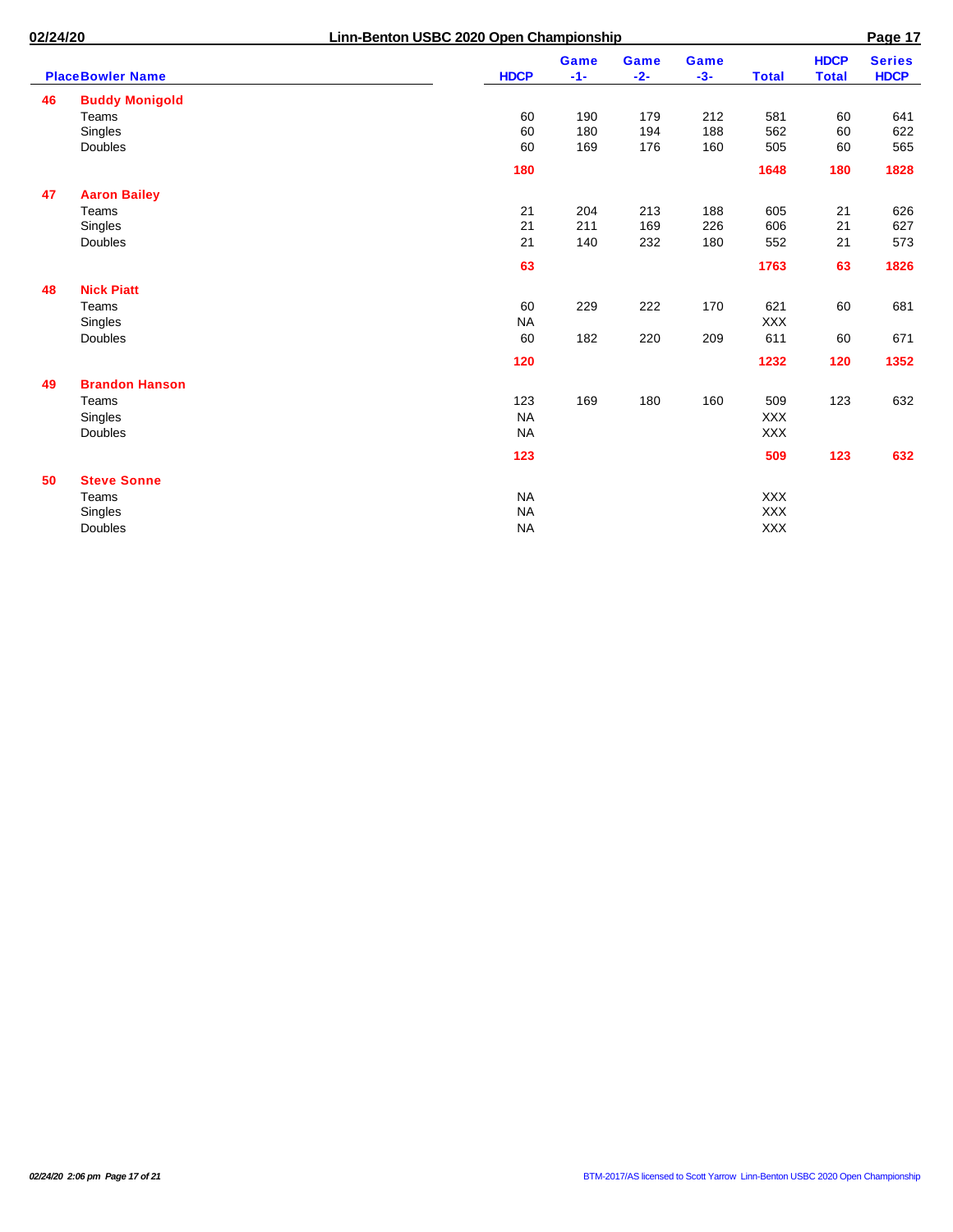| 02/24/20 |                         |             | Linn-Benton USBC 2020 Open Championship |                      |               |                      |              |                             |                              |  |  |
|----------|-------------------------|-------------|-----------------------------------------|----------------------|---------------|----------------------|--------------|-----------------------------|------------------------------|--|--|
|          | <b>PlaceBowler Name</b> | <b>HDCP</b> |                                         | <b>Game</b><br>$-1-$ | Game<br>$-2-$ | <b>Game</b><br>$-3-$ | <b>Total</b> | <b>HDCP</b><br><b>Total</b> | <b>Series</b><br><b>HDCP</b> |  |  |
| 46       | <b>Buddy Monigold</b>   |             |                                         |                      |               |                      |              |                             |                              |  |  |
|          | Teams                   | 60          |                                         | 190                  | 179           | 212                  | 581          | 60                          | 641                          |  |  |
|          | Singles                 | 60          |                                         | 180                  | 194           | 188                  | 562          | 60                          | 622                          |  |  |
|          | Doubles                 | 60          |                                         | 169                  | 176           | 160                  | 505          | 60                          | 565                          |  |  |
|          |                         | 180         |                                         |                      |               |                      | 1648         | 180                         | 1828                         |  |  |
| 47       | <b>Aaron Bailey</b>     |             |                                         |                      |               |                      |              |                             |                              |  |  |
|          | Teams                   | 21          |                                         | 204                  | 213           | 188                  | 605          | 21                          | 626                          |  |  |
|          | Singles                 | 21          |                                         | 211                  | 169           | 226                  | 606          | 21                          | 627                          |  |  |
|          | Doubles                 | 21          |                                         | 140                  | 232           | 180                  | 552          | 21                          | 573                          |  |  |
|          |                         | 63          |                                         |                      |               |                      | 1763         | 63                          | 1826                         |  |  |
| 48       | <b>Nick Piatt</b>       |             |                                         |                      |               |                      |              |                             |                              |  |  |
|          | Teams                   | 60          |                                         | 229                  | 222           | 170                  | 621          | 60                          | 681                          |  |  |
|          | Singles                 | <b>NA</b>   |                                         |                      |               |                      | <b>XXX</b>   |                             |                              |  |  |
|          | Doubles                 | 60          |                                         | 182                  | 220           | 209                  | 611          | 60                          | 671                          |  |  |
|          |                         | 120         |                                         |                      |               |                      | 1232         | 120                         | 1352                         |  |  |
| 49       | <b>Brandon Hanson</b>   |             |                                         |                      |               |                      |              |                             |                              |  |  |
|          | Teams                   | 123         |                                         | 169                  | 180           | 160                  | 509          | 123                         | 632                          |  |  |
|          | Singles                 | <b>NA</b>   |                                         |                      |               |                      | <b>XXX</b>   |                             |                              |  |  |
|          | Doubles                 | <b>NA</b>   |                                         |                      |               |                      | <b>XXX</b>   |                             |                              |  |  |
|          |                         | 123         |                                         |                      |               |                      | 509          | 123                         | 632                          |  |  |
| 50       | <b>Steve Sonne</b>      |             |                                         |                      |               |                      |              |                             |                              |  |  |
|          | Teams                   | <b>NA</b>   |                                         |                      |               |                      | <b>XXX</b>   |                             |                              |  |  |
|          | Singles                 | <b>NA</b>   |                                         |                      |               |                      | <b>XXX</b>   |                             |                              |  |  |
|          | Doubles                 | <b>NA</b>   |                                         |                      |               |                      | <b>XXX</b>   |                             |                              |  |  |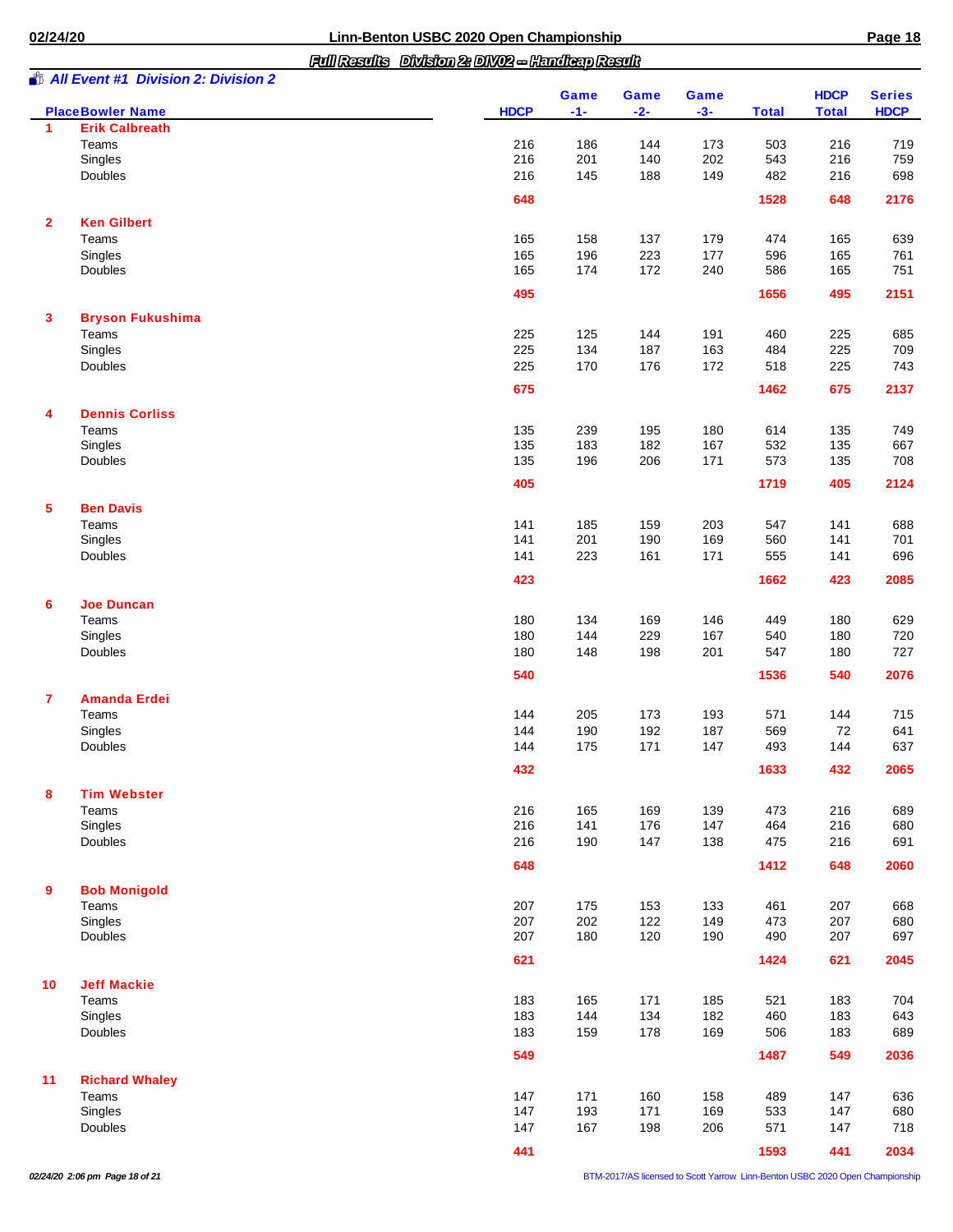*Full Results Division 2: DIV02 -- Handicap Result*

| Ю | n |
|---|---|
| r | ۰ |

|              | <b>All Event #1 Division 2: Division 2</b>       |             | Game       | Game       | Game       |              | <b>HDCP</b>  | <b>Series</b> |
|--------------|--------------------------------------------------|-------------|------------|------------|------------|--------------|--------------|---------------|
| 1            | <b>PlaceBowler Name</b><br><b>Erik Calbreath</b> | <b>HDCP</b> | $-1-$      | $-2-$      | $-3-$      | <b>Total</b> | <b>Total</b> | <b>HDCP</b>   |
|              | Teams                                            | 216         | 186        | 144        | 173        | 503          | 216          | 719           |
|              | Singles                                          | 216         | 201        | 140        | 202        | 543          | 216          | 759           |
|              | Doubles                                          | 216         | 145        | 188        | 149        | 482          | 216          | 698           |
|              |                                                  |             |            |            |            |              |              |               |
|              |                                                  | 648         |            |            |            | 1528         | 648          | 2176          |
| $\mathbf{2}$ | <b>Ken Gilbert</b>                               |             |            |            |            |              |              |               |
|              | Teams                                            | 165         | 158        | 137        | 179        | 474          | 165          | 639           |
|              | Singles                                          | 165         | 196        | 223        | 177        | 596          | 165          | 761           |
|              | Doubles                                          | 165         | 174        | 172        | 240        | 586          | 165          | 751           |
|              |                                                  | 495         |            |            |            | 1656         | 495          | 2151          |
| 3            | <b>Bryson Fukushima</b>                          |             |            |            |            |              |              |               |
|              | Teams                                            | 225         | 125        | 144        | 191        | 460          | 225          | 685           |
|              | Singles                                          | 225         | 134        | 187        | 163        | 484          | 225          | 709           |
|              | Doubles                                          | 225         | 170        | 176        | 172        | 518          | 225          | 743           |
|              |                                                  | 675         |            |            |            | 1462         | 675          | 2137          |
| 4            | <b>Dennis Corliss</b>                            |             |            |            |            |              |              |               |
|              | Teams                                            | 135         | 239        | 195        | 180        | 614          | 135          | 749           |
|              | Singles                                          | 135         | 183        | 182        | 167        | 532          | 135          | 667           |
|              | <b>Doubles</b>                                   | 135         | 196        | 206        | 171        | 573          | 135          | 708           |
|              |                                                  | 405         |            |            |            | 1719         | 405          | 2124          |
| 5            | <b>Ben Davis</b>                                 |             |            |            |            |              |              |               |
|              | Teams                                            | 141         | 185        | 159        | 203        | 547          | 141          | 688           |
|              | Singles                                          | 141         | 201        | 190        | 169        | 560          | 141          | 701           |
|              | Doubles                                          | 141         | 223        | 161        | 171        | 555          | 141          | 696           |
|              |                                                  | 423         |            |            |            | 1662         | 423          | 2085          |
| 6            | <b>Joe Duncan</b>                                |             |            |            |            |              |              |               |
|              | Teams                                            | 180         | 134        | 169        | 146        | 449          | 180          | 629           |
|              | Singles                                          | 180         | 144        | 229        | 167        | 540          | 180          | 720           |
|              | Doubles                                          | 180         | 148        | 198        | 201        | 547          | 180          | 727           |
|              |                                                  | 540         |            |            |            | 1536         | 540          | 2076          |
|              |                                                  |             |            |            |            |              |              |               |
| 7            | <b>Amanda Erdei</b><br>Teams                     | 144         | 205        | 173        | 193        | 571          | 144          | 715           |
|              | Singles                                          | 144         | 190        | 192        | 187        | 569          | 72           | 641           |
|              | <b>Doubles</b>                                   | 144         | 175        | 171        | 147        | 493          | 144          | 637           |
|              |                                                  |             |            |            |            |              |              | 2065          |
|              |                                                  | 432         |            |            |            | 1633         | 432          |               |
| 8            | <b>Tim Webster</b>                               |             |            |            |            |              |              |               |
|              | Teams<br>Singles                                 | 216<br>216  | 165<br>141 | 169<br>176 | 139<br>147 | 473<br>464   | 216<br>216   | 689<br>680    |
|              | Doubles                                          | 216         | 190        | 147        | 138        | 475          | 216          | 691           |
|              |                                                  |             |            |            |            |              |              |               |
|              |                                                  | 648         |            |            |            | 1412         | 648          | 2060          |
| 9            | <b>Bob Monigold</b>                              |             |            |            |            |              |              |               |
|              | Teams                                            | 207         | 175        | 153        | 133        | 461          | 207          | 668           |
|              | Singles                                          | 207         | 202        | 122        | 149        | 473          | 207          | 680           |
|              | Doubles                                          | 207         | 180        | 120        | 190        | 490          | 207          | 697           |
|              |                                                  | 621         |            |            |            | 1424         | 621          | 2045          |
| 10           | <b>Jeff Mackie</b>                               |             |            |            |            |              |              |               |
|              | Teams                                            | 183         | 165        | 171        | 185        | 521          | 183          | 704           |
|              | Singles                                          | 183         | 144        | 134        | 182        | 460          | 183          | 643           |
|              | Doubles                                          | 183         | 159        | 178        | 169        | 506          | 183          | 689           |
|              |                                                  | 549         |            |            |            | 1487         | 549          | 2036          |
| 11           | <b>Richard Whaley</b>                            |             |            |            |            |              |              |               |
|              | Teams                                            | 147         | 171        | 160        | 158        | 489          | 147          | 636           |
|              | Singles                                          | 147         | 193        | 171        | 169        | 533          | 147          | 680           |
|              | Doubles                                          | 147         | 167        | 198        | 206        | 571          | 147          | 718           |
|              |                                                  | 441         |            |            |            | 1593         | 441          | 2034          |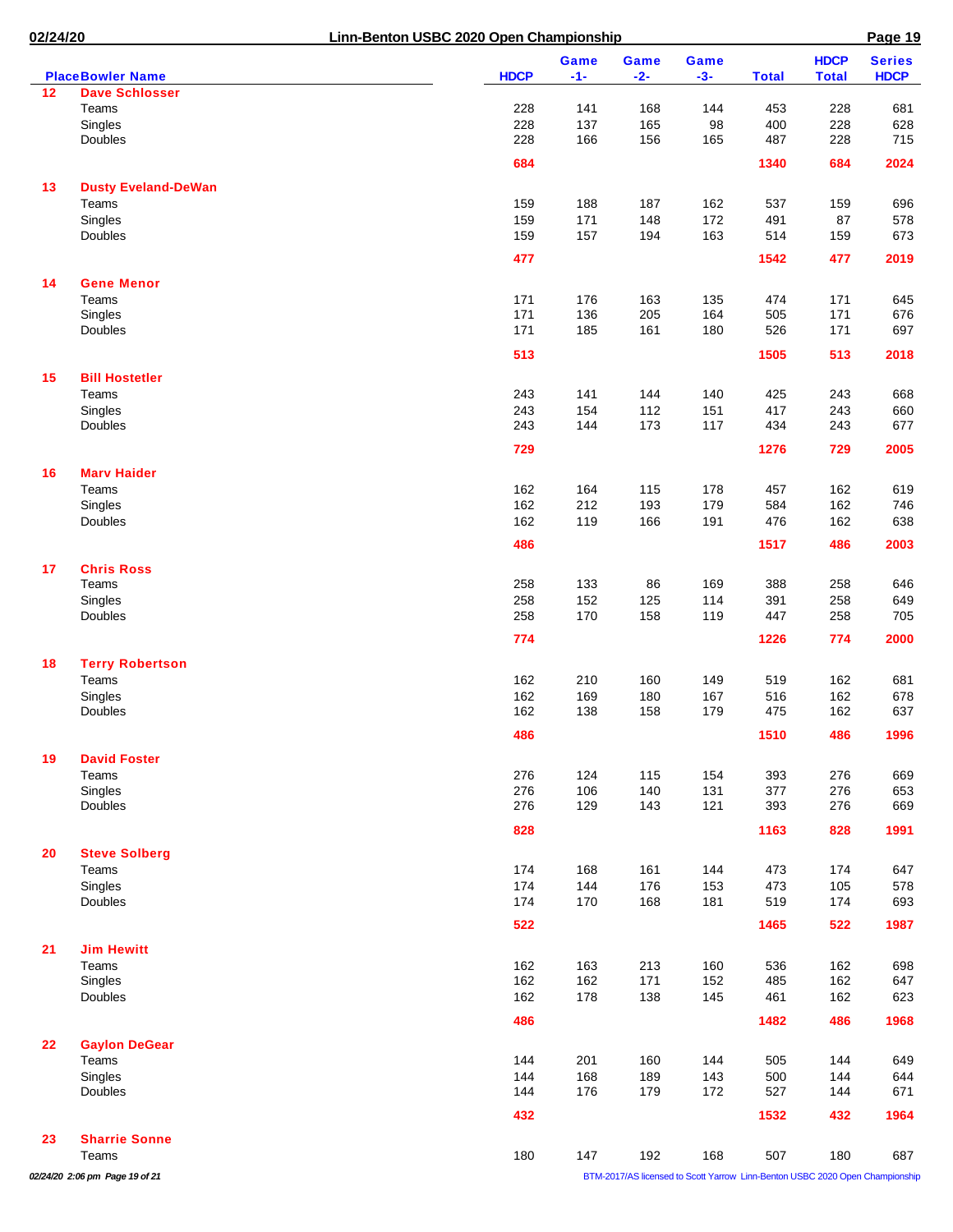| 02/24/20 |                                                  | Linn-Benton USBC 2020 Open Championship |             |             |            |             |              |              | Page 19                                                                      |  |
|----------|--------------------------------------------------|-----------------------------------------|-------------|-------------|------------|-------------|--------------|--------------|------------------------------------------------------------------------------|--|
|          |                                                  |                                         |             | <b>Game</b> | Game       | <b>Game</b> |              | <b>HDCP</b>  | <b>Series</b>                                                                |  |
| 12       | <b>PlaceBowler Name</b><br><b>Dave Schlosser</b> |                                         | <b>HDCP</b> | $-1-$       | $-2-$      | $-3-$       | <b>Total</b> | <b>Total</b> | <b>HDCP</b>                                                                  |  |
|          | Teams                                            |                                         | 228         | 141         | 168        | 144         | 453          | 228          | 681                                                                          |  |
|          | Singles                                          |                                         | 228         | 137         | 165        | 98          | 400          | 228          | 628                                                                          |  |
|          | Doubles                                          |                                         | 228         | 166         | 156        | 165         | 487          | 228          | 715                                                                          |  |
|          |                                                  |                                         | 684         |             |            |             | 1340         | 684          | 2024                                                                         |  |
| 13       | <b>Dusty Eveland-DeWan</b>                       |                                         |             |             |            |             |              |              |                                                                              |  |
|          | Teams                                            |                                         | 159         | 188         | 187        | 162         | 537          | 159          | 696                                                                          |  |
|          | Singles                                          |                                         | 159         | 171         | 148        | 172         | 491          | 87           | 578                                                                          |  |
|          | Doubles                                          |                                         | 159         | 157         | 194        | 163         | 514          | 159          | 673                                                                          |  |
|          |                                                  |                                         | 477         |             |            |             | 1542         | 477          | 2019                                                                         |  |
| 14       | <b>Gene Menor</b>                                |                                         |             |             |            |             |              |              |                                                                              |  |
|          | Teams                                            |                                         | 171         | 176         | 163        | 135         | 474          | 171          | 645                                                                          |  |
|          | Singles                                          |                                         | 171         | 136         | 205        | 164         | 505          | 171          | 676                                                                          |  |
|          | Doubles                                          |                                         | 171         | 185         | 161        | 180         | 526          | 171          | 697                                                                          |  |
|          |                                                  |                                         | 513         |             |            |             | 1505         | 513          | 2018                                                                         |  |
| 15       | <b>Bill Hostetler</b>                            |                                         |             |             |            |             |              |              |                                                                              |  |
|          | Teams                                            |                                         | 243         | 141         | 144        | 140         | 425          | 243          | 668                                                                          |  |
|          | Singles                                          |                                         | 243         | 154         | 112        | 151         | 417          | 243          | 660                                                                          |  |
|          | Doubles                                          |                                         | 243         | 144         | 173        | 117         | 434          | 243          | 677                                                                          |  |
|          |                                                  |                                         | 729         |             |            |             | 1276         | 729          | 2005                                                                         |  |
| 16       | <b>Marv Haider</b>                               |                                         |             |             |            |             |              |              |                                                                              |  |
|          | Teams                                            |                                         | 162         | 164         | 115        | 178         | 457          | 162          | 619                                                                          |  |
|          | Singles                                          |                                         | 162         | 212         | 193        | 179         | 584          | 162          | 746                                                                          |  |
|          | Doubles                                          |                                         | 162         | 119         | 166        | 191         | 476          | 162          | 638                                                                          |  |
|          |                                                  |                                         | 486         |             |            |             | 1517         | 486          | 2003                                                                         |  |
|          |                                                  |                                         |             |             |            |             |              |              |                                                                              |  |
| 17       | <b>Chris Ross</b><br>Teams                       |                                         | 258         | 133         | 86         | 169         | 388          | 258          | 646                                                                          |  |
|          | Singles                                          |                                         | 258         | 152         | 125        | 114         | 391          | 258          | 649                                                                          |  |
|          | Doubles                                          |                                         | 258         | 170         | 158        | 119         | 447          | 258          | 705                                                                          |  |
|          |                                                  |                                         | 774         |             |            |             | 1226         | 774          | 2000                                                                         |  |
|          |                                                  |                                         |             |             |            |             |              |              |                                                                              |  |
| 18       | <b>Terry Robertson</b>                           |                                         |             |             |            |             |              |              |                                                                              |  |
|          | Teams                                            |                                         | 162<br>162  | 210         | 160        | 149         | 519          | 162<br>162   | 681                                                                          |  |
|          | Singles<br>Doubles                               |                                         | 162         | 169<br>138  | 180<br>158 | 167<br>179  | 516<br>475   | 162          | 678<br>637                                                                   |  |
|          |                                                  |                                         |             |             |            |             |              |              |                                                                              |  |
|          |                                                  |                                         | 486         |             |            |             | 1510         | 486          | 1996                                                                         |  |
| 19       | <b>David Foster</b>                              |                                         |             |             |            |             |              |              |                                                                              |  |
|          | Teams                                            |                                         | 276         | 124         | 115        | 154         | 393          | 276          | 669                                                                          |  |
|          | Singles<br>Doubles                               |                                         | 276<br>276  | 106<br>129  | 140<br>143 | 131<br>121  | 377<br>393   | 276<br>276   | 653<br>669                                                                   |  |
|          |                                                  |                                         |             |             |            |             |              |              |                                                                              |  |
|          |                                                  |                                         | 828         |             |            |             | 1163         | 828          | 1991                                                                         |  |
| 20       | <b>Steve Solberg</b>                             |                                         |             |             |            |             |              |              |                                                                              |  |
|          | Teams                                            |                                         | 174         | 168         | 161        | 144         | 473          | 174          | 647                                                                          |  |
|          | Singles                                          |                                         | 174         | 144         | 176        | 153         | 473          | 105          | 578                                                                          |  |
|          | Doubles                                          |                                         | 174         | 170         | 168        | 181         | 519          | 174          | 693                                                                          |  |
|          |                                                  |                                         | 522         |             |            |             | 1465         | 522          | 1987                                                                         |  |
| 21       | <b>Jim Hewitt</b>                                |                                         |             |             |            |             |              |              |                                                                              |  |
|          | Teams                                            |                                         | 162         | 163         | 213        | 160         | 536          | 162          | 698                                                                          |  |
|          | Singles                                          |                                         | 162         | 162         | 171        | 152         | 485          | 162          | 647                                                                          |  |
|          | Doubles                                          |                                         | 162         | 178         | 138        | 145         | 461          | 162          | 623                                                                          |  |
|          |                                                  |                                         | 486         |             |            |             | 1482         | 486          | 1968                                                                         |  |
| 22       | <b>Gaylon DeGear</b>                             |                                         |             |             |            |             |              |              |                                                                              |  |
|          | Teams                                            |                                         | 144         | 201         | 160        | 144         | 505          | 144          | 649                                                                          |  |
|          | Singles                                          |                                         | 144         | 168         | 189        | 143         | 500          | 144          | 644                                                                          |  |
|          | Doubles                                          |                                         | 144         | 176         | 179        | 172         | 527          | 144          | 671                                                                          |  |
|          |                                                  |                                         | 432         |             |            |             | 1532         | 432          | 1964                                                                         |  |
| 23       | <b>Sharrie Sonne</b>                             |                                         |             |             |            |             |              |              |                                                                              |  |
|          | Teams                                            |                                         | 180         | 147         | 192        | 168         | 507          | 180          | 687                                                                          |  |
|          | 02/24/20 2:06 pm Page 19 of 21                   |                                         |             |             |            |             |              |              | BTM-2017/AS licensed to Scott Yarrow Linn-Benton USBC 2020 Open Championship |  |
|          |                                                  |                                         |             |             |            |             |              |              |                                                                              |  |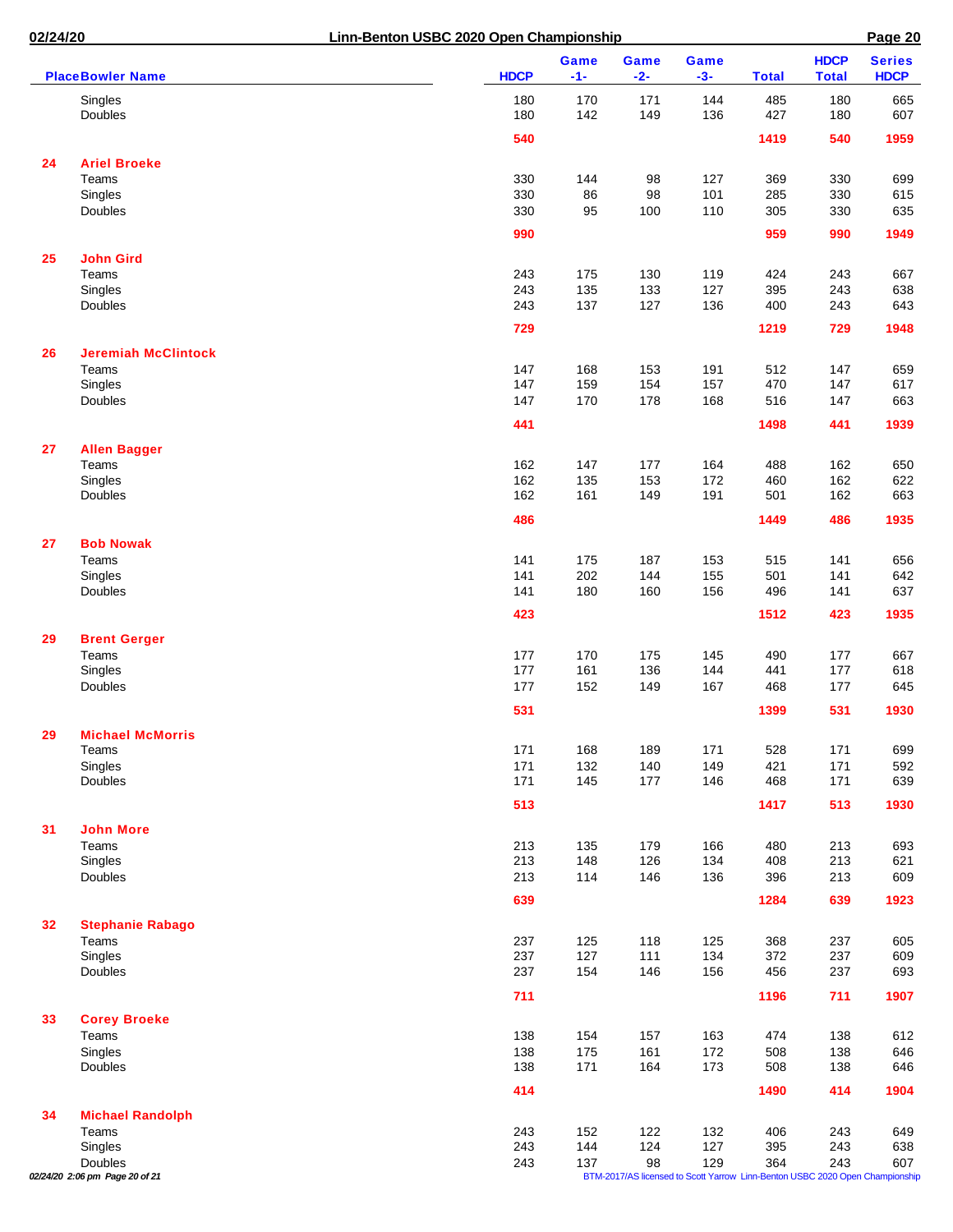| 02/24/20 |                                           | Linn-Benton USBC 2020 Open Championship |             |               |               |                                                                                     |              | Page 20                     |                              |  |
|----------|-------------------------------------------|-----------------------------------------|-------------|---------------|---------------|-------------------------------------------------------------------------------------|--------------|-----------------------------|------------------------------|--|
|          | <b>PlaceBowler Name</b>                   |                                         | <b>HDCP</b> | Game<br>$-1-$ | Game<br>$-2-$ | Game<br>$-3-$                                                                       | <b>Total</b> | <b>HDCP</b><br><b>Total</b> | <b>Series</b><br><b>HDCP</b> |  |
|          | Singles<br><b>Doubles</b>                 |                                         | 180<br>180  | 170<br>142    | 171<br>149    | 144<br>136                                                                          | 485<br>427   | 180<br>180                  | 665<br>607                   |  |
|          |                                           |                                         | 540         |               |               |                                                                                     | 1419         | 540                         | 1959                         |  |
| 24       | <b>Ariel Broeke</b>                       |                                         |             |               |               |                                                                                     |              |                             |                              |  |
|          | Teams                                     |                                         | 330         | 144           | 98            | 127                                                                                 | 369          | 330                         | 699                          |  |
|          | Singles                                   |                                         | 330         | 86            | 98            | 101                                                                                 | 285          | 330                         | 615                          |  |
|          | Doubles                                   |                                         | 330         | 95            | 100           | 110                                                                                 | 305          | 330                         | 635                          |  |
|          |                                           |                                         | 990         |               |               |                                                                                     | 959          | 990                         | 1949                         |  |
| 25       | <b>John Gird</b>                          |                                         |             |               |               |                                                                                     |              |                             |                              |  |
|          | Teams                                     |                                         | 243         | 175           | 130           | 119                                                                                 | 424          | 243                         | 667                          |  |
|          | Singles                                   |                                         | 243         | 135           | 133           | 127                                                                                 | 395          | 243                         | 638                          |  |
|          | Doubles                                   |                                         | 243         | 137           | 127           | 136                                                                                 | 400          | 243                         | 643                          |  |
|          |                                           |                                         | 729         |               |               |                                                                                     | 1219         | 729                         | 1948                         |  |
| 26       | <b>Jeremiah McClintock</b>                |                                         |             |               |               |                                                                                     |              |                             |                              |  |
|          | Teams                                     |                                         | 147         | 168           | 153           | 191                                                                                 | 512          | 147                         | 659                          |  |
|          | Singles<br>Doubles                        |                                         | 147<br>147  | 159<br>170    | 154<br>178    | 157<br>168                                                                          | 470<br>516   | 147<br>147                  | 617<br>663                   |  |
|          |                                           |                                         |             |               |               |                                                                                     |              |                             |                              |  |
|          |                                           |                                         | 441         |               |               |                                                                                     | 1498         | 441                         | 1939                         |  |
| 27       | <b>Allen Bagger</b>                       |                                         |             |               |               |                                                                                     |              |                             |                              |  |
|          | Teams                                     |                                         | 162         | 147           | 177           | 164                                                                                 | 488          | 162                         | 650                          |  |
|          | Singles<br>Doubles                        |                                         | 162<br>162  | 135<br>161    | 153<br>149    | 172<br>191                                                                          | 460<br>501   | 162<br>162                  | 622<br>663                   |  |
|          |                                           |                                         |             |               |               |                                                                                     |              |                             |                              |  |
|          |                                           |                                         | 486         |               |               |                                                                                     | 1449         | 486                         | 1935                         |  |
| 27       | <b>Bob Nowak</b>                          |                                         |             |               |               |                                                                                     |              |                             |                              |  |
|          | Teams<br>Singles                          |                                         | 141<br>141  | 175<br>202    | 187<br>144    | 153<br>155                                                                          | 515<br>501   | 141<br>141                  | 656<br>642                   |  |
|          | Doubles                                   |                                         | 141         | 180           | 160           | 156                                                                                 | 496          | 141                         | 637                          |  |
|          |                                           |                                         | 423         |               |               |                                                                                     | 1512         | 423                         | 1935                         |  |
| 29       | <b>Brent Gerger</b>                       |                                         |             |               |               |                                                                                     |              |                             |                              |  |
|          | Teams                                     |                                         | 177         | 170           | 175           | 145                                                                                 | 490          | 177                         | 667                          |  |
|          | Singles                                   |                                         | 177         | 161           | 136           | 144                                                                                 | 441          | 177                         | 618                          |  |
|          | Doubles                                   |                                         | 177         | 152           | 149           | 167                                                                                 | 468          | 177                         | 645                          |  |
|          |                                           |                                         | 531         |               |               |                                                                                     | 1399         | 531                         | 1930                         |  |
| 29       | <b>Michael McMorris</b>                   |                                         |             |               |               |                                                                                     |              |                             |                              |  |
|          | Teams                                     |                                         | 171         | 168           | 189           | 171                                                                                 | 528          | 171                         | 699                          |  |
|          | Singles                                   |                                         | 171         | 132           | 140           | 149                                                                                 | 421          | 171                         | 592                          |  |
|          | Doubles                                   |                                         | 171         | 145           | 177           | 146                                                                                 | 468          | 171                         | 639                          |  |
|          |                                           |                                         | 513         |               |               |                                                                                     | 1417         | 513                         | 1930                         |  |
| 31       | <b>John More</b>                          |                                         |             |               |               |                                                                                     |              |                             |                              |  |
|          | Teams                                     |                                         | 213         | 135           | 179           | 166                                                                                 | 480          | 213                         | 693                          |  |
|          | Singles                                   |                                         | 213         | 148           | 126           | 134                                                                                 | 408          | 213                         | 621                          |  |
|          | Doubles                                   |                                         | 213         | 114           | 146           | 136                                                                                 | 396          | 213                         | 609                          |  |
|          |                                           |                                         | 639         |               |               |                                                                                     | 1284         | 639                         | 1923                         |  |
| 32       | <b>Stephanie Rabago</b>                   |                                         |             |               |               |                                                                                     |              |                             |                              |  |
|          | Teams<br>Singles                          |                                         | 237<br>237  | 125<br>127    | 118<br>111    | 125<br>134                                                                          | 368<br>372   | 237<br>237                  | 605<br>609                   |  |
|          | Doubles                                   |                                         | 237         | 154           | 146           | 156                                                                                 | 456          | 237                         | 693                          |  |
|          |                                           |                                         | 711         |               |               |                                                                                     | 1196         | 711                         | 1907                         |  |
|          |                                           |                                         |             |               |               |                                                                                     |              |                             |                              |  |
| 33       | <b>Corey Broeke</b><br>Teams              |                                         | 138         | 154           | 157           | 163                                                                                 | 474          | 138                         | 612                          |  |
|          | Singles                                   |                                         | 138         | 175           | 161           | 172                                                                                 | 508          | 138                         | 646                          |  |
|          | Doubles                                   |                                         | 138         | 171           | 164           | 173                                                                                 | 508          | 138                         | 646                          |  |
|          |                                           |                                         | 414         |               |               |                                                                                     | 1490         | 414                         | 1904                         |  |
| 34       | <b>Michael Randolph</b>                   |                                         |             |               |               |                                                                                     |              |                             |                              |  |
|          | Teams                                     |                                         | 243         | 152           | 122           | 132                                                                                 | 406          | 243                         | 649                          |  |
|          | Singles                                   |                                         | 243         | 144           | 124           | 127                                                                                 | 395          | 243                         | 638                          |  |
|          | Doubles<br>02/24/20 2:06 pm Page 20 of 21 |                                         | 243         | 137           | 98            | 129<br>BTM-2017/AS licensed to Scott Yarrow Linn-Benton USBC 2020 Open Championship | 364          | 243                         | 607                          |  |
|          |                                           |                                         |             |               |               |                                                                                     |              |                             |                              |  |